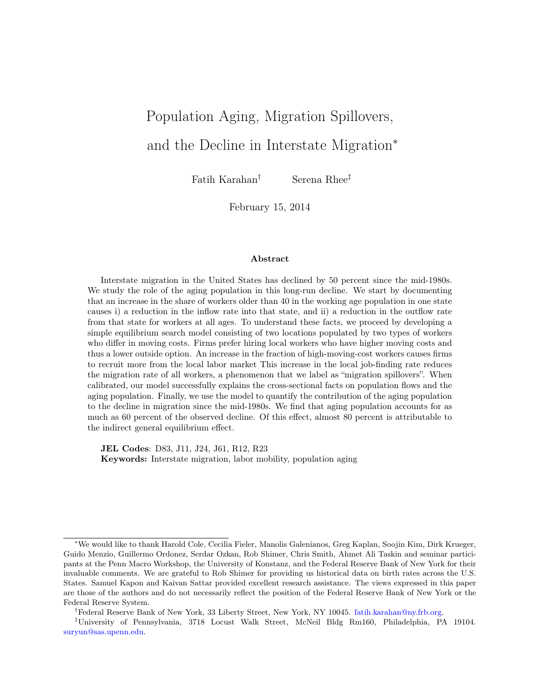# Population Aging, Migration Spillovers, and the Decline in Interstate Migration<sup>∗</sup>

Fatih Karahan† Serena Rhee‡

February 15, 2014

#### Abstract

Interstate migration in the United States has declined by 50 percent since the mid-1980s. We study the role of the aging population in this long-run decline. We start by documenting that an increase in the share of workers older than 40 in the working age population in one state causes i) a reduction in the inflow rate into that state, and ii) a reduction in the outflow rate from that state for workers at all ages. To understand these facts, we proceed by developing a simple equilibrium search model consisting of two locations populated by two types of workers who differ in moving costs. Firms prefer hiring local workers who have higher moving costs and thus a lower outside option. An increase in the fraction of high-moving-cost workers causes firms to recruit more from the local labor market This increase in the local job-finding rate reduces the migration rate of all workers, a phenomenon that we label as "migration spillovers". When calibrated, our model successfully explains the cross-sectional facts on population flows and the aging population. Finally, we use the model to quantify the contribution of the aging population to the decline in migration since the mid-1980s. We find that aging population accounts for as much as 60 percent of the observed decline. Of this effect, almost 80 percent is attributable to the indirect general equilibrium effect.

JEL Codes: D83, J11, J24, J61, R12, R23 Keywords: Interstate migration, labor mobility, population aging

<sup>∗</sup>We would like to thank Harold Cole, Cecilia Fieler, Manolis Galenianos, Greg Kaplan, Soojin Kim, Dirk Krueger, Guido Menzio, Guillermo Ordonez, Serdar Ozkan, Rob Shimer, Chris Smith, Ahmet Ali Taskin and seminar participants at the Penn Macro Workshop, the University of Konstanz, and the Federal Reserve Bank of New York for their invaluable comments. We are grateful to Rob Shimer for providing us historical data on birth rates across the U.S. States. Samuel Kapon and Kaivan Sattar provided excellent research assistance. The views expressed in this paper are those of the authors and do not necessarily reflect the position of the Federal Reserve Bank of New York or the Federal Reserve System.

<sup>†</sup>Federal Reserve Bank of New York, 33 Liberty Street, New York, NY 10045. [fatih.karahan@ny.frb.org.](mailto:fatih.karahan@ny.frb.org)

<sup>‡</sup>University of Pennsylvania, 3718 Locust Walk Street, McNeil Bldg Rm160, Philadelphia, PA 19104. [suryun@sas.upenn.edu.](mailto:suryun@sas.upenn.edu)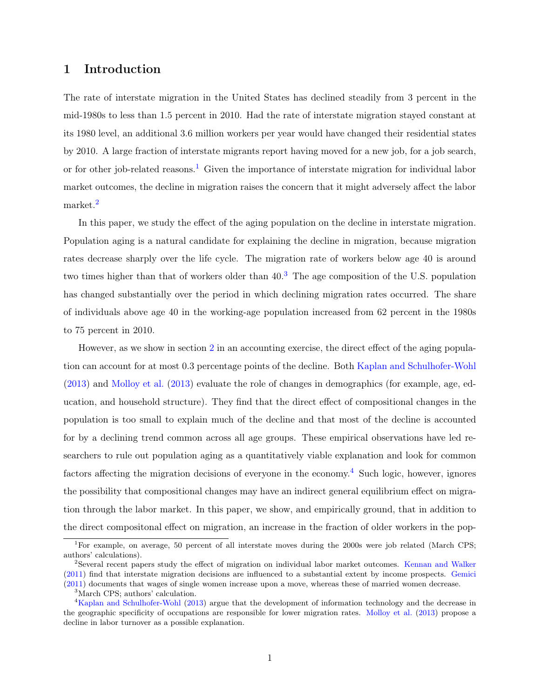# 1 Introduction

The rate of interstate migration in the United States has declined steadily from 3 percent in the mid-1980s to less than 1.5 percent in 2010. Had the rate of interstate migration stayed constant at its 1980 level, an additional 3.6 million workers per year would have changed their residential states by 2010. A large fraction of interstate migrants report having moved for a new job, for a job search, or for other job-related reasons.<sup>[1](#page-1-0)</sup> Given the importance of interstate migration for individual labor market outcomes, the decline in migration raises the concern that it might adversely affect the labor market.[2](#page-1-1)

In this paper, we study the effect of the aging population on the decline in interstate migration. Population aging is a natural candidate for explaining the decline in migration, because migration rates decrease sharply over the life cycle. The migration rate of workers below age 40 is around two times higher than that of workers older than 40.[3](#page-1-2) The age composition of the U.S. population has changed substantially over the period in which declining migration rates occurred. The share of individuals above age 40 in the working-age population increased from 62 percent in the 1980s to 75 percent in 2010.

However, as we show in section [2](#page-4-0) in an accounting exercise, the direct effect of the aging population can account for at most 0.3 percentage points of the decline. Both [Kaplan and Schulhofer-Wohl](#page-32-0) [\(2013\)](#page-32-0) and [Molloy et al.](#page-33-0) [\(2013\)](#page-33-0) evaluate the role of changes in demographics (for example, age, education, and household structure). They find that the direct effect of compositional changes in the population is too small to explain much of the decline and that most of the decline is accounted for by a declining trend common across all age groups. These empirical observations have led researchers to rule out population aging as a quantitatively viable explanation and look for common factors affecting the migration decisions of everyone in the economy.<sup>[4](#page-1-3)</sup> Such logic, however, ignores the possibility that compositional changes may have an indirect general equilibrium effect on migration through the labor market. In this paper, we show, and empirically ground, that in addition to the direct compositonal effect on migration, an increase in the fraction of older workers in the pop-

<span id="page-1-0"></span><sup>&</sup>lt;sup>1</sup>For example, on average, 50 percent of all interstate moves during the 2000s were job related (March CPS; authors' calculations).

<span id="page-1-1"></span><sup>2</sup>Several recent papers study the effect of migration on individual labor market outcomes. [Kennan and Walker](#page-33-1) [\(2011\)](#page-33-1) find that interstate migration decisions are influenced to a substantial extent by income prospects. [Gemici](#page-32-1) [\(2011\)](#page-32-1) documents that wages of single women increase upon a move, whereas these of married women decrease.

<span id="page-1-3"></span><span id="page-1-2"></span><sup>3</sup>March CPS; authors' calculation.

<sup>4</sup>[Kaplan and Schulhofer-Wohl](#page-32-0) [\(2013\)](#page-32-0) argue that the development of information technology and the decrease in the geographic specificity of occupations are responsible for lower migration rates. [Molloy et al.](#page-33-0) [\(2013\)](#page-33-0) propose a decline in labor turnover as a possible explanation.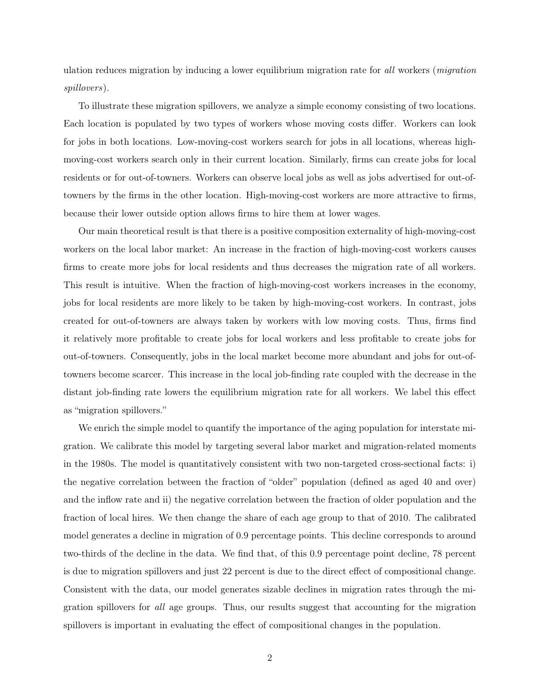ulation reduces migration by inducing a lower equilibrium migration rate for all workers (migration spillovers).

To illustrate these migration spillovers, we analyze a simple economy consisting of two locations. Each location is populated by two types of workers whose moving costs differ. Workers can look for jobs in both locations. Low-moving-cost workers search for jobs in all locations, whereas highmoving-cost workers search only in their current location. Similarly, firms can create jobs for local residents or for out-of-towners. Workers can observe local jobs as well as jobs advertised for out-oftowners by the firms in the other location. High-moving-cost workers are more attractive to firms, because their lower outside option allows firms to hire them at lower wages.

Our main theoretical result is that there is a positive composition externality of high-moving-cost workers on the local labor market: An increase in the fraction of high-moving-cost workers causes firms to create more jobs for local residents and thus decreases the migration rate of all workers. This result is intuitive. When the fraction of high-moving-cost workers increases in the economy, jobs for local residents are more likely to be taken by high-moving-cost workers. In contrast, jobs created for out-of-towners are always taken by workers with low moving costs. Thus, firms find it relatively more profitable to create jobs for local workers and less profitable to create jobs for out-of-towners. Consequently, jobs in the local market become more abundant and jobs for out-oftowners become scarcer. This increase in the local job-finding rate coupled with the decrease in the distant job-finding rate lowers the equilibrium migration rate for all workers. We label this effect as "migration spillovers."

We enrich the simple model to quantify the importance of the aging population for interstate migration. We calibrate this model by targeting several labor market and migration-related moments in the 1980s. The model is quantitatively consistent with two non-targeted cross-sectional facts: i) the negative correlation between the fraction of "older" population (defined as aged 40 and over) and the inflow rate and ii) the negative correlation between the fraction of older population and the fraction of local hires. We then change the share of each age group to that of 2010. The calibrated model generates a decline in migration of 0.9 percentage points. This decline corresponds to around two-thirds of the decline in the data. We find that, of this 0.9 percentage point decline, 78 percent is due to migration spillovers and just 22 percent is due to the direct effect of compositional change. Consistent with the data, our model generates sizable declines in migration rates through the migration spillovers for all age groups. Thus, our results suggest that accounting for the migration spillovers is important in evaluating the effect of compositional changes in the population.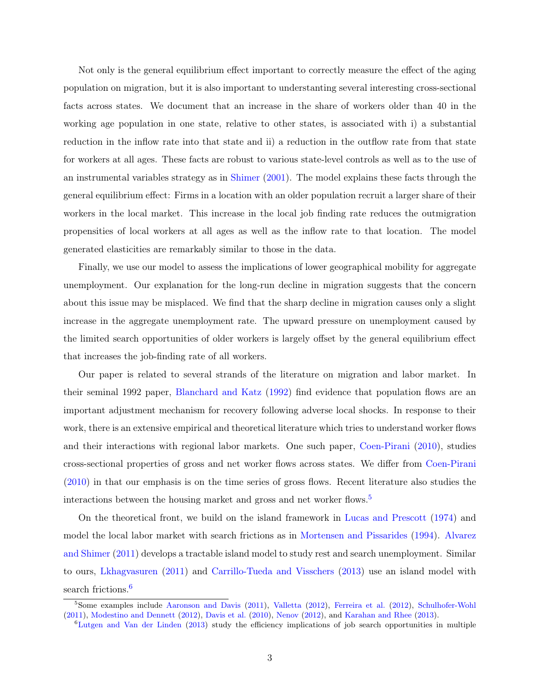Not only is the general equilibrium effect important to correctly measure the effect of the aging population on migration, but it is also important to understanting several interesting cross-sectional facts across states. We document that an increase in the share of workers older than 40 in the working age population in one state, relative to other states, is associated with i) a substantial reduction in the inflow rate into that state and ii) a reduction in the outflow rate from that state for workers at all ages. These facts are robust to various state-level controls as well as to the use of an instrumental variables strategy as in [Shimer](#page-34-0) [\(2001\)](#page-34-0). The model explains these facts through the general equilibrium effect: Firms in a location with an older population recruit a larger share of their workers in the local market. This increase in the local job finding rate reduces the outmigration propensities of local workers at all ages as well as the inflow rate to that location. The model generated elasticities are remarkably similar to those in the data.

Finally, we use our model to assess the implications of lower geographical mobility for aggregate unemployment. Our explanation for the long-run decline in migration suggests that the concern about this issue may be misplaced. We find that the sharp decline in migration causes only a slight increase in the aggregate unemployment rate. The upward pressure on unemployment caused by the limited search opportunities of older workers is largely offset by the general equilibrium effect that increases the job-finding rate of all workers.

Our paper is related to several strands of the literature on migration and labor market. In their seminal 1992 paper, [Blanchard and Katz](#page-32-2) [\(1992\)](#page-32-2) find evidence that population flows are an important adjustment mechanism for recovery following adverse local shocks. In response to their work, there is an extensive empirical and theoretical literature which tries to understand worker flows and their interactions with regional labor markets. One such paper, [Coen-Pirani](#page-32-3) [\(2010\)](#page-32-3), studies cross-sectional properties of gross and net worker flows across states. We differ from [Coen-Pirani](#page-32-3) [\(2010\)](#page-32-3) in that our emphasis is on the time series of gross flows. Recent literature also studies the interactions between the housing market and gross and net worker flows.<sup>[5](#page-3-0)</sup>

On the theoretical front, we build on the island framework in [Lucas and Prescott](#page-33-2) [\(1974\)](#page-33-2) and model the local labor market with search frictions as in [Mortensen and Pissarides](#page-33-3) [\(1994\)](#page-33-3). [Alvarez](#page-32-4) [and Shimer](#page-32-4) [\(2011\)](#page-32-4) develops a tractable island model to study rest and search unemployment. Similar to ours, [Lkhagvasuren](#page-33-4) [\(2011\)](#page-33-4) and [Carrillo-Tueda and Visschers](#page-32-5) [\(2013\)](#page-32-5) use an island model with search frictions.<sup>[6](#page-3-1)</sup>

<span id="page-3-0"></span><sup>&</sup>lt;sup>5</sup>Some examples include [Aaronson and Davis](#page-32-6) [\(2011\)](#page-32-6), [Valletta](#page-34-1) [\(2012\)](#page-32-7), [Ferreira et al.](#page-32-7) (2012), [Schulhofer-Wohl](#page-34-2) [\(2011\)](#page-34-2), [Modestino and Dennett](#page-33-5) [\(2012\)](#page-33-5), [Davis et al.](#page-32-8) [\(2010\)](#page-32-8), [Nenov](#page-33-6) [\(2012\)](#page-33-6), and [Karahan and Rhee](#page-33-7) [\(2013\)](#page-33-7).

<span id="page-3-1"></span><sup>6</sup>[Lutgen and Van der Linden](#page-33-8) [\(2013\)](#page-33-8) study the efficiency implications of job search opportunities in multiple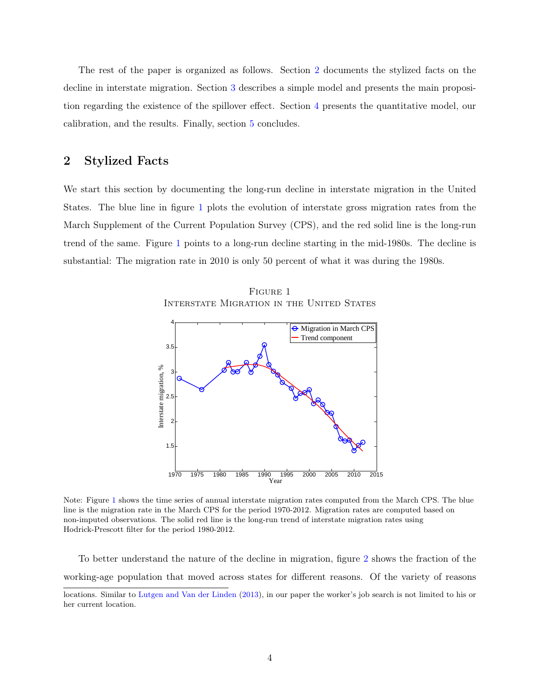The rest of the paper is organized as follows. Section [2](#page-4-0) documents the stylized facts on the decline in interstate migration. Section [3](#page-9-0) describes a simple model and presents the main proposition regarding the existence of the spillover effect. Section [4](#page-15-0) presents the quantitative model, our calibration, and the results. Finally, section [5](#page-30-0) concludes.

# <span id="page-4-0"></span>2 Stylized Facts

We start this section by documenting the long-run decline in interstate migration in the United States. The blue line in figure [1](#page-4-1) plots the evolution of interstate gross migration rates from the March Supplement of the Current Population Survey (CPS), and the red solid line is the long-run trend of the same. Figure [1](#page-4-1) points to a long-run decline starting in the mid-1980s. The decline is substantial: The migration rate in 2010 is only 50 percent of what it was during the 1980s.

<span id="page-4-1"></span>



Note: Figure [1](#page-4-1) shows the time series of annual interstate migration rates computed from the March CPS. The blue line is the migration rate in the March CPS for the period 1970-2012. Migration rates are computed based on non-imputed observations. The solid red line is the long-run trend of interstate migration rates using Hodrick-Prescott filter for the period 1980-2012.

To better understand the nature of the decline in migration, figure [2](#page-5-0) shows the fraction of the working-age population that moved across states for different reasons. Of the variety of reasons

locations. Similar to [Lutgen and Van der Linden](#page-33-8) [\(2013\)](#page-33-8), in our paper the worker's job search is not limited to his or her current location.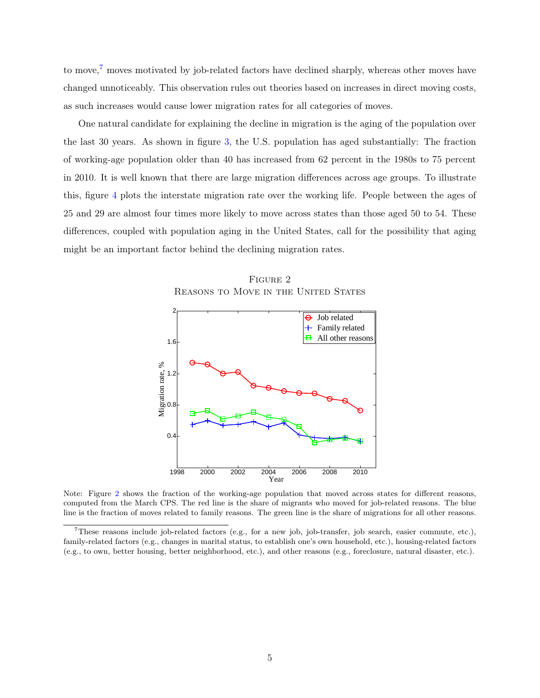to move,<sup>[7](#page-5-1)</sup> moves motivated by job-related factors have declined sharply, whereas other moves have changed unnoticeably. This observation rules out theories based on increases in direct moving costs, as such increases would cause lower migration rates for all categories of moves.

One natural candidate for explaining the decline in migration is the aging of the population over the last 30 years. As shown in figure [3,](#page-6-0) the U.S. population has aged substantially: The fraction of working-age population older than 40 has increased from 62 percent in the 1980s to 75 percent in 2010. It is well known that there are large migration differences across age groups. To illustrate this, figure [4](#page-6-1) plots the interstate migration rate over the working life. People between the ages of 25 and 29 are almost four times more likely to move across states than those aged 50 to 54. These differences, coupled with population aging in the United States, call for the possibility that aging might be an important factor behind the declining migration rates.

FIGURE 2 REASONS TO MOVE IN THE UNITED STATES

<span id="page-5-0"></span>

Note: Figure [2](#page-5-0) shows the fraction of the working-age population that moved across states for different reasons, computed from the March CPS. The red line is the share of migrants who moved for job-related reasons. The blue line is the fraction of moves related to family reasons. The green line is the share of migrations for all other reasons.

<span id="page-5-1"></span><sup>7</sup>These reasons include job-related factors (e.g., for a new job, job-transfer, job search, easier commute, etc.), family-related factors (e.g., changes in marital status, to establish one's own household, etc.), housing-related factors (e.g., to own, better housing, better neighborhood, etc.), and other reasons (e.g., foreclosure, natural disaster, etc.).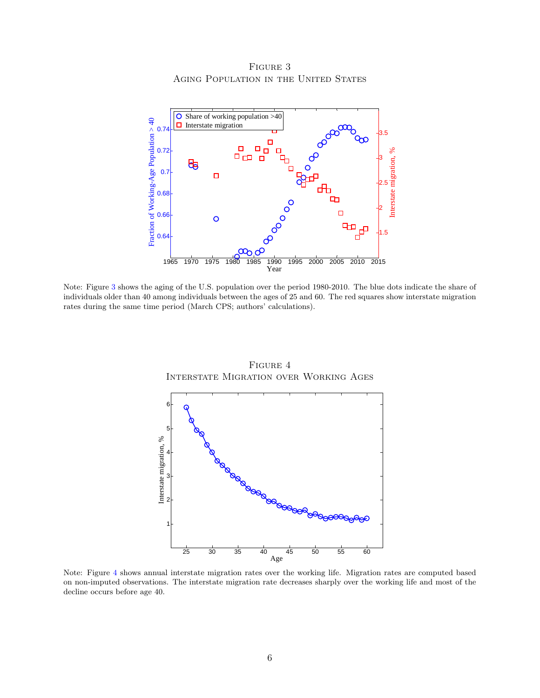FIGURE 3 AGING POPULATION IN THE UNITED STATES

<span id="page-6-0"></span>

<span id="page-6-1"></span>Note: Figure [3](#page-6-0) shows the aging of the U.S. population over the period 1980-2010. The blue dots indicate the share of individuals older than 40 among individuals between the ages of 25 and 60. The red squares show interstate migration rates during the same time period (March CPS; authors' calculations).



Figure 4 Interstate Migration over Working Ages

Note: Figure [4](#page-6-1) shows annual interstate migration rates over the working life. Migration rates are computed based on non-imputed observations. The interstate migration rate decreases sharply over the working life and most of the decline occurs before age 40.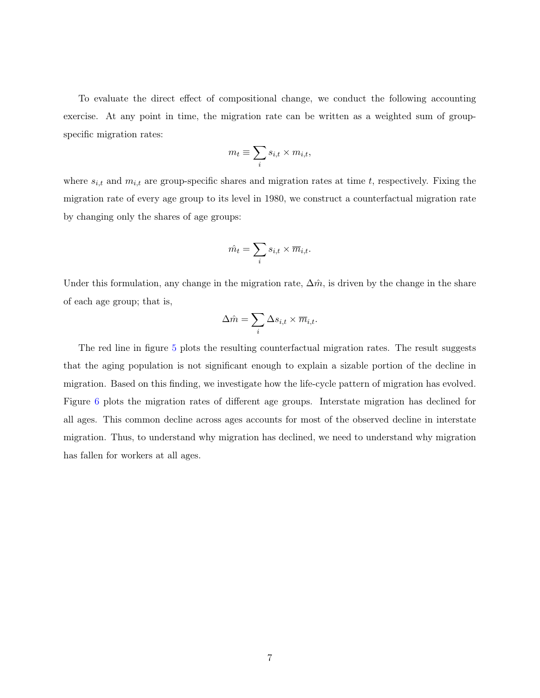To evaluate the direct effect of compositional change, we conduct the following accounting exercise. At any point in time, the migration rate can be written as a weighted sum of groupspecific migration rates:

$$
m_t \equiv \sum_i s_{i,t} \times m_{i,t},
$$

where  $s_{i,t}$  and  $m_{i,t}$  are group-specific shares and migration rates at time t, respectively. Fixing the migration rate of every age group to its level in 1980, we construct a counterfactual migration rate by changing only the shares of age groups:

$$
\hat{m_t} = \sum_i s_{i,t} \times \overline{m}_{i,t}.
$$

Under this formulation, any change in the migration rate,  $\Delta \hat{m}$ , is driven by the change in the share of each age group; that is,

$$
\Delta \hat{m} = \sum_i \Delta s_{i,t} \times \overline{m}_{i,t}.
$$

The red line in figure [5](#page-8-0) plots the resulting counterfactual migration rates. The result suggests that the aging population is not significant enough to explain a sizable portion of the decline in migration. Based on this finding, we investigate how the life-cycle pattern of migration has evolved. Figure [6](#page-8-1) plots the migration rates of different age groups. Interstate migration has declined for all ages. This common decline across ages accounts for most of the observed decline in interstate migration. Thus, to understand why migration has declined, we need to understand why migration has fallen for workers at all ages.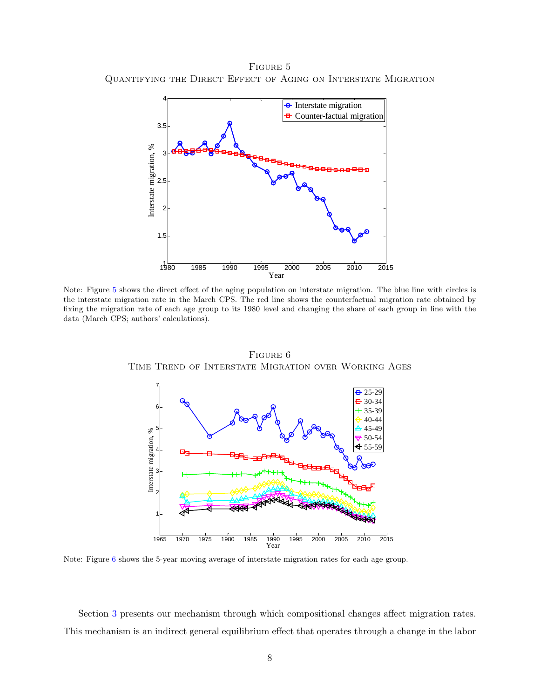<span id="page-8-0"></span>FIGURE 5 Quantifying the Direct Effect of Aging on Interstate Migration



<span id="page-8-1"></span>Note: Figure [5](#page-8-0) shows the direct effect of the aging population on interstate migration. The blue line with circles is the interstate migration rate in the March CPS. The red line shows the counterfactual migration rate obtained by fixing the migration rate of each age group to its 1980 level and changing the share of each group in line with the data (March CPS; authors' calculations).



Figure 6 Time Trend of Interstate Migration over Working Ages

Note: Figure [6](#page-8-1) shows the 5-year moving average of interstate migration rates for each age group.

Section [3](#page-9-0) presents our mechanism through which compositional changes affect migration rates. This mechanism is an indirect general equilibrium effect that operates through a change in the labor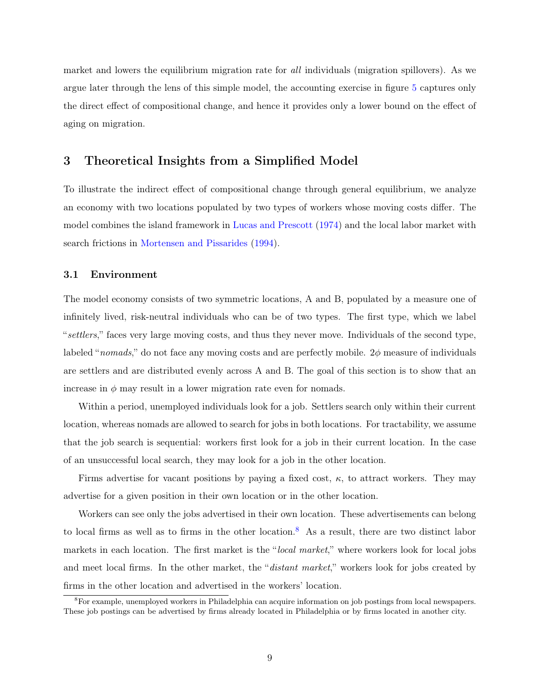market and lowers the equilibrium migration rate for all individuals (migration spillovers). As we argue later through the lens of this simple model, the accounting exercise in figure [5](#page-8-0) captures only the direct effect of compositional change, and hence it provides only a lower bound on the effect of aging on migration.

# <span id="page-9-0"></span>3 Theoretical Insights from a Simplified Model

To illustrate the indirect effect of compositional change through general equilibrium, we analyze an economy with two locations populated by two types of workers whose moving costs differ. The model combines the island framework in [Lucas and Prescott](#page-33-2) [\(1974\)](#page-33-2) and the local labor market with search frictions in [Mortensen and Pissarides](#page-33-3) [\(1994\)](#page-33-3).

#### 3.1 Environment

The model economy consists of two symmetric locations, A and B, populated by a measure one of infinitely lived, risk-neutral individuals who can be of two types. The first type, which we label "settlers," faces very large moving costs, and thus they never move. Individuals of the second type, labeled "nomads," do not face any moving costs and are perfectly mobile.  $2\phi$  measure of individuals are settlers and are distributed evenly across A and B. The goal of this section is to show that an increase in  $\phi$  may result in a lower migration rate even for nomads.

Within a period, unemployed individuals look for a job. Settlers search only within their current location, whereas nomads are allowed to search for jobs in both locations. For tractability, we assume that the job search is sequential: workers first look for a job in their current location. In the case of an unsuccessful local search, they may look for a job in the other location.

Firms advertise for vacant positions by paying a fixed cost,  $\kappa$ , to attract workers. They may advertise for a given position in their own location or in the other location.

Workers can see only the jobs advertised in their own location. These advertisements can belong to local firms as well as to firms in the other location.<sup>[8](#page-9-1)</sup> As a result, there are two distinct labor markets in each location. The first market is the "local market," where workers look for local jobs and meet local firms. In the other market, the "distant market," workers look for jobs created by firms in the other location and advertised in the workers' location.

<span id="page-9-1"></span><sup>&</sup>lt;sup>8</sup>For example, unemployed workers in Philadelphia can acquire information on job postings from local newspapers. These job postings can be advertised by firms already located in Philadelphia or by firms located in another city.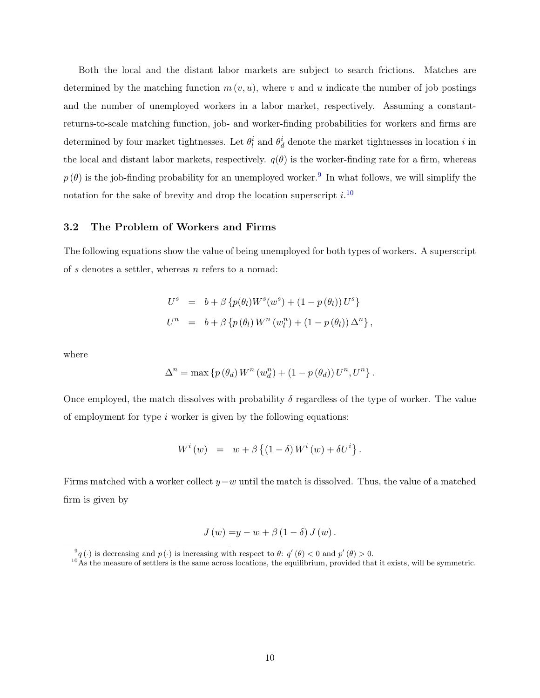Both the local and the distant labor markets are subject to search frictions. Matches are determined by the matching function  $m(v, u)$ , where v and u indicate the number of job postings and the number of unemployed workers in a labor market, respectively. Assuming a constantreturns-to-scale matching function, job- and worker-finding probabilities for workers and firms are determined by four market tightnesses. Let  $\theta_l^i$  and  $\theta_d^i$  denote the market tightnesses in location i in the local and distant labor markets, respectively.  $q(\theta)$  is the worker-finding rate for a firm, whereas  $p(\theta)$  is the job-finding probability for an unemployed worker.<sup>[9](#page-10-0)</sup> In what follows, we will simplify the notation for the sake of brevity and drop the location superscript  $i$ .<sup>[10](#page-10-1)</sup>

#### 3.2 The Problem of Workers and Firms

The following equations show the value of being unemployed for both types of workers. A superscript of s denotes a settler, whereas n refers to a nomad:

$$
U^{s} = b + \beta \{p(\theta_{l})W^{s}(w^{s}) + (1 - p(\theta_{l}))U^{s}\}
$$
  

$$
U^{n} = b + \beta \{p(\theta_{l})W^{n}(w_{l}^{n}) + (1 - p(\theta_{l}))\Delta^{n}\},
$$

where

$$
\Delta^{n} = \max \left\{ p \left( \theta_{d} \right) W^{n} \left( w_{d}^{n} \right) + \left( 1 - p \left( \theta_{d} \right) \right) U^{n}, U^{n} \right\}.
$$

Once employed, the match dissolves with probability  $\delta$  regardless of the type of worker. The value of employment for type  $i$  worker is given by the following equations:

$$
W^{i}(w) = w + \beta \left\{ (1 - \delta) W^{i}(w) + \delta U^{i} \right\}.
$$

Firms matched with a worker collect  $y-w$  until the match is dissolved. Thus, the value of a matched firm is given by

$$
J(w) = y - w + \beta (1 - \delta) J(w).
$$

<span id="page-10-0"></span> $\mathcal{P}_q(\cdot)$  is decreasing and  $p(\cdot)$  is increasing with respect to  $\theta$ :  $q'(\theta) < 0$  and  $p'(\theta) > 0$ .

<span id="page-10-1"></span> $10\text{ As the measure of setter is the same across locations, the equilibrium, provided that it exists, will be symmetric.}$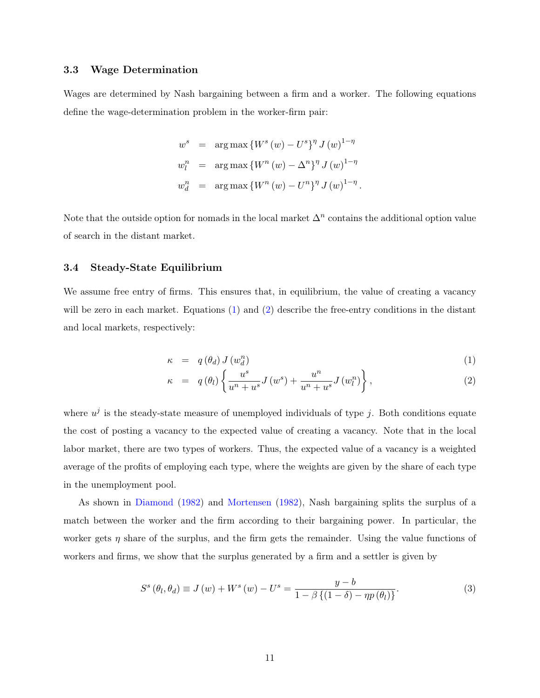#### 3.3 Wage Determination

Wages are determined by Nash bargaining between a firm and a worker. The following equations define the wage-determination problem in the worker-firm pair:

$$
w^{s} = \arg \max \{ W^{s}(w) - U^{s} \}^{\eta} J(w)^{1-\eta}
$$
  

$$
w_{l}^{n} = \arg \max \{ W^{n}(w) - \Delta^{n} \}^{\eta} J(w)^{1-\eta}
$$
  

$$
w_{d}^{n} = \arg \max \{ W^{n}(w) - U^{n} \}^{\eta} J(w)^{1-\eta}.
$$

Note that the outside option for nomads in the local market  $\Delta^n$  contains the additional option value of search in the distant market.

#### 3.4 Steady-State Equilibrium

We assume free entry of firms. This ensures that, in equilibrium, the value of creating a vacancy will be zero in each market. Equations [\(1\)](#page-11-0) and [\(2\)](#page-11-0) describe the free-entry conditions in the distant and local markets, respectively:

<span id="page-11-0"></span>
$$
\kappa = q(\theta_d) J(w_d^n) \tag{1}
$$

$$
\kappa = q(\theta_l) \left\{ \frac{u^s}{u^n + u^s} J(w^s) + \frac{u^n}{u^n + u^s} J(w^n_l) \right\},\tag{2}
$$

where  $u^j$  is the steady-state measure of unemployed individuals of type j. Both conditions equate the cost of posting a vacancy to the expected value of creating a vacancy. Note that in the local labor market, there are two types of workers. Thus, the expected value of a vacancy is a weighted average of the profits of employing each type, where the weights are given by the share of each type in the unemployment pool.

As shown in [Diamond](#page-32-9) [\(1982\)](#page-32-9) and [Mortensen](#page-33-9) [\(1982\)](#page-33-9), Nash bargaining splits the surplus of a match between the worker and the firm according to their bargaining power. In particular, the worker gets  $\eta$  share of the surplus, and the firm gets the remainder. Using the value functions of workers and firms, we show that the surplus generated by a firm and a settler is given by

$$
S^{s}(\theta_{l}, \theta_{d}) \equiv J(w) + W^{s}(w) - U^{s} = \frac{y - b}{1 - \beta \{ (1 - \delta) - \eta p(\theta_{l}) \}}.
$$
\n(3)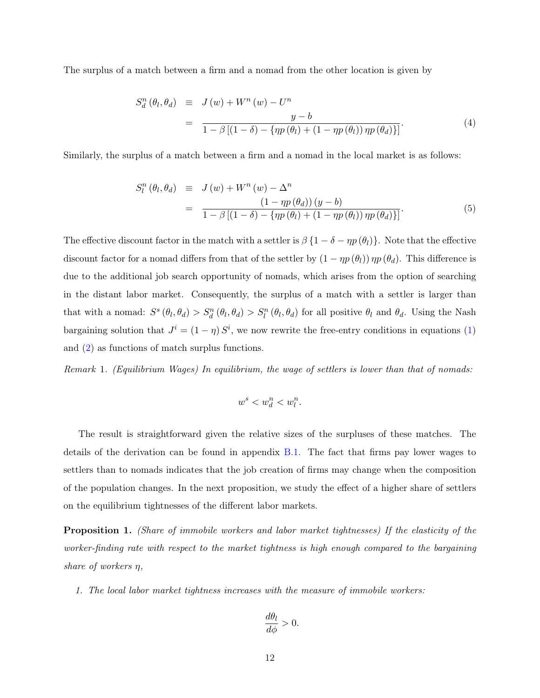The surplus of a match between a firm and a nomad from the other location is given by

$$
S_d^n(\theta_l, \theta_d) \equiv J(w) + W^n(w) - U^n
$$
  
= 
$$
\frac{y - b}{1 - \beta [(1 - \delta) - {\eta p(\theta_l) + (1 - \eta p(\theta_l)) \eta p(\theta_d)}]}.
$$
 (4)

Similarly, the surplus of a match between a firm and a nomad in the local market is as follows:

$$
S_l^n(\theta_l, \theta_d) \equiv J(w) + W^n(w) - \Delta^n
$$
  
= 
$$
\frac{(1 - \eta p(\theta_d)) (y - b)}{1 - \beta [(1 - \delta) - \{\eta p(\theta_l) + (1 - \eta p(\theta_l)) \eta p(\theta_d)\}]}.
$$
 (5)

The effective discount factor in the match with a settler is  $\beta \{1 - \delta - \eta p(\theta_l)\}\)$ . Note that the effective discount factor for a nomad differs from that of the settler by  $(1 - \eta p(\theta_l)) \eta p(\theta_d)$ . This difference is due to the additional job search opportunity of nomads, which arises from the option of searching in the distant labor market. Consequently, the surplus of a match with a settler is larger than that with a nomad:  $S^s(\theta_l, \theta_d) > S_d^n(\theta_l, \theta_d) > S_l^n(\theta_l, \theta_d)$  for all positive  $\theta_l$  and  $\theta_d$ . Using the Nash bargaining solution that  $J^i = (1 - \eta) S^i$ , we now rewrite the free-entry conditions in equations [\(1\)](#page-11-0) and [\(2\)](#page-11-0) as functions of match surplus functions.

<span id="page-12-0"></span>Remark 1. (Equilibrium Wages) In equilibrium, the wage of settlers is lower than that of nomads:

$$
w^s
$$

The result is straightforward given the relative sizes of the surpluses of these matches. The details of the derivation can be found in appendix [B.1.](#page-39-0) The fact that firms pay lower wages to settlers than to nomads indicates that the job creation of firms may change when the composition of the population changes. In the next proposition, we study the effect of a higher share of settlers on the equilibrium tightnesses of the different labor markets.

<span id="page-12-1"></span>Proposition 1. (Share of immobile workers and labor market tightnesses) If the elasticity of the worker-finding rate with respect to the market tightness is high enough compared to the bargaining share of workers  $\eta$ ,

1. The local labor market tightness increases with the measure of immobile workers:

$$
\frac{d\theta_l}{d\phi} > 0.
$$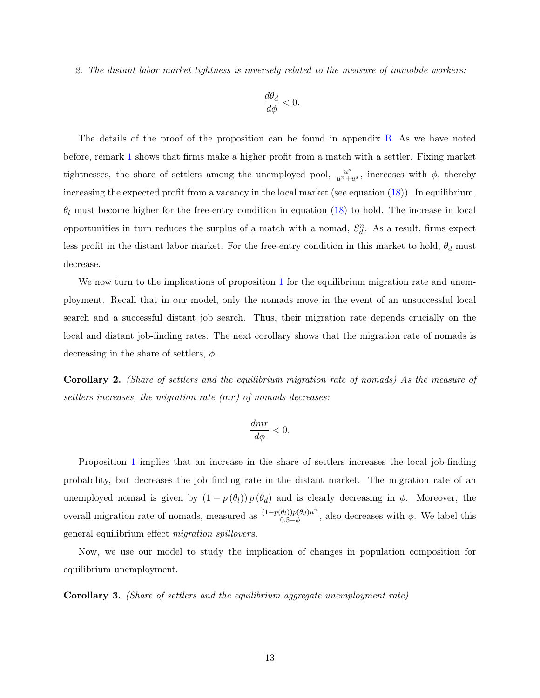2. The distant labor market tightness is inversely related to the measure of immobile workers:

$$
\frac{d\theta_d}{d\phi}<0.
$$

The details of the proof of the proposition can be found in appendix [B.](#page-39-1) As we have noted before, remark [1](#page-12-0) shows that firms make a higher profit from a match with a settler. Fixing market tightnesses, the share of settlers among the unemployed pool,  $\frac{u^s}{u^n + u^s}$ , increases with  $\phi$ , thereby increasing the expected profit from a vacancy in the local market (see equation [\(18\)](#page-40-0)). In equilibrium,  $\theta_l$  must become higher for the free-entry condition in equation [\(18\)](#page-40-0) to hold. The increase in local opportunities in turn reduces the surplus of a match with a nomad,  $S_d^n$ . As a result, firms expect less profit in the distant labor market. For the free-entry condition in this market to hold,  $\theta_d$  must decrease.

We now turn to the implications of proposition [1](#page-12-1) for the equilibrium migration rate and unemployment. Recall that in our model, only the nomads move in the event of an unsuccessful local search and a successful distant job search. Thus, their migration rate depends crucially on the local and distant job-finding rates. The next corollary shows that the migration rate of nomads is decreasing in the share of settlers,  $\phi$ .

<span id="page-13-0"></span>Corollary 2. (Share of settlers and the equilibrium migration rate of nomads) As the measure of settlers increases, the migration rate (mr) of nomads decreases:

$$
\frac{dmr}{d\phi} < 0.
$$

Proposition [1](#page-12-1) implies that an increase in the share of settlers increases the local job-finding probability, but decreases the job finding rate in the distant market. The migration rate of an unemployed nomad is given by  $(1 - p(\theta_l)) p(\theta_d)$  and is clearly decreasing in  $\phi$ . Moreover, the overall migration rate of nomads, measured as  $\frac{(1-p(\theta_l))p(\theta_d)u^n}{0.5-\phi_l}$  $\frac{\partial(t)}{\partial t}$ , also decreases with  $\phi$ . We label this general equilibrium effect *migration spillovers*.

Now, we use our model to study the implication of changes in population composition for equilibrium unemployment.

<span id="page-13-1"></span>Corollary 3. (Share of settlers and the equilibrium aggregate unemployment rate)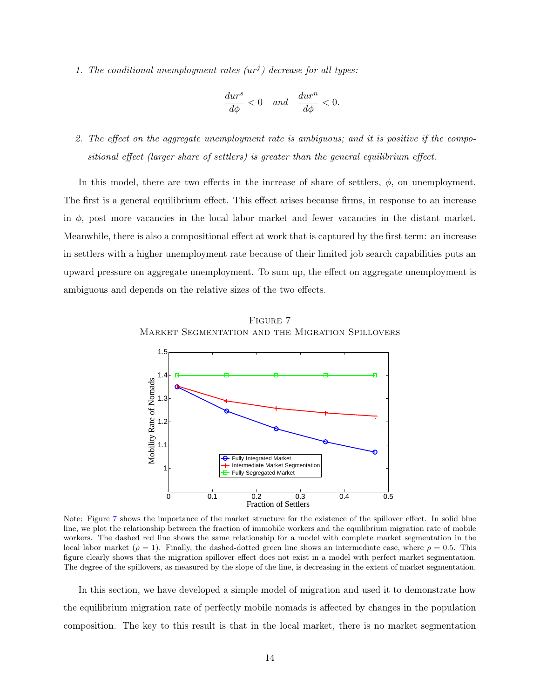1. The conditional unemployment rates  $(ur^j)$  decrease for all types:

$$
\frac{dur^s}{d\phi} < 0 \quad and \quad \frac{dur^n}{d\phi} < 0.
$$

2. The effect on the aggregate unemployment rate is ambiguous; and it is positive if the compositional effect (larger share of settlers) is greater than the general equilibrium effect.

In this model, there are two effects in the increase of share of settlers,  $\phi$ , on unemployment. The first is a general equilibrium effect. This effect arises because firms, in response to an increase in  $\phi$ , post more vacancies in the local labor market and fewer vacancies in the distant market. Meanwhile, there is also a compositional effect at work that is captured by the first term: an increase in settlers with a higher unemployment rate because of their limited job search capabilities puts an upward pressure on aggregate unemployment. To sum up, the effect on aggregate unemployment is ambiguous and depends on the relative sizes of the two effects.

<span id="page-14-0"></span>



Note: Figure [7](#page-14-0) shows the importance of the market structure for the existence of the spillover effect. In solid blue line, we plot the relationship between the fraction of immobile workers and the equilibrium migration rate of mobile workers. The dashed red line shows the same relationship for a model with complete market segmentation in the local labor market ( $\rho = 1$ ). Finally, the dashed-dotted green line shows an intermediate case, where  $\rho = 0.5$ . This figure clearly shows that the migration spillover effect does not exist in a model with perfect market segmentation. The degree of the spillovers, as measured by the slope of the line, is decreasing in the extent of market segmentation.

In this section, we have developed a simple model of migration and used it to demonstrate how the equilibrium migration rate of perfectly mobile nomads is affected by changes in the population composition. The key to this result is that in the local market, there is no market segmentation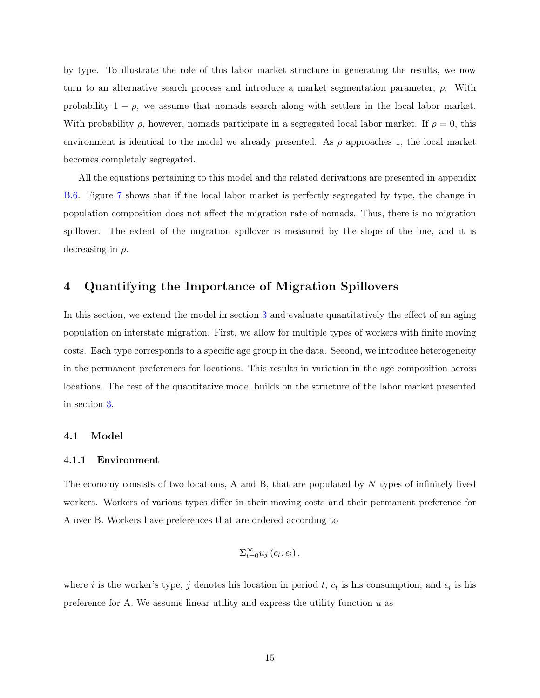by type. To illustrate the role of this labor market structure in generating the results, we now turn to an alternative search process and introduce a market segmentation parameter,  $\rho$ . With probability  $1 - \rho$ , we assume that nomads search along with settlers in the local labor market. With probability  $\rho$ , however, nomads participate in a segregated local labor market. If  $\rho = 0$ , this environment is identical to the model we already presented. As  $\rho$  approaches 1, the local market becomes completely segregated.

All the equations pertaining to this model and the related derivations are presented in appendix [B.6.](#page-48-0) Figure [7](#page-14-0) shows that if the local labor market is perfectly segregated by type, the change in population composition does not affect the migration rate of nomads. Thus, there is no migration spillover. The extent of the migration spillover is measured by the slope of the line, and it is decreasing in  $\rho$ .

### <span id="page-15-0"></span>4 Quantifying the Importance of Migration Spillovers

In this section, we extend the model in section [3](#page-9-0) and evaluate quantitatively the effect of an aging population on interstate migration. First, we allow for multiple types of workers with finite moving costs. Each type corresponds to a specific age group in the data. Second, we introduce heterogeneity in the permanent preferences for locations. This results in variation in the age composition across locations. The rest of the quantitative model builds on the structure of the labor market presented in section [3.](#page-9-0)

#### 4.1 Model

#### 4.1.1 Environment

The economy consists of two locations, A and B, that are populated by N types of infinitely lived workers. Workers of various types differ in their moving costs and their permanent preference for A over B. Workers have preferences that are ordered according to

$$
\Sigma_{t=0}^{\infty} u_j(c_t, \epsilon_i),
$$

where *i* is the worker's type, *j* denotes his location in period *t*,  $c_t$  is his consumption, and  $\epsilon_i$  is his preference for A. We assume linear utility and express the utility function  $u$  as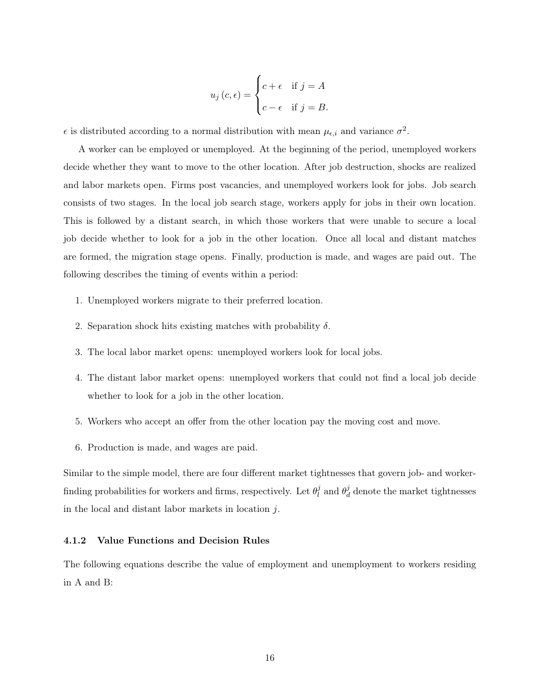$$
u_j(c,\epsilon) = \begin{cases} c+\epsilon & \text{if } j = A \\ c-\epsilon & \text{if } j = B. \end{cases}
$$

 $\epsilon$  is distributed according to a normal distribution with mean  $\mu_{\epsilon,i}$  and variance  $\sigma^2$ .

A worker can be employed or unemployed. At the beginning of the period, unemployed workers decide whether they want to move to the other location. After job destruction, shocks are realized and labor markets open. Firms post vacancies, and unemployed workers look for jobs. Job search consists of two stages. In the local job search stage, workers apply for jobs in their own location. This is followed by a distant search, in which those workers that were unable to secure a local job decide whether to look for a job in the other location. Once all local and distant matches are formed, the migration stage opens. Finally, production is made, and wages are paid out. The following describes the timing of events within a period:

- 1. Unemployed workers migrate to their preferred location.
- 2. Separation shock hits existing matches with probability  $\delta$ .
- 3. The local labor market opens: unemployed workers look for local jobs.
- 4. The distant labor market opens: unemployed workers that could not find a local job decide whether to look for a job in the other location.
- 5. Workers who accept an offer from the other location pay the moving cost and move.
- 6. Production is made, and wages are paid.

Similar to the simple model, there are four different market tightnesses that govern job- and workerfinding probabilities for workers and firms, respectively. Let  $\theta_l^j$  $\frac{j}{l}$  and  $\theta_d^j$  $\frac{d}{d}$  denote the market tightnesses in the local and distant labor markets in location j.

#### 4.1.2 Value Functions and Decision Rules

The following equations describe the value of employment and unemployment to workers residing in A and B: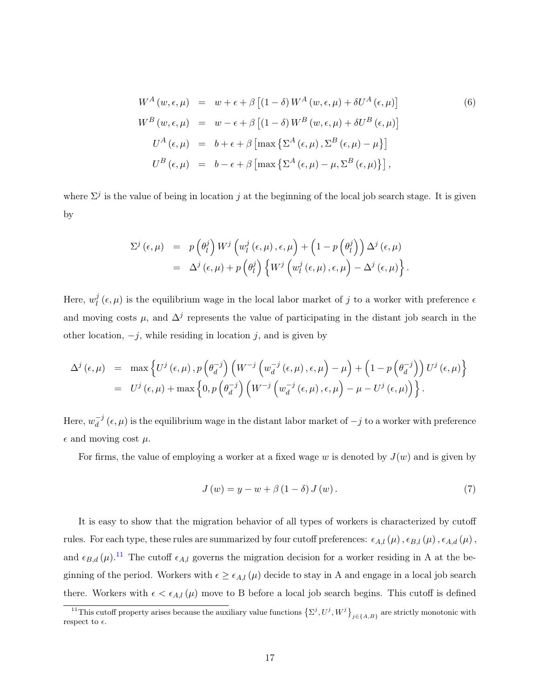<span id="page-17-1"></span>
$$
W^{A}(w, \epsilon, \mu) = w + \epsilon + \beta \left[ (1 - \delta) W^{A}(w, \epsilon, \mu) + \delta U^{A}(\epsilon, \mu) \right]
$$
(6)  

$$
W^{B}(w, \epsilon, \mu) = w - \epsilon + \beta \left[ (1 - \delta) W^{B}(w, \epsilon, \mu) + \delta U^{B}(\epsilon, \mu) \right]
$$
  

$$
U^{A}(\epsilon, \mu) = b + \epsilon + \beta \left[ \max \left\{ \Sigma^{A}(\epsilon, \mu), \Sigma^{B}(\epsilon, \mu) - \mu \right\} \right]
$$
  

$$
U^{B}(\epsilon, \mu) = b - \epsilon + \beta \left[ \max \left\{ \Sigma^{A}(\epsilon, \mu) - \mu, \Sigma^{B}(\epsilon, \mu) \right\} \right],
$$

where  $\Sigma^j$  is the value of being in location j at the beginning of the local job search stage. It is given by

$$
\Sigma^{j} (\epsilon, \mu) = p \left( \theta_{l}^{j} \right) W^{j} \left( w_{l}^{j} (\epsilon, \mu), \epsilon, \mu \right) + \left( 1 - p \left( \theta_{l}^{j} \right) \right) \Delta^{j} (\epsilon, \mu)
$$
  
=  $\Delta^{j} (\epsilon, \mu) + p \left( \theta_{l}^{j} \right) \left\{ W^{j} \left( w_{l}^{j} (\epsilon, \mu), \epsilon, \mu \right) - \Delta^{j} (\epsilon, \mu) \right\}.$ 

Here,  $w_l^j$  $\ell_l^j(\epsilon,\mu)$  is the equilibrium wage in the local labor market of j to a worker with preference  $\epsilon$ and moving costs  $\mu$ , and  $\Delta^j$  represents the value of participating in the distant job search in the other location,  $-j$ , while residing in location j, and is given by

$$
\Delta^{j}(\epsilon,\mu) = \max \left\{ U^{j}(\epsilon,\mu), p\left(\theta_{d}^{-j}\right) \left(W^{-j}\left(w_{d}^{-j}(\epsilon,\mu),\epsilon,\mu\right)-\mu\right) + \left(1-p\left(\theta_{d}^{-j}\right)\right) U^{j}(\epsilon,\mu) \right\}
$$
  
= 
$$
U^{j}(\epsilon,\mu) + \max \left\{0, p\left(\theta_{d}^{-j}\right) \left(W^{-j}\left(w_{d}^{-j}(\epsilon,\mu),\epsilon,\mu\right)-\mu-U^{j}(\epsilon,\mu)\right)\right\}.
$$

Here,  $w_d^{-j}$  $d^{-j}(\epsilon, \mu)$  is the equilibrium wage in the distant labor market of  $-j$  to a worker with preference  $\epsilon$  and moving cost  $\mu$ .

For firms, the value of employing a worker at a fixed wage w is denoted by  $J(w)$  and is given by

<span id="page-17-2"></span>
$$
J(w) = y - w + \beta (1 - \delta) J(w).
$$
\n<sup>(7)</sup>

It is easy to show that the migration behavior of all types of workers is characterized by cutoff rules. For each type, these rules are summarized by four cutoff preferences:  $\epsilon_{A,l}(\mu)$ ,  $\epsilon_{B,l}(\mu)$ ,  $\epsilon_{A,d}(\mu)$ , and  $\epsilon_{B,d}(\mu)$ .<sup>[11](#page-17-0)</sup> The cutoff  $\epsilon_{A,l}$  governs the migration decision for a worker residing in A at the beginning of the period. Workers with  $\epsilon \geq \epsilon_{A,l}(\mu)$  decide to stay in A and engage in a local job search there. Workers with  $\epsilon < \epsilon_{A,l}(\mu)$  move to B before a local job search begins. This cutoff is defined

<span id="page-17-0"></span><sup>&</sup>lt;sup>11</sup>This cutoff property arises because the auxiliary value functions  $\{ \Sigma^j, U^j, W^j \}_{j \in \{A, B\}}$  are strictly monotonic with respect to  $\epsilon$ .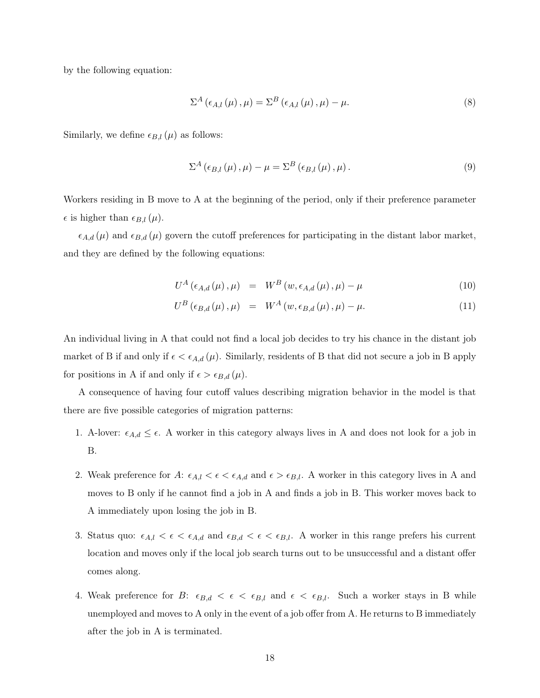by the following equation:

<span id="page-18-0"></span>
$$
\Sigma^{A}\left(\epsilon_{A,l}\left(\mu\right),\mu\right)=\Sigma^{B}\left(\epsilon_{A,l}\left(\mu\right),\mu\right)-\mu.\tag{8}
$$

Similarly, we define  $\epsilon_{B,l}(\mu)$  as follows:

$$
\Sigma^{A}(\epsilon_{B,l}(\mu),\mu) - \mu = \Sigma^{B}(\epsilon_{B,l}(\mu),\mu).
$$
\n(9)

Workers residing in B move to A at the beginning of the period, only if their preference parameter  $\epsilon$  is higher than  $\epsilon_{B,l}(\mu)$ .

 $\epsilon_{A,d}(\mu)$  and  $\epsilon_{B,d}(\mu)$  govern the cutoff preferences for participating in the distant labor market, and they are defined by the following equations:

<span id="page-18-1"></span>
$$
U^{A}(\epsilon_{A,d}(\mu), \mu) = W^{B}(w, \epsilon_{A,d}(\mu), \mu) - \mu \qquad (10)
$$

$$
U^{B}(\epsilon_{B,d}(\mu), \mu) = W^{A}(w, \epsilon_{B,d}(\mu), \mu) - \mu. \qquad (11)
$$

An individual living in A that could not find a local job decides to try his chance in the distant job market of B if and only if  $\epsilon < \epsilon_{A,d}(\mu)$ . Similarly, residents of B that did not secure a job in B apply for positions in A if and only if  $\epsilon > \epsilon_{B,d}(\mu)$ .

A consequence of having four cutoff values describing migration behavior in the model is that there are five possible categories of migration patterns:

- 1. A-lover:  $\epsilon_{A,d} \leq \epsilon$ . A worker in this category always lives in A and does not look for a job in B.
- 2. Weak preference for A:  $\epsilon_{A,l} < \epsilon < \epsilon_{A,d}$  and  $\epsilon > \epsilon_{B,l}$ . A worker in this category lives in A and moves to B only if he cannot find a job in A and finds a job in B. This worker moves back to A immediately upon losing the job in B.
- 3. Status quo:  $\epsilon_{A,l} < \epsilon < \epsilon_{A,d}$  and  $\epsilon_{B,d} < \epsilon < \epsilon_{B,l}$ . A worker in this range prefers his current location and moves only if the local job search turns out to be unsuccessful and a distant offer comes along.
- 4. Weak preference for B:  $\epsilon_{B,d} < \epsilon < \epsilon_{B,l}$  and  $\epsilon < \epsilon_{B,l}$ . Such a worker stays in B while unemployed and moves to A only in the event of a job offer from A. He returns to B immediately after the job in A is terminated.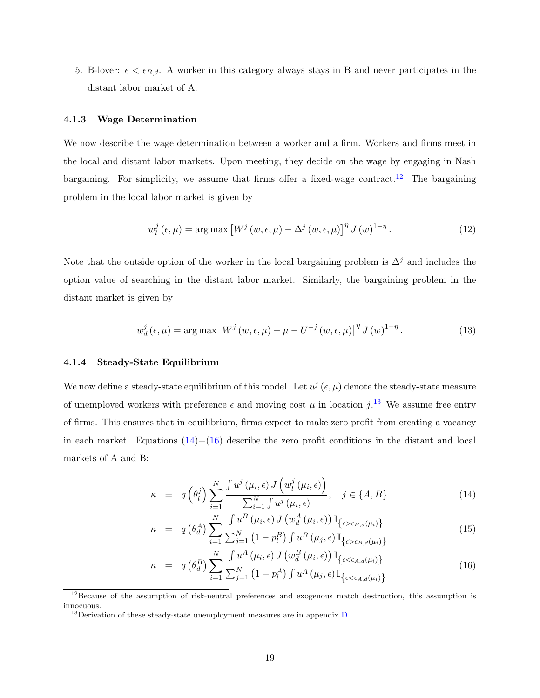5. B-lover:  $\epsilon < \epsilon_{B,d}$ . A worker in this category always stays in B and never participates in the distant labor market of A.

#### 4.1.3 Wage Determination

We now describe the wage determination between a worker and a firm. Workers and firms meet in the local and distant labor markets. Upon meeting, they decide on the wage by engaging in Nash bargaining. For simplicity, we assume that firms offer a fixed-wage contract.<sup>[12](#page-19-0)</sup> The bargaining problem in the local labor market is given by

<span id="page-19-3"></span>
$$
w_l^j\left(\epsilon,\mu\right) = \arg\max\left[W^j\left(w,\epsilon,\mu\right) - \Delta^j\left(w,\epsilon,\mu\right)\right]^\eta J\left(w\right)^{1-\eta}.\tag{12}
$$

Note that the outside option of the worker in the local bargaining problem is  $\Delta^{j}$  and includes the option value of searching in the distant labor market. Similarly, the bargaining problem in the distant market is given by

<span id="page-19-4"></span>
$$
w_d^j(\epsilon, \mu) = \arg \max \left[ W^j(w, \epsilon, \mu) - \mu - U^{-j}(w, \epsilon, \mu) \right]^{\eta} J(w)^{1-\eta}.
$$
 (13)

#### 4.1.4 Steady-State Equilibrium

We now define a steady-state equilibrium of this model. Let  $u^j$  ( $\epsilon, \mu$ ) denote the steady-state measure of unemployed workers with preference  $\epsilon$  and moving cost  $\mu$  in location j.<sup>[13](#page-19-1)</sup> We assume free entry of firms. This ensures that in equilibrium, firms expect to make zero profit from creating a vacancy in each market. Equations  $(14)–(16)$  $(14)–(16)$  $(14)–(16)$  describe the zero profit conditions in the distant and local markets of A and B:

<span id="page-19-2"></span>
$$
\kappa = q\left(\theta_l^j\right) \sum_{i=1}^N \frac{\int u^j\left(\mu_i, \epsilon\right) J\left(w_l^j\left(\mu_i, \epsilon\right)\right)}{\sum_{i=1}^N \int u^j\left(\mu_i, \epsilon\right)}, \quad j \in \{A, B\}
$$
\n(14)

$$
\kappa = q\left(\theta_d^A\right) \sum_{i=1}^N \frac{\int u^B\left(\mu_i, \epsilon\right) J\left(w_d^A\left(\mu_i, \epsilon\right)\right) \mathbb{I}_{\{\epsilon > \epsilon_{B,d}(\mu_i)\}}}{\sum_{j=1}^N \left(1 - p_i^B\right) \int u^B\left(\mu_j, \epsilon\right) \mathbb{I}_{\{\epsilon > \epsilon_{B,d}(\mu_i)\}}}
$$
(15)

$$
\kappa = q\left(\theta_d^B\right) \sum_{i=1}^N \frac{\int u^A\left(\mu_i, \epsilon\right) J\left(w_d^B\left(\mu_i, \epsilon\right)\right) \mathbb{I}_{\left\{\epsilon < \epsilon_{A,d}(\mu_i)\right\}}}{\sum_{j=1}^N \left(1 - p_l^A\right) \int u^A\left(\mu_j, \epsilon\right) \mathbb{I}_{\left\{\epsilon < \epsilon_{A,d}(\mu_i)\right\}}}
$$
(16)

<span id="page-19-0"></span><sup>&</sup>lt;sup>12</sup>Because of the assumption of risk-neutral preferences and exogenous match destruction, this assumption is innocuous.

<span id="page-19-1"></span> $^{13}$ Derivation of these steady-state unemployment measures are in appendix [D.](#page-51-0)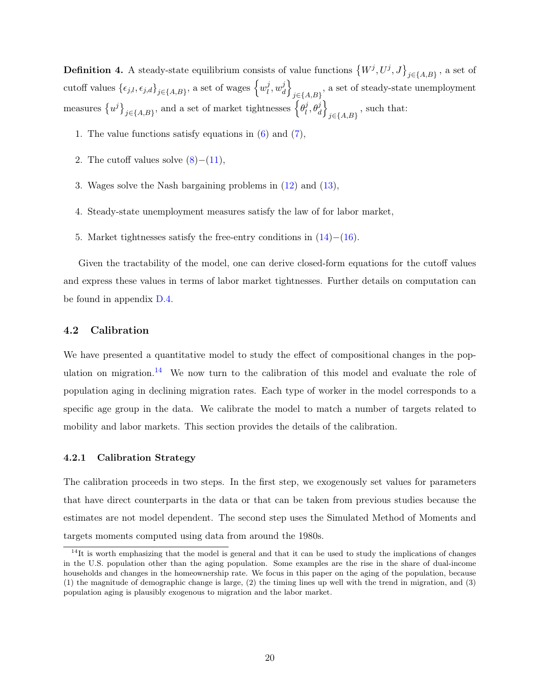**Definition 4.** A steady-state equilibrium consists of value functions  $(W^j, U^j, J\}_{j\in\{A,B\}}$ , a set of cutoff values  $\{\epsilon_{j,l}, \epsilon_{j,d}\}_{j\in\{A,B\}}$ , a set of wages  $\left\{w_l^j\right\}$  $\frac{j}{l}, w_d^j$  $\begin{bmatrix} j \\ d \end{bmatrix}$  $j\in\{A,B\}$ , a set of steady-state unemployment measures  $\{u^j\}_{j\in\{A,B\}}$ , and a set of market tightnesses  $\{e_i^j\}$  $\left\{ \theta _{d}^{j}\right\}$  $_{j\in\{A,B\}}$ , such that:

- 1. The value functions satisfy equations in [\(6\)](#page-17-1) and [\(7\)](#page-17-2),
- 2. The cutoff values solve  $(8)–(11)$  $(8)–(11)$  $(8)–(11)$ ,
- 3. Wages solve the Nash bargaining problems in [\(12\)](#page-19-3) and [\(13\)](#page-19-4),
- 4. Steady-state unemployment measures satisfy the law of for labor market,
- 5. Market tightnesses satisfy the free-entry conditions in [\(14\)](#page-19-2)−[\(16\)](#page-19-2).

Given the tractability of the model, one can derive closed-form equations for the cutoff values and express these values in terms of labor market tightnesses. Further details on computation can be found in appendix [D.4.](#page-56-0)

#### 4.2 Calibration

We have presented a quantitative model to study the effect of compositional changes in the pop-ulation on migration.<sup>[14](#page-20-0)</sup> We now turn to the calibration of this model and evaluate the role of population aging in declining migration rates. Each type of worker in the model corresponds to a specific age group in the data. We calibrate the model to match a number of targets related to mobility and labor markets. This section provides the details of the calibration.

#### 4.2.1 Calibration Strategy

The calibration proceeds in two steps. In the first step, we exogenously set values for parameters that have direct counterparts in the data or that can be taken from previous studies because the estimates are not model dependent. The second step uses the Simulated Method of Moments and targets moments computed using data from around the 1980s.

<span id="page-20-0"></span> $14$ It is worth emphasizing that the model is general and that it can be used to study the implications of changes in the U.S. population other than the aging population. Some examples are the rise in the share of dual-income households and changes in the homeownership rate. We focus in this paper on the aging of the population, because (1) the magnitude of demographic change is large, (2) the timing lines up well with the trend in migration, and (3) population aging is plausibly exogenous to migration and the labor market.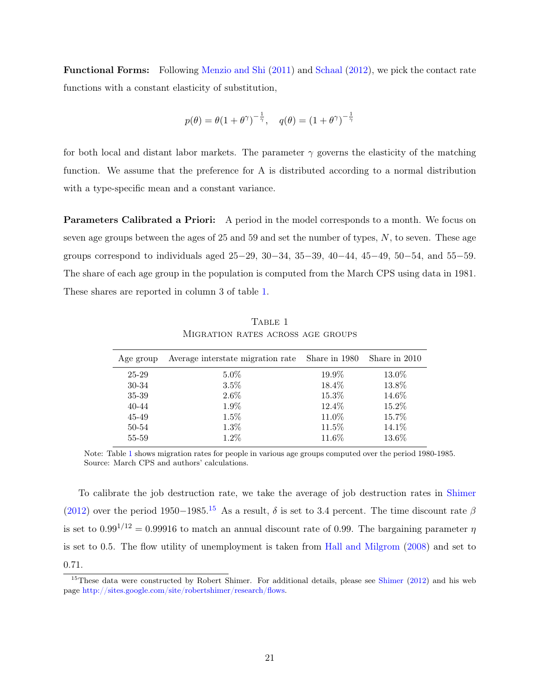Functional Forms: Following [Menzio and Shi](#page-33-10) [\(2011\)](#page-33-10) and [Schaal](#page-34-3) [\(2012\)](#page-34-3), we pick the contact rate functions with a constant elasticity of substitution,

$$
p(\theta) = \theta(1+\theta^\gamma)^{-\frac{1}{\gamma}}, \quad q(\theta) = (1+\theta^\gamma)^{-\frac{1}{\gamma}}
$$

for both local and distant labor markets. The parameter  $\gamma$  governs the elasticity of the matching function. We assume that the preference for A is distributed according to a normal distribution with a type-specific mean and a constant variance.

Parameters Calibrated a Priori: A period in the model corresponds to a month. We focus on seven age groups between the ages of  $25$  and  $59$  and set the number of types,  $N$ , to seven. These age groups correspond to individuals aged 25−29, 30−34, 35−39, 40−44, 45−49, 50−54, and 55−59. The share of each age group in the population is computed from the March CPS using data in 1981. These shares are reported in column 3 of table [1.](#page-21-0)

<span id="page-21-0"></span>

| Age group | Average interstate migration rate | Share in 1980 | Share in 2010 |
|-----------|-----------------------------------|---------------|---------------|
| $25 - 29$ | $5.0\%$                           | 19.9%         | 13.0%         |
| 30-34     | $3.5\%$                           | 18.4%         | 13.8%         |
| 35-39     | $2.6\%$                           | 15.3%         | 14.6%         |
| 40-44     | 1.9%                              | 12.4\%        | 15.2%         |
| 45-49     | $1.5\%$                           | 11.0%         | 15.7%         |
| 50-54     | $1.3\%$                           | 11.5%         | 14.1\%        |
| 55-59     | $1.2\%$                           | 11.6%         | 13.6%         |

TABLE 1 Migration rates across age groups

Note: Table [1](#page-21-0) shows migration rates for people in various age groups computed over the period 1980-1985. Source: March CPS and authors' calculations.

To calibrate the job destruction rate, we take the average of job destruction rates in [Shimer](#page-34-4) [\(2012\)](#page-34-4) over the period 1950−1985.<sup>[15](#page-21-1)</sup> As a result,  $\delta$  is set to 3.4 percent. The time discount rate  $\beta$ is set to  $0.99^{1/12} = 0.99916$  to match an annual discount rate of 0.99. The bargaining parameter  $\eta$ is set to 0.5. The flow utility of unemployment is taken from [Hall and Milgrom](#page-32-10) [\(2008\)](#page-32-10) and set to 0.71.

<span id="page-21-1"></span><sup>&</sup>lt;sup>15</sup>These data were constructed by Robert [Shimer](#page-34-4). For additional details, please see Shimer [\(2012\)](#page-34-4) and his web page [http://sites.google.com/site/robertshimer/research/flows.](http://sites.google.com/site/robertshimer/research/flows)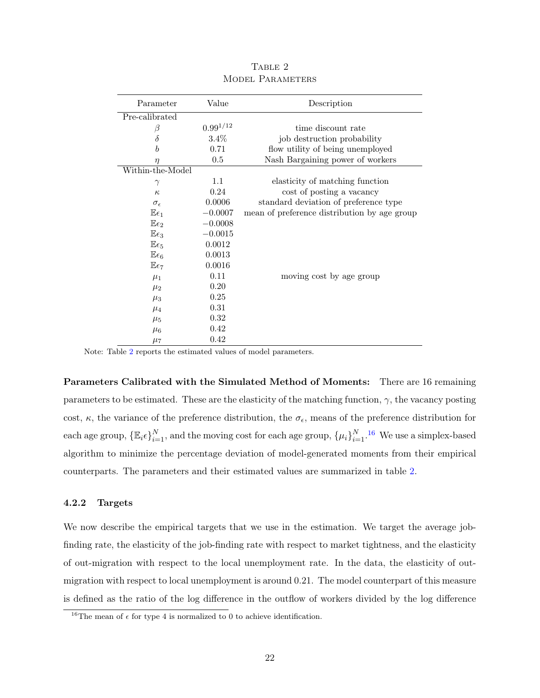<span id="page-22-0"></span>

| Parameter              | Value         | Description                                  |
|------------------------|---------------|----------------------------------------------|
| Pre-calibrated         |               |                                              |
| β                      | $0.99^{1/12}$ | time discount rate                           |
| δ                      | $3.4\%$       | job destruction probability                  |
| $\boldsymbol{b}$       | 0.71          | flow utility of being unemployed             |
| $\eta$                 | 0.5           | Nash Bargaining power of workers             |
| Within-the-Model       |               |                                              |
| $\gamma$               | 1.1           | elasticity of matching function              |
| $\kappa$               | 0.24          | cost of posting a vacancy                    |
| $\sigma_{\epsilon}$    | 0.0006        | standard deviation of preference type        |
| $\mathbb{E}\epsilon_1$ | $-0.0007$     | mean of preference distribution by age group |
| $\mathbb{E}\epsilon_2$ | $-0.0008$     |                                              |
| $E\epsilon_3$          | $-0.0015$     |                                              |
| $E\epsilon_5$          | 0.0012        |                                              |
| $\mathbb{E}\epsilon_6$ | 0.0013        |                                              |
| $E\epsilon_7$          | 0.0016        |                                              |
| $\mu_1$                | 0.11          | moving cost by age group                     |
| $\mu_2$                | 0.20          |                                              |
| $\mu_3$                | 0.25          |                                              |
| $\mu_4$                | 0.31          |                                              |
| $\mu_5$                | 0.32          |                                              |
| $\mu_6$                | 0.42          |                                              |
| $\mu_7$                | 0.42          |                                              |

TABLE 2 MODEL PARAMETERS

Note: Table [2](#page-22-0) reports the estimated values of model parameters.

Parameters Calibrated with the Simulated Method of Moments: There are 16 remaining parameters to be estimated. These are the elasticity of the matching function,  $\gamma$ , the vacancy posting cost,  $\kappa$ , the variance of the preference distribution, the  $\sigma_{\epsilon}$ , means of the preference distribution for each age group,  $\{\mathbb{E}_i \epsilon\}_{i=1}^N$ , and the moving cost for each age group,  $\{\mu_i\}_{i=1}^N$ .<sup>[16](#page-22-1)</sup> We use a simplex-based algorithm to minimize the percentage deviation of model-generated moments from their empirical counterparts. The parameters and their estimated values are summarized in table [2.](#page-22-0)

#### 4.2.2 Targets

We now describe the empirical targets that we use in the estimation. We target the average jobfinding rate, the elasticity of the job-finding rate with respect to market tightness, and the elasticity of out-migration with respect to the local unemployment rate. In the data, the elasticity of outmigration with respect to local unemployment is around 0.21. The model counterpart of this measure is defined as the ratio of the log difference in the outflow of workers divided by the log difference

<span id="page-22-1"></span><sup>&</sup>lt;sup>16</sup>The mean of  $\epsilon$  for type 4 is normalized to 0 to achieve identification.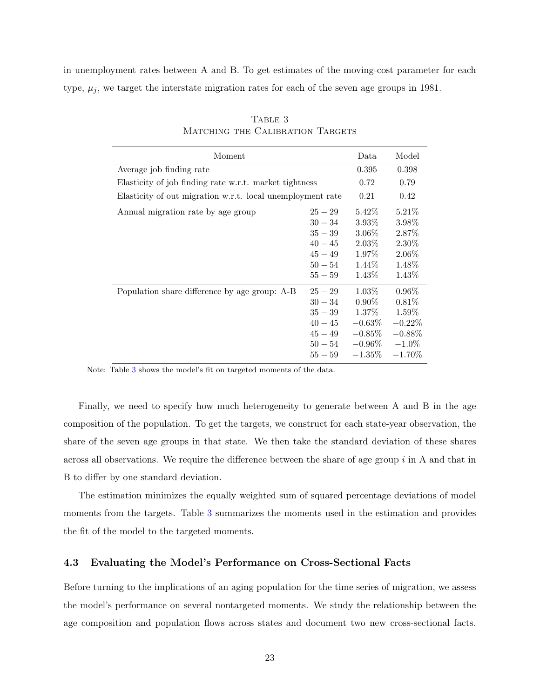<span id="page-23-0"></span>in unemployment rates between A and B. To get estimates of the moving-cost parameter for each type,  $\mu_i$ , we target the interstate migration rates for each of the seven age groups in 1981.

| Moment                                                     |           | Data      | Model     |
|------------------------------------------------------------|-----------|-----------|-----------|
| Average job finding rate                                   |           | 0.395     | 0.398     |
| Elasticity of job finding rate w.r.t. market tightness     |           | 0.72      | 0.79      |
| Elasticity of out migration w.r.t. local unemployment rate |           | 0.21      | 0.42      |
| Annual migration rate by age group                         | $25 - 29$ | $5.42\%$  | $5.21\%$  |
|                                                            | $30 - 34$ | $3.93\%$  | $3.98\%$  |
|                                                            | $35 - 39$ | $3.06\%$  | $2.87\%$  |
|                                                            | $40 - 45$ | $2.03\%$  | $2.30\%$  |
|                                                            | $45 - 49$ | 1.97%     | $2.06\%$  |
|                                                            | $50 - 54$ | $1.44\%$  | 1.48\%    |
|                                                            | $55 - 59$ | $1.43\%$  | 1.43\%    |
| Population share difference by age group: A-B              | $25 - 29$ | $1.03\%$  | $0.96\%$  |
|                                                            | $30 - 34$ | $0.90\%$  | $0.81\%$  |
|                                                            | $35 - 39$ | $1.37\%$  | $1.59\%$  |
|                                                            | $40 - 45$ | $-0.63\%$ | $-0.22\%$ |
|                                                            | $45 - 49$ | $-0.85\%$ | $-0.88\%$ |
|                                                            | $50 - 54$ | $-0.96\%$ | $-1.0\%$  |
|                                                            | $55 - 59$ | $-1.35\%$ | $-1.70\%$ |

TABLE 3 MATCHING THE CALIBRATION TARGETS

Note: Table [3](#page-23-0) shows the model's fit on targeted moments of the data.

Finally, we need to specify how much heterogeneity to generate between A and B in the age composition of the population. To get the targets, we construct for each state-year observation, the share of the seven age groups in that state. We then take the standard deviation of these shares across all observations. We require the difference between the share of age group  $i$  in A and that in B to differ by one standard deviation.

The estimation minimizes the equally weighted sum of squared percentage deviations of model moments from the targets. Table [3](#page-23-0) summarizes the moments used in the estimation and provides the fit of the model to the targeted moments.

#### 4.3 Evaluating the Model's Performance on Cross-Sectional Facts

Before turning to the implications of an aging population for the time series of migration, we assess the model's performance on several nontargeted moments. We study the relationship between the age composition and population flows across states and document two new cross-sectional facts.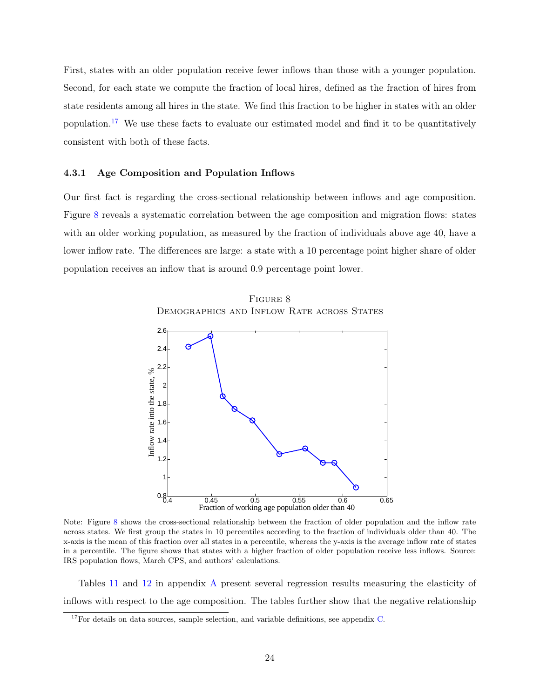First, states with an older population receive fewer inflows than those with a younger population. Second, for each state we compute the fraction of local hires, defined as the fraction of hires from state residents among all hires in the state. We find this fraction to be higher in states with an older population.<sup>[17](#page-24-0)</sup> We use these facts to evaluate our estimated model and find it to be quantitatively consistent with both of these facts.

#### 4.3.1 Age Composition and Population Inflows

Our first fact is regarding the cross-sectional relationship between inflows and age composition. Figure [8](#page-24-1) reveals a systematic correlation between the age composition and migration flows: states with an older working population, as measured by the fraction of individuals above age 40, have a lower inflow rate. The differences are large: a state with a 10 percentage point higher share of older population receives an inflow that is around 0.9 percentage point lower.

Figure 8 Demographics and Inflow Rate across States

<span id="page-24-1"></span>

Note: Figure [8](#page-24-1) shows the cross-sectional relationship between the fraction of older population and the inflow rate across states. We first group the states in 10 percentiles according to the fraction of individuals older than 40. The x-axis is the mean of this fraction over all states in a percentile, whereas the y-axis is the average inflow rate of states in a percentile. The figure shows that states with a higher fraction of older population receive less inflows. Source: IRS population flows, March CPS, and authors' calculations.

Tables [11](#page-37-0) and [12](#page-38-0) in appendix [A](#page-35-0) present several regression results measuring the elasticity of inflows with respect to the age composition. The tables further show that the negative relationship

<span id="page-24-0"></span> $17$  For details on data sources, sample selection, and variable definitions, see appendix [C.](#page-50-0)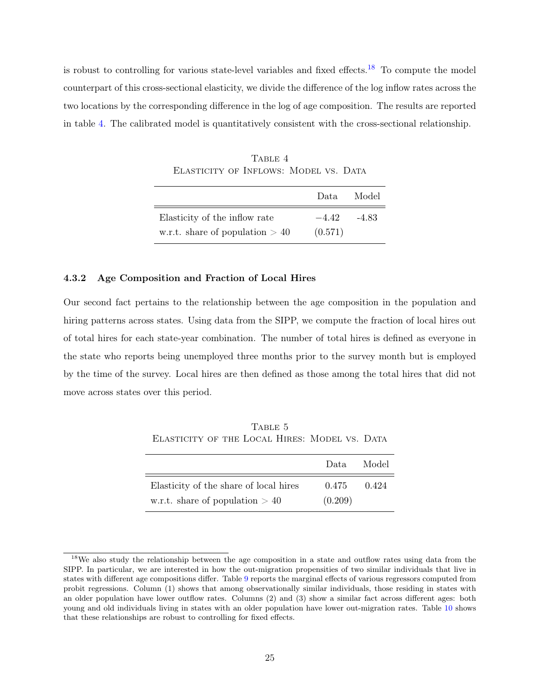<span id="page-25-1"></span>is robust to controlling for various state-level variables and fixed effects.<sup>[18](#page-25-0)</sup> To compute the model counterpart of this cross-sectional elasticity, we divide the difference of the log inflow rates across the two locations by the corresponding difference in the log of age composition. The results are reported in table [4.](#page-25-1) The calibrated model is quantitatively consistent with the cross-sectional relationship.

TABLE 4 ELASTICITY OF INFLOWS: MODEL VS. DATA

|                                   | Data -  | Model   |
|-----------------------------------|---------|---------|
| Elasticity of the inflow rate     | $-4.42$ | $-4.83$ |
| w.r.t. share of population $> 40$ | (0.571) |         |

#### 4.3.2 Age Composition and Fraction of Local Hires

Our second fact pertains to the relationship between the age composition in the population and hiring patterns across states. Using data from the SIPP, we compute the fraction of local hires out of total hires for each state-year combination. The number of total hires is defined as everyone in the state who reports being unemployed three months prior to the survey month but is employed by the time of the survey. Local hires are then defined as those among the total hires that did not move across states over this period.

TABLE 5 Elasticity of the Local Hires: Model vs. Data

<span id="page-25-2"></span>

|                                        | Data.   | Model |
|----------------------------------------|---------|-------|
| Elasticity of the share of local hires | 0.475   | 0.424 |
| w.r.t. share of population $> 40$      | (0.209) |       |

<span id="page-25-0"></span><sup>&</sup>lt;sup>18</sup>We also study the relationship between the age composition in a state and outflow rates using data from the SIPP. In particular, we are interested in how the out-migration propensities of two similar individuals that live in states with different age compositions differ. Table [9](#page-35-1) reports the marginal effects of various regressors computed from probit regressions. Column (1) shows that among observationally similar individuals, those residing in states with an older population have lower outflow rates. Columns (2) and (3) show a similar fact across different ages: both young and old individuals living in states with an older population have lower out-migration rates. Table [10](#page-36-0) shows that these relationships are robust to controlling for fixed effects.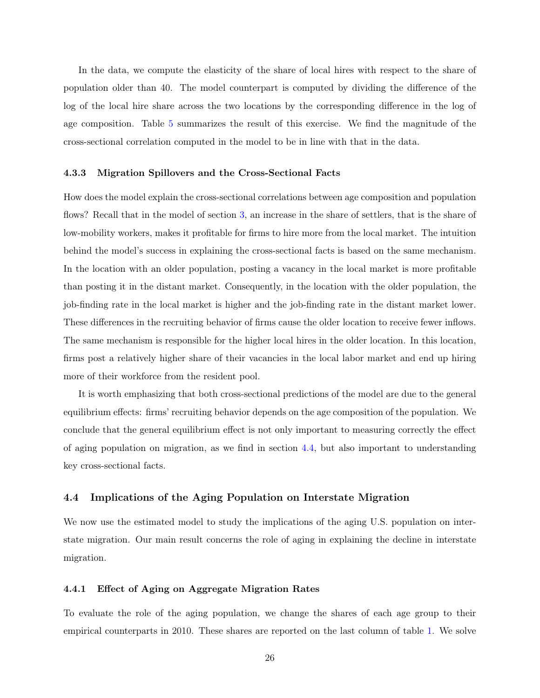In the data, we compute the elasticity of the share of local hires with respect to the share of population older than 40. The model counterpart is computed by dividing the difference of the log of the local hire share across the two locations by the corresponding difference in the log of age composition. Table [5](#page-25-2) summarizes the result of this exercise. We find the magnitude of the cross-sectional correlation computed in the model to be in line with that in the data.

#### 4.3.3 Migration Spillovers and the Cross-Sectional Facts

How does the model explain the cross-sectional correlations between age composition and population flows? Recall that in the model of section [3,](#page-9-0) an increase in the share of settlers, that is the share of low-mobility workers, makes it profitable for firms to hire more from the local market. The intuition behind the model's success in explaining the cross-sectional facts is based on the same mechanism. In the location with an older population, posting a vacancy in the local market is more profitable than posting it in the distant market. Consequently, in the location with the older population, the job-finding rate in the local market is higher and the job-finding rate in the distant market lower. These differences in the recruiting behavior of firms cause the older location to receive fewer inflows. The same mechanism is responsible for the higher local hires in the older location. In this location, firms post a relatively higher share of their vacancies in the local labor market and end up hiring more of their workforce from the resident pool.

It is worth emphasizing that both cross-sectional predictions of the model are due to the general equilibrium effects: firms' recruiting behavior depends on the age composition of the population. We conclude that the general equilibrium effect is not only important to measuring correctly the effect of aging population on migration, as we find in section [4.4,](#page-26-0) but also important to understanding key cross-sectional facts.

#### <span id="page-26-0"></span>4.4 Implications of the Aging Population on Interstate Migration

We now use the estimated model to study the implications of the aging U.S. population on interstate migration. Our main result concerns the role of aging in explaining the decline in interstate migration.

#### 4.4.1 Effect of Aging on Aggregate Migration Rates

To evaluate the role of the aging population, we change the shares of each age group to their empirical counterparts in 2010. These shares are reported on the last column of table [1.](#page-21-0) We solve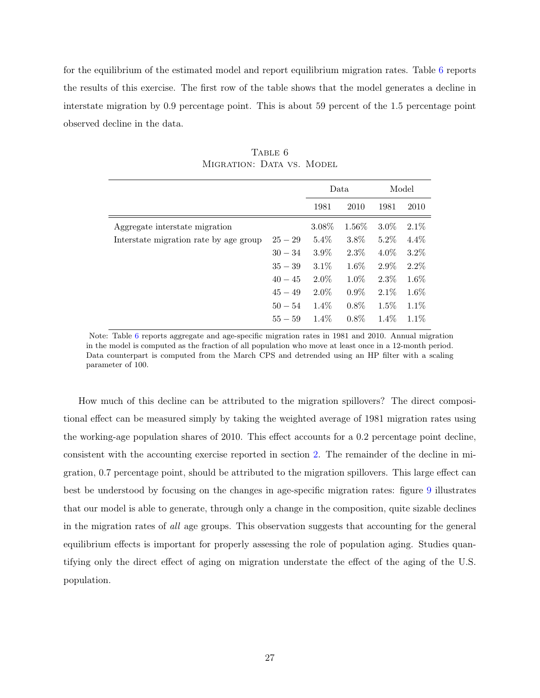for the equilibrium of the estimated model and report equilibrium migration rates. Table [6](#page-27-0) reports the results of this exercise. The first row of the table shows that the model generates a decline in interstate migration by 0.9 percentage point. This is about 59 percent of the 1.5 percentage point observed decline in the data.

<span id="page-27-0"></span>

|                                        |           |         | Data    |         | Model   |
|----------------------------------------|-----------|---------|---------|---------|---------|
|                                        |           | 1981    | 2010    | 1981    | 2010    |
| Aggregate interstate migration         |           | 3.08%   | 1.56%   | $3.0\%$ | 2.1%    |
| Interstate migration rate by age group | $25 - 29$ | $5.4\%$ | 3.8%    | $5.2\%$ | $4.4\%$ |
|                                        | $30 - 34$ | $3.9\%$ | $2.3\%$ | $4.0\%$ | $3.2\%$ |
|                                        | $35 - 39$ | $3.1\%$ | 1.6%    | $2.9\%$ | 2.2%    |
|                                        | $40 - 45$ | 2.0%    | 1.0%    | 2.3%    | 1.6%    |
|                                        | $45 - 49$ | $2.0\%$ | $0.9\%$ | 2.1%    | 1.6%    |
|                                        | $50 - 54$ | 1.4%    | $0.8\%$ | 1.5%    | 1.1%    |
|                                        | $55 - 59$ | $1.4\%$ | $0.8\%$ | $1.4\%$ | $1.1\%$ |

TABLE 6 MIGRATION: DATA VS. MODEL

Note: Table [6](#page-27-0) reports aggregate and age-specific migration rates in 1981 and 2010. Annual migration in the model is computed as the fraction of all population who move at least once in a 12-month period. Data counterpart is computed from the March CPS and detrended using an HP filter with a scaling parameter of 100.

How much of this decline can be attributed to the migration spillovers? The direct compositional effect can be measured simply by taking the weighted average of 1981 migration rates using the working-age population shares of 2010. This effect accounts for a 0.2 percentage point decline, consistent with the accounting exercise reported in section [2.](#page-4-0) The remainder of the decline in migration, 0.7 percentage point, should be attributed to the migration spillovers. This large effect can best be understood by focusing on the changes in age-specific migration rates: figure [9](#page-28-0) illustrates that our model is able to generate, through only a change in the composition, quite sizable declines in the migration rates of all age groups. This observation suggests that accounting for the general equilibrium effects is important for properly assessing the role of population aging. Studies quantifying only the direct effect of aging on migration understate the effect of the aging of the U.S. population.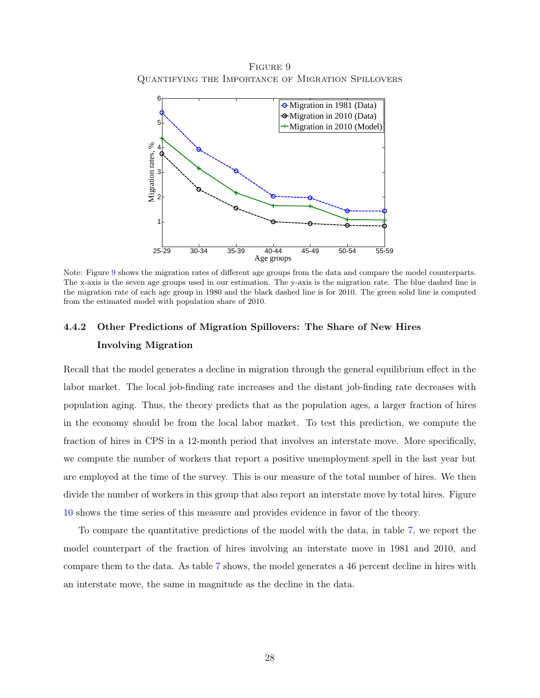<span id="page-28-0"></span>Figure 9 Quantifying the Importance of Migration Spillovers



Note: Figure [9](#page-28-0) shows the migration rates of different age groups from the data and compare the model counterparts. The x-axis is the seven age groups used in our estimation. The y-axis is the migration rate. The blue dashed line is the migration rate of each age group in 1980 and the black dashed line is for 2010. The green solid line is computed from the estimated model with population share of 2010.

# 4.4.2 Other Predictions of Migration Spillovers: The Share of New Hires Involving Migration

Recall that the model generates a decline in migration through the general equilibrium effect in the labor market. The local job-finding rate increases and the distant job-finding rate decreases with population aging. Thus, the theory predicts that as the population ages, a larger fraction of hires in the economy should be from the local labor market. To test this prediction, we compute the fraction of hires in CPS in a 12-month period that involves an interstate move. More specifically, we compute the number of workers that report a positive unemployment spell in the last year but are employed at the time of the survey. This is our measure of the total number of hires. We then divide the number of workers in this group that also report an interstate move by total hires. Figure [10](#page-29-0) shows the time series of this measure and provides evidence in favor of the theory.

To compare the quantitative predictions of the model with the data, in table [7,](#page-29-1) we report the model counterpart of the fraction of hires involving an interstate move in 1981 and 2010, and compare them to the data. As table [7](#page-29-1) shows, the model generates a 46 percent decline in hires with an interstate move, the same in magnitude as the decline in the data.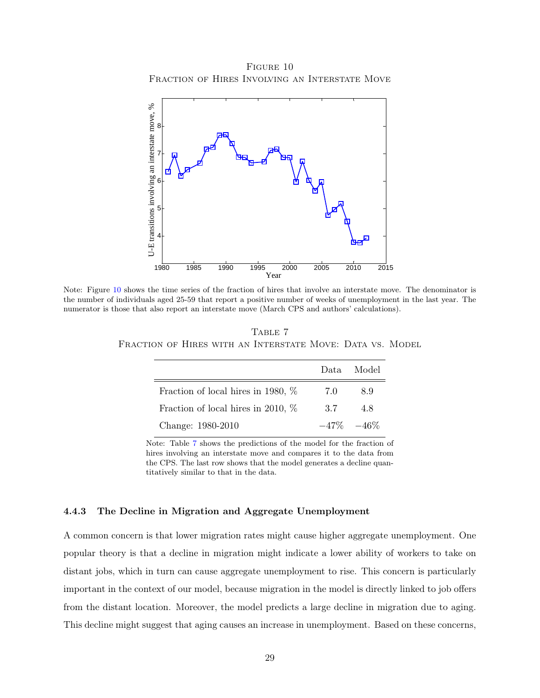FIGURE 10 FRACTION OF HIRES INVOLVING AN INTERSTATE MOVE

<span id="page-29-0"></span>

<span id="page-29-1"></span>Note: Figure [10](#page-29-0) shows the time series of the fraction of hires that involve an interstate move. The denominator is the number of individuals aged 25-59 that report a positive number of weeks of unemployment in the last year. The numerator is those that also report an interstate move (March CPS and authors' calculations).

TABLE 7 FRACTION OF HIRES WITH AN INTERSTATE MOVE: DATA VS. MODEL

|                                       | Data. | Model         |
|---------------------------------------|-------|---------------|
| Fraction of local hires in 1980, $\%$ | 7.0   | 8.9           |
| Fraction of local hires in 2010, $\%$ | 3.7   | 4.8           |
| Change: 1980-2010                     |       | $-47\% -46\%$ |

Note: Table [7](#page-29-1) shows the predictions of the model for the fraction of hires involving an interstate move and compares it to the data from the CPS. The last row shows that the model generates a decline quantitatively similar to that in the data.

#### 4.4.3 The Decline in Migration and Aggregate Unemployment

A common concern is that lower migration rates might cause higher aggregate unemployment. One popular theory is that a decline in migration might indicate a lower ability of workers to take on distant jobs, which in turn can cause aggregate unemployment to rise. This concern is particularly important in the context of our model, because migration in the model is directly linked to job offers from the distant location. Moreover, the model predicts a large decline in migration due to aging. This decline might suggest that aging causes an increase in unemployment. Based on these concerns,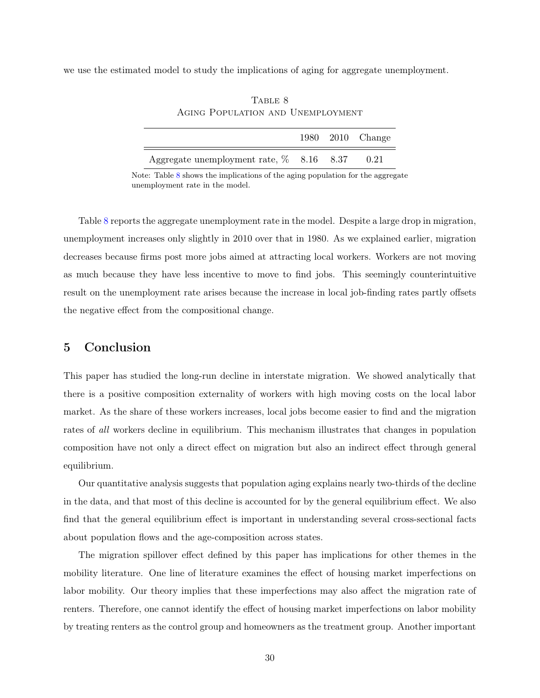<span id="page-30-1"></span>we use the estimated model to study the implications of aging for aggregate unemployment.

|                                             |  | 1980 2010 Change |
|---------------------------------------------|--|------------------|
| Aggregate unemployment rate, $\%$ 8.16 8.37 |  | 0.21             |

TABLE 8 Aging Population and Unemployment

Note: Table [8](#page-30-1) shows the implications of the aging population for the aggregate unemployment rate in the model.

Table [8](#page-30-1) reports the aggregate unemployment rate in the model. Despite a large drop in migration, unemployment increases only slightly in 2010 over that in 1980. As we explained earlier, migration decreases because firms post more jobs aimed at attracting local workers. Workers are not moving as much because they have less incentive to move to find jobs. This seemingly counterintuitive result on the unemployment rate arises because the increase in local job-finding rates partly offsets the negative effect from the compositional change.

### <span id="page-30-0"></span>5 Conclusion

This paper has studied the long-run decline in interstate migration. We showed analytically that there is a positive composition externality of workers with high moving costs on the local labor market. As the share of these workers increases, local jobs become easier to find and the migration rates of all workers decline in equilibrium. This mechanism illustrates that changes in population composition have not only a direct effect on migration but also an indirect effect through general equilibrium.

Our quantitative analysis suggests that population aging explains nearly two-thirds of the decline in the data, and that most of this decline is accounted for by the general equilibrium effect. We also find that the general equilibrium effect is important in understanding several cross-sectional facts about population flows and the age-composition across states.

The migration spillover effect defined by this paper has implications for other themes in the mobility literature. One line of literature examines the effect of housing market imperfections on labor mobility. Our theory implies that these imperfections may also affect the migration rate of renters. Therefore, one cannot identify the effect of housing market imperfections on labor mobility by treating renters as the control group and homeowners as the treatment group. Another important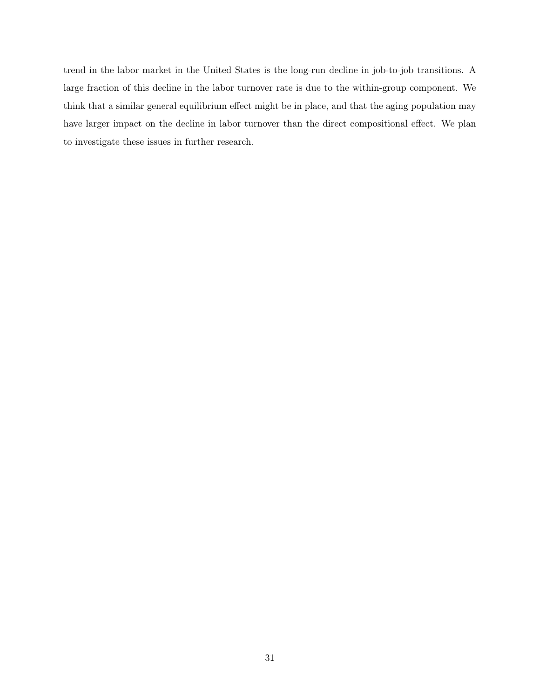trend in the labor market in the United States is the long-run decline in job-to-job transitions. A large fraction of this decline in the labor turnover rate is due to the within-group component. We think that a similar general equilibrium effect might be in place, and that the aging population may have larger impact on the decline in labor turnover than the direct compositional effect. We plan to investigate these issues in further research.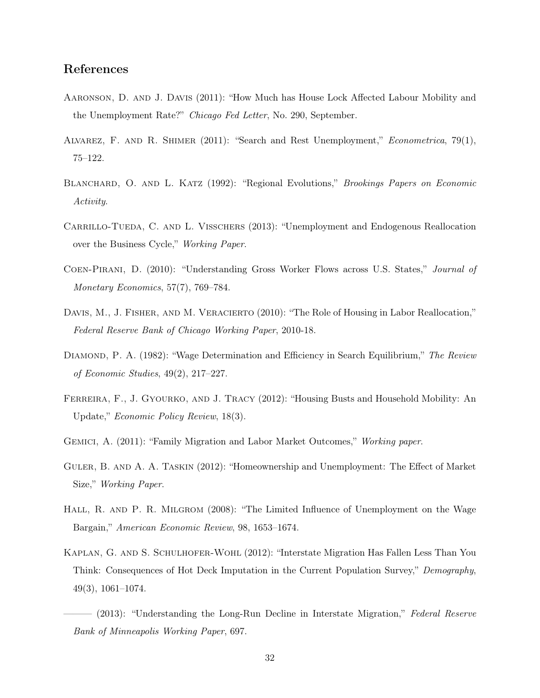# References

- <span id="page-32-6"></span>Aaronson, D. and J. Davis (2011): "How Much has House Lock Affected Labour Mobility and the Unemployment Rate?" Chicago Fed Letter, No. 290, September.
- <span id="page-32-4"></span>Alvarez, F. and R. Shimer (2011): "Search and Rest Unemployment," Econometrica, 79(1), 75–122.
- <span id="page-32-2"></span>BLANCHARD, O. AND L. KATZ (1992): "Regional Evolutions," *Brookings Papers on Economic* Activity.
- <span id="page-32-5"></span>CARRILLO-TUEDA, C. AND L. VISSCHERS (2013): "Unemployment and Endogenous Reallocation over the Business Cycle," Working Paper.
- <span id="page-32-3"></span>Coen-Pirani, D. (2010): "Understanding Gross Worker Flows across U.S. States," Journal of Monetary Economics, 57(7), 769–784.
- <span id="page-32-8"></span>DAVIS, M., J. FISHER, AND M. VERACIERTO (2010): "The Role of Housing in Labor Reallocation," Federal Reserve Bank of Chicago Working Paper, 2010-18.
- <span id="page-32-9"></span>DIAMOND, P. A. (1982): "Wage Determination and Efficiency in Search Equilibrium," The Review of Economic Studies, 49(2), 217–227.
- <span id="page-32-7"></span>FERREIRA, F., J. GYOURKO, AND J. TRACY (2012): "Housing Busts and Household Mobility: An Update," Economic Policy Review, 18(3).
- <span id="page-32-1"></span>Gemici, A. (2011): "Family Migration and Labor Market Outcomes," Working paper.
- <span id="page-32-12"></span>Guler, B. and A. A. Taskin (2012): "Homeownership and Unemployment: The Effect of Market Size," Working Paper.
- <span id="page-32-10"></span>HALL, R. AND P. R. MILGROM (2008): "The Limited Influence of Unemployment on the Wage Bargain," American Economic Review, 98, 1653–1674.
- <span id="page-32-11"></span>Kaplan, G. and S. Schulhofer-Wohl (2012): "Interstate Migration Has Fallen Less Than You Think: Consequences of Hot Deck Imputation in the Current Population Survey," Demography, 49(3), 1061–1074.
- <span id="page-32-0"></span> $(2013)$ : "Understanding the Long-Run Decline in Interstate Migration," Federal Reserve Bank of Minneapolis Working Paper, 697.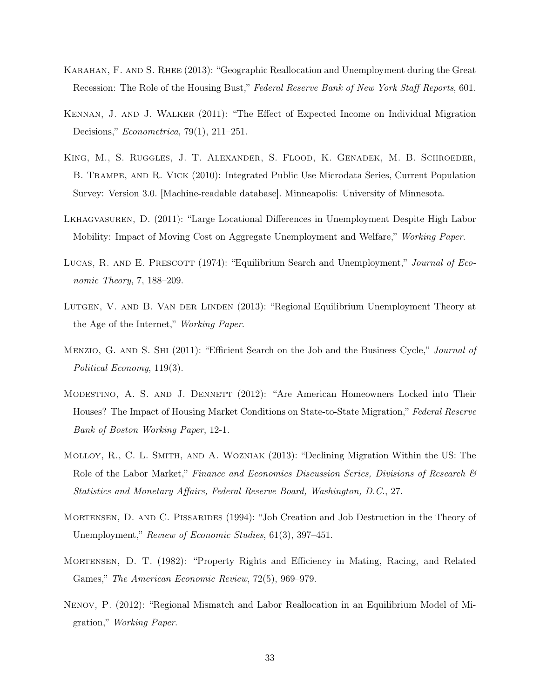- <span id="page-33-7"></span>Karahan, F. and S. Rhee (2013): "Geographic Reallocation and Unemployment during the Great Recession: The Role of the Housing Bust," Federal Reserve Bank of New York Staff Reports, 601.
- <span id="page-33-1"></span>Kennan, J. and J. Walker (2011): "The Effect of Expected Income on Individual Migration Decisions," Econometrica, 79(1), 211–251.
- <span id="page-33-11"></span>King, M., S. Ruggles, J. T. Alexander, S. Flood, K. Genadek, M. B. Schroeder, B. Trampe, and R. Vick (2010): Integrated Public Use Microdata Series, Current Population Survey: Version 3.0. [Machine-readable database]. Minneapolis: University of Minnesota.
- <span id="page-33-4"></span>Lkhagvasuren, D. (2011): "Large Locational Differences in Unemployment Despite High Labor Mobility: Impact of Moving Cost on Aggregate Unemployment and Welfare," Working Paper.
- <span id="page-33-2"></span>LUCAS, R. AND E. PRESCOTT (1974): "Equilibrium Search and Unemployment," *Journal of Eco*nomic Theory, 7, 188–209.
- <span id="page-33-8"></span>LUTGEN, V. AND B. VAN DER LINDEN (2013): "Regional Equilibrium Unemployment Theory at the Age of the Internet," Working Paper.
- <span id="page-33-10"></span>MENZIO, G. AND S. SHI (2011): "Efficient Search on the Job and the Business Cycle," *Journal of* Political Economy, 119(3).
- <span id="page-33-5"></span>MODESTINO, A. S. AND J. DENNETT (2012): "Are American Homeowners Locked into Their Houses? The Impact of Housing Market Conditions on State-to-State Migration," Federal Reserve Bank of Boston Working Paper, 12-1.
- <span id="page-33-0"></span>Molloy, R., C. L. Smith, and A. Wozniak (2013): "Declining Migration Within the US: The Role of the Labor Market," Finance and Economics Discussion Series, Divisions of Research & Statistics and Monetary Affairs, Federal Reserve Board, Washington, D.C., 27.
- <span id="page-33-3"></span>Mortensen, D. and C. Pissarides (1994): "Job Creation and Job Destruction in the Theory of Unemployment," Review of Economic Studies, 61(3), 397–451.
- <span id="page-33-9"></span>Mortensen, D. T. (1982): "Property Rights and Efficiency in Mating, Racing, and Related Games," The American Economic Review, 72(5), 969–979.
- <span id="page-33-6"></span>Nenov, P. (2012): "Regional Mismatch and Labor Reallocation in an Equilibrium Model of Migration," Working Paper.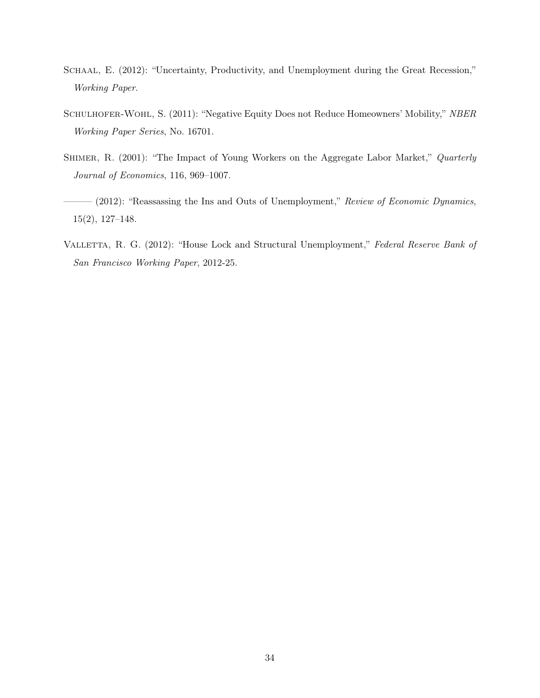- <span id="page-34-3"></span>SCHAAL, E. (2012): "Uncertainty, Productivity, and Unemployment during the Great Recession," Working Paper.
- <span id="page-34-2"></span>SCHULHOFER-WOHL, S. (2011): "Negative Equity Does not Reduce Homeowners' Mobility," NBER Working Paper Series, No. 16701.
- <span id="page-34-0"></span>SHIMER, R. (2001): "The Impact of Young Workers on the Aggregate Labor Market," Quarterly Journal of Economics, 116, 969–1007.
- <span id="page-34-4"></span> $-$  (2012): "Reassassing the Ins and Outs of Unemployment," Review of Economic Dynamics, 15(2), 127–148.
- <span id="page-34-1"></span>VALLETTA, R. G. (2012): "House Lock and Structural Unemployment," Federal Reserve Bank of San Francisco Working Paper, 2012-25.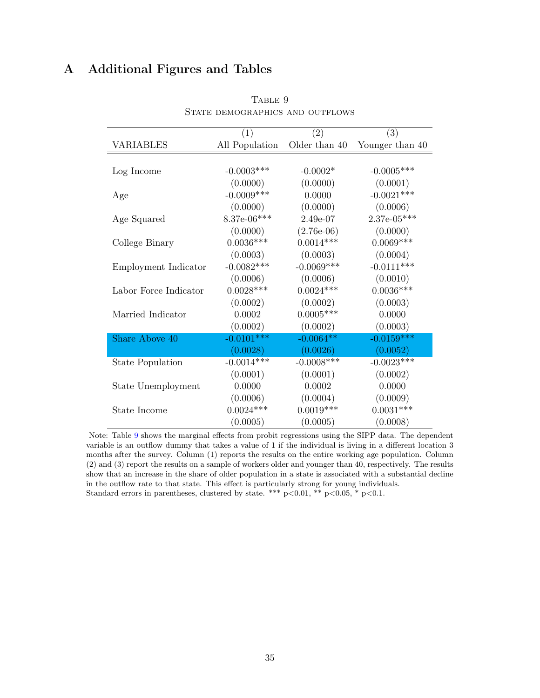# <span id="page-35-1"></span><span id="page-35-0"></span>A Additional Figures and Tables

|                         | (1)            | (2)           | (3)             |
|-------------------------|----------------|---------------|-----------------|
| <b>VARIABLES</b>        | All Population | Older than 40 | Younger than 40 |
|                         |                |               |                 |
| Log Income              | $-0.0003$ ***  | $-0.0002*$    | $-0.0005***$    |
|                         | (0.0000)       | (0.0000)      | (0.0001)        |
| Age                     | $-0.0009***$   | 0.0000        | $-0.0021***$    |
|                         | (0.0000)       | (0.0000)      | (0.0006)        |
| Age Squared             | $8.37e-06***$  | 2.49e-07      | $2.37e-05***$   |
|                         | (0.0000)       | $(2.76e-06)$  | (0.0000)        |
| College Binary          | $0.0036***$    | $0.0014***$   | $0.0069***$     |
|                         | (0.0003)       | (0.0003)      | (0.0004)        |
| Employment Indicator    | $-0.0082***$   | $-0.0069***$  | $-0.0111***$    |
|                         | (0.0006)       | (0.0006)      | (0.0010)        |
| Labor Force Indicator   | $0.0028***$    | $0.0024***$   | $0.0036***$     |
|                         | (0.0002)       | (0.0002)      | (0.0003)        |
| Married Indicator       | 0.0002         | $0.0005***$   | 0.0000          |
|                         | (0.0002)       | (0.0002)      | (0.0003)        |
| Share Above 40          | $-0.0101***$   | $-0.0064**$   | $-0.0159***$    |
|                         | (0.0028)       | (0.0026)      | (0.0052)        |
| <b>State Population</b> | $-0.0014***$   | $-0.0008$ *** | $-0.0023***$    |
|                         | (0.0001)       | (0.0001)      | (0.0002)        |
| State Unemployment      | 0.0000         | 0.0002        | 0.0000          |
|                         | (0.0006)       | (0.0004)      | (0.0009)        |
| State Income            | $0.0024***$    | $0.0019***$   | $0.0031***$     |
|                         | (0.0005)       | (0.0005)      | (0.0008)        |

TABLE 9 STATE DEMOGRAPHICS AND OUTFLOWS

Note: Table [9](#page-35-1) shows the marginal effects from probit regressions using the SIPP data. The dependent variable is an outflow dummy that takes a value of 1 if the individual is living in a different location 3 months after the survey. Column (1) reports the results on the entire working age population. Column (2) and (3) report the results on a sample of workers older and younger than 40, respectively. The results show that an increase in the share of older population in a state is associated with a substantial decline in the outflow rate to that state. This effect is particularly strong for young individuals. Standard errors in parentheses, clustered by state. \*\*\* p<0.01, \*\* p<0.05, \* p<0.1.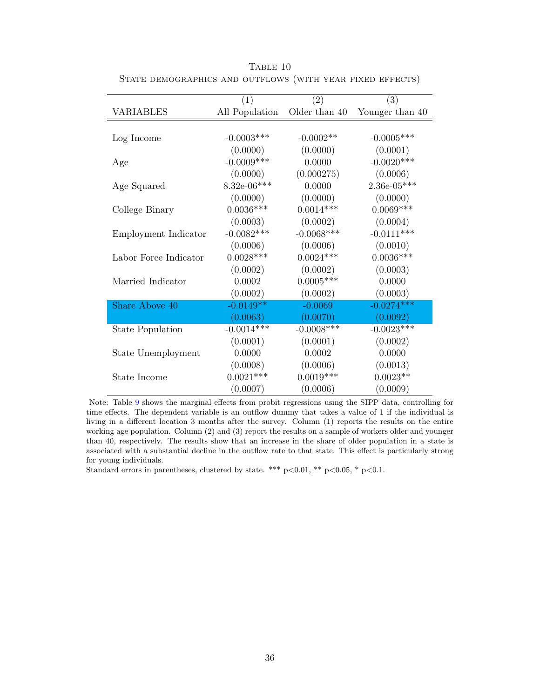|                         | (1)            | (2)           | (3)             |
|-------------------------|----------------|---------------|-----------------|
| VARIABLES               | All Population | Older than 40 | Younger than 40 |
|                         |                |               |                 |
| Log Income              | $-0.0003$ ***  | $-0.0002**$   | $-0.0005$ ***   |
|                         | (0.0000)       | (0.0000)      | (0.0001)        |
| Age                     | $-0.0009$ ***  | 0.0000        | $-0.0020***$    |
|                         | (0.0000)       | (0.000275)    | (0.0006)        |
| Age Squared             | $8.32e-06***$  | 0.0000        | $2.36e-05***$   |
|                         | (0.0000)       | (0.0000)      | (0.0000)        |
| College Binary          | $0.0036***$    | $0.0014***$   | $0.0069***$     |
|                         | (0.0003)       | (0.0002)      | (0.0004)        |
| Employment Indicator    | $-0.0082***$   | $-0.0068$ *** | $-0.0111***$    |
|                         | (0.0006)       | (0.0006)      | (0.0010)        |
| Labor Force Indicator   | $0.0028***$    | $0.0024***$   | $0.0036***$     |
|                         | (0.0002)       | (0.0002)      | (0.0003)        |
| Married Indicator       | 0.0002         | $0.0005***$   | 0.0000          |
|                         | (0.0002)       | (0.0002)      | (0.0003)        |
| Share Above 40          | $-0.0149**$    | $-0.0069$     | $-0.0274***$    |
|                         | (0.0063)       | (0.0070)      | (0.0092)        |
| <b>State Population</b> | $-0.0014***$   | $-0.0008***$  | $-0.0023***$    |
|                         | (0.0001)       | (0.0001)      | (0.0002)        |
| State Unemployment      | 0.0000         | 0.0002        | 0.0000          |
|                         | (0.0008)       | (0.0006)      | (0.0013)        |
| State Income            | $0.0021***$    | $0.0019***$   | $0.0023**$      |
|                         | (0.0007)       | (0.0006)      | (0.0009)        |

<span id="page-36-0"></span>TABLE 10 STATE DEMOGRAPHICS AND OUTFLOWS (WITH YEAR FIXED EFFECTS)

Note: Table [9](#page-35-1) shows the marginal effects from probit regressions using the SIPP data, controlling for time effects. The dependent variable is an outflow dummy that takes a value of 1 if the individual is living in a different location 3 months after the survey. Column (1) reports the results on the entire working age population. Column (2) and (3) report the results on a sample of workers older and younger than 40, respectively. The results show that an increase in the share of older population in a state is associated with a substantial decline in the outflow rate to that state. This effect is particularly strong for young individuals.

Standard errors in parentheses, clustered by state. \*\*\* p<0.01, \*\* p<0.05, \* p<0.1.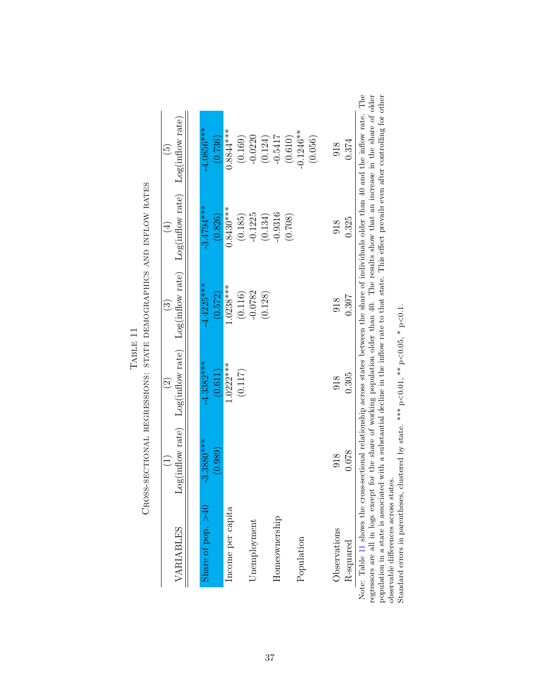<span id="page-37-0"></span>

| VARIABLES           |                         | $\widehat{\Omega}$      | $\widehat{\mathbb{C}}$  | Log(inflow rate) Log(inflow rate) Log(inflow rate) Log(inflow rate) Log(inflow rate)<br>$\overline{4}$ | $\widetilde{\Theta}$    |
|---------------------|-------------------------|-------------------------|-------------------------|--------------------------------------------------------------------------------------------------------|-------------------------|
| Share of pop. $>40$ | $-3.3880***$<br>(0.989) | $-4.3382***$<br>(0.611) | $-4.4225***$<br>(0.572) | $-3.4794***$<br>(0.826)                                                                                | $-4.0856***$<br>(0.736) |
| Income per capita   |                         | $1.0222***$             | $1.0238***$             | $0.8430***$                                                                                            | $0.8844***$             |
|                     |                         | (0.117)                 | (0.116)                 | (0.185)                                                                                                | (0.169)                 |
| Unemployment        |                         |                         | $-0.0782$               | $-0.1225$                                                                                              | $-0.0220$               |
|                     |                         |                         | (0.128)                 | (0.134)                                                                                                | (0.124)                 |
| Homeownership       |                         |                         |                         | $-0.9316$                                                                                              | $-0.5417$               |
|                     |                         |                         |                         | (0.708)                                                                                                | (0.610)                 |
| Population          |                         |                         |                         |                                                                                                        | $-0.1246**$             |
|                     |                         |                         |                         |                                                                                                        | (0.056)                 |
| Observations        | 918                     | 918                     | 918                     | 918                                                                                                    | 918                     |
| R-squared           | 0.078                   | 0.305                   | 0.307                   | 0.325                                                                                                  | 0.374                   |

| $\ddot{F}$<br>ו<br>ו<br>ו | י<br>גע<br><b>THE CANTER OF</b><br>$\cdots$ $\cdots$ $\cdots$ $\cdots$ $\cdots$ $\cdots$ $\cdots$ $\cdots$ $\cdots$ $\cdots$ $\cdots$ $\cdots$ $\cdots$ $\cdots$ $\cdots$ $\cdots$ $\cdots$ $\cdots$ $\cdots$ $\cdots$ $\cdots$ $\cdots$ $\cdots$ $\cdots$ $\cdots$ $\cdots$ $\cdots$ $\cdots$ $\cdots$ $\cdots$ $\cdots$ $\cdots$ $\cdots$ $\cdots$ $\cdots$ $\cdots$ $\cdots$ |
|---------------------------|---------------------------------------------------------------------------------------------------------------------------------------------------------------------------------------------------------------------------------------------------------------------------------------------------------------------------------------------------------------------------------|
|                           | ・・・・・)                                                                                                                                                                                                                                                                                                                                                                          |

Note: Table 11 shows the cross-sectional relationship across states between the share of individuals older than 40 and the inflow rate. The regressors are all in logs except for the share of working population older than Note: Table [11](#page-37-0) shows the cross-sectional relationship across states between the share of individuals older than 40 and the inflow rate. The regressors are all in logs except for the share of working population older than 40. The results show that an increase in the share of older population in a state is associated with a substantial decline in the inflow rate to that state. This effect prevails even after controlling for other

observable differences across states. Standard errors in parentheses, clustered by state. \*\*\*  $p<0.01$ , \*\*  $p<0.05$ , \*  $p<0.1$ .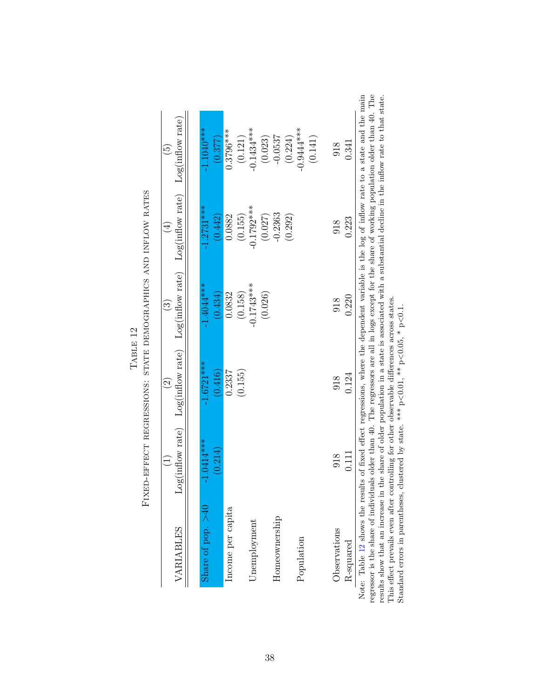<span id="page-38-0"></span>

|                                                                                                                                                                                                                                                                                           |              | $\widehat{\Omega}$                                                                                  | $\widehat{S}$ | $\widehat{\Xi}$ | $\widetilde{\Theta}$ |
|-------------------------------------------------------------------------------------------------------------------------------------------------------------------------------------------------------------------------------------------------------------------------------------------|--------------|-----------------------------------------------------------------------------------------------------|---------------|-----------------|----------------------|
| VARIABLES                                                                                                                                                                                                                                                                                 |              | $Log(inflow\ rate)$ $Log(inflow\ rate)$ $Log(inflow\ rate)$ $Log(inflow\ rate)$ $Log(inflow\ rate)$ |               |                 |                      |
| Share of pop. $>40$                                                                                                                                                                                                                                                                       | $-1.0414***$ | $-1.6721***$                                                                                        | $-1.4044***$  | $-1.2731***$    | $-1.1040***$         |
|                                                                                                                                                                                                                                                                                           | (0.214)      | (0.416)                                                                                             | (0.434)       | (0.442)         | (0.377)              |
| Income per capita                                                                                                                                                                                                                                                                         |              | 0.2337                                                                                              | 0.0832        | 0.0882          | $0.3796***$          |
|                                                                                                                                                                                                                                                                                           |              | (0.155)                                                                                             | (0.158)       | (0.155)         | (0.121)              |
| Unemployment                                                                                                                                                                                                                                                                              |              |                                                                                                     | $-0.1743***$  | $-0.1792***$    | $-0.1434***$         |
|                                                                                                                                                                                                                                                                                           |              |                                                                                                     | (0.026)       | (0.027)         | (0.023)              |
| Homeownership                                                                                                                                                                                                                                                                             |              |                                                                                                     |               | $-0.2363$       | $-0.0537$            |
|                                                                                                                                                                                                                                                                                           |              |                                                                                                     |               | (0.292)         | (0.224)              |
| Population                                                                                                                                                                                                                                                                                |              |                                                                                                     |               |                 | $-0.9444***$         |
|                                                                                                                                                                                                                                                                                           |              |                                                                                                     |               |                 | (0.141)              |
| Observations                                                                                                                                                                                                                                                                              | 918          | 918                                                                                                 | 918           | 918             | 918                  |
| R-squared                                                                                                                                                                                                                                                                                 | 0.111        | 0.124                                                                                               | 0.220         | 0.223           | 0.341                |
| te: Table 12 shows the results of fixed effect regressions, where the dependent variable is the log of inflow rate to a state and the mai<br>essor is the share of individuals older than 40. The regressors are all in logs except for the share of working population older than 40. Th |              |                                                                                                     |               |                 |                      |

| í<br>$\frac{1}{1}$ | Erven-eerch becaused chap, enang benoce abhics and influence amb |
|--------------------|------------------------------------------------------------------|
|                    |                                                                  |
|                    |                                                                  |
|                    |                                                                  |
|                    | l                                                                |

Note: Table 12 shows the results of fixed effect regressions, where the dependent variable is the log of inflow rate to a state and the main regressor is the share of individuals older than 40. The regressors are all in l Note: Table [12](#page-38-0) shows the results of fixed effect regressions, where the dependent variable is the log of inflow rate to a state and the main regressor is the share of individuals older than 40. The regressors are all in logs except for the share of working population older than 40. The results show that an increase in the share of older population in a state is associated with a substantial decline in the inflow rate to that state.

This effect prevails even after controlling for other observable differences across states. Standard errors in parentheses, clustered by state. \*\*\*  $p<0.01$ , \*\*  $p<0.05$ , \*  $p<0.1$ .

38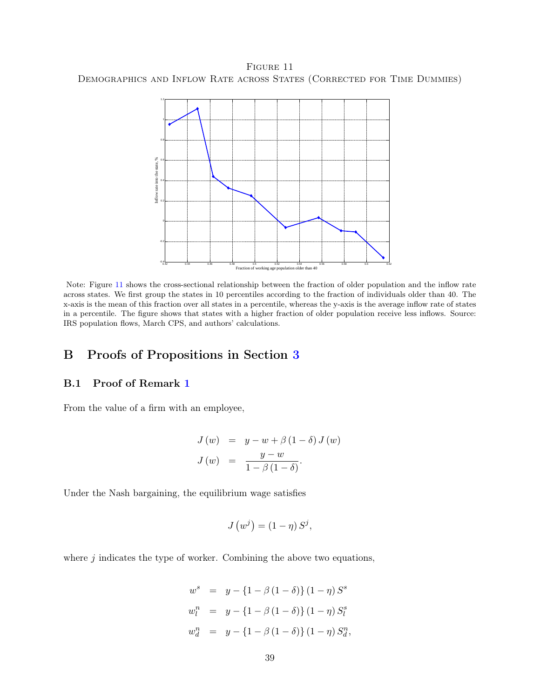<span id="page-39-2"></span>FIGURE 11 Demographics and Inflow Rate across States (Corrected for Time Dummies)



Note: Figure [11](#page-39-2) shows the cross-sectional relationship between the fraction of older population and the inflow rate across states. We first group the states in 10 percentiles according to the fraction of individuals older than 40. The x-axis is the mean of this fraction over all states in a percentile, whereas the y-axis is the average inflow rate of states in a percentile. The figure shows that states with a higher fraction of older population receive less inflows. Source: IRS population flows, March CPS, and authors' calculations.

# <span id="page-39-1"></span>B Proofs of Propositions in Section [3](#page-9-0)

### <span id="page-39-0"></span>B.1 Proof of Remark [1](#page-12-0)

From the value of a firm with an employee,

$$
J(w) = y - w + \beta (1 - \delta) J(w)
$$
  

$$
J(w) = \frac{y - w}{1 - \beta (1 - \delta)}.
$$

Under the Nash bargaining, the equilibrium wage satisfies

$$
J(w^{j}) = (1 - \eta) S^{j},
$$

where  $j$  indicates the type of worker. Combining the above two equations,

$$
w^{s} = y - \{1 - \beta (1 - \delta)\} (1 - \eta) S^{s}
$$
  
\n
$$
w_{l}^{n} = y - \{1 - \beta (1 - \delta)\} (1 - \eta) S_{l}^{s}
$$
  
\n
$$
w_{d}^{n} = y - \{1 - \beta (1 - \delta)\} (1 - \eta) S_{d}^{n},
$$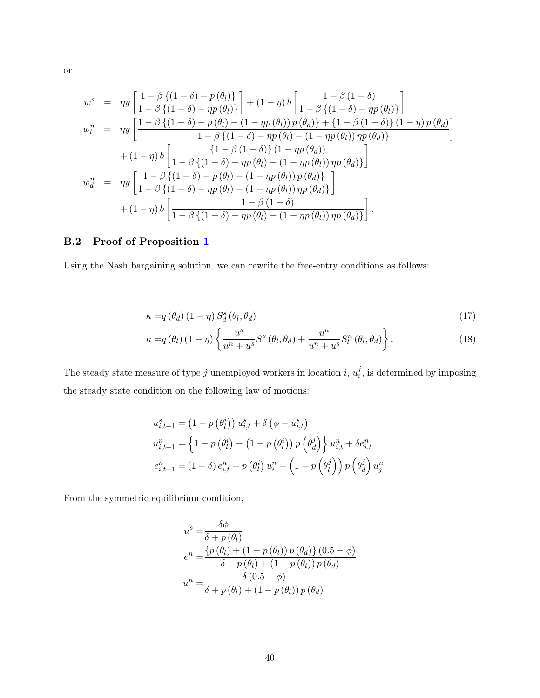$$
w^{s} = \eta y \left[ \frac{1 - \beta \{ (1 - \delta) - p(\theta_{l}) \}}{1 - \beta \{ (1 - \delta) - \eta p(\theta_{l}) \}} \right] + (1 - \eta) b \left[ \frac{1 - \beta (1 - \delta)}{1 - \beta \{ (1 - \delta) - \eta p(\theta_{l}) \}} \right]
$$
  
\n
$$
w_{l}^{n} = \eta y \left[ \frac{1 - \beta \{ (1 - \delta) - p(\theta_{l}) - (1 - \eta p(\theta_{l})) p(\theta_{d}) \} + \{ 1 - \beta (1 - \delta) \} (1 - \eta) p(\theta_{d}) \}}{1 - \beta \{ (1 - \delta) - \eta p(\theta_{l}) - (1 - \eta p(\theta_{l})) \eta p(\theta_{d}) \}} \right]
$$
  
\n
$$
+ (1 - \eta) b \left[ \frac{\{ 1 - \beta (1 - \delta) \} (1 - \eta p(\theta_{l}))}{1 - \beta \{ (1 - \delta) - \eta p(\theta_{l}) - (1 - \eta p(\theta_{l})) \eta p(\theta_{d}) \}} \right]
$$
  
\n
$$
w_{d}^{n} = \eta y \left[ \frac{1 - \beta \{ (1 - \delta) - p(\theta_{l}) - (1 - \eta p(\theta_{l})) p(\theta_{d}) \}}{1 - \beta \{ (1 - \delta) - \eta p(\theta_{l}) - (1 - \eta p(\theta_{l})) \eta p(\theta_{d}) \}} \right]
$$
  
\n
$$
+ (1 - \eta) b \left[ \frac{1 - \beta (1 - \delta)}{1 - \beta \{ (1 - \delta) - \eta p(\theta_{l}) - (1 - \eta p(\theta_{l})) \eta p(\theta_{d}) \}} \right].
$$

# B.2 Proof of Proposition [1](#page-12-1)

Using the Nash bargaining solution, we can rewrite the free-entry conditions as follows:

$$
\kappa = q(\theta_d) (1 - \eta) S_d^s(\theta_l, \theta_d) \tag{17}
$$

<span id="page-40-0"></span>
$$
\kappa = q(\theta_l) (1 - \eta) \left\{ \frac{u^s}{u^n + u^s} S^s (\theta_l, \theta_d) + \frac{u^n}{u^n + u^s} S_l^n (\theta_l, \theta_d) \right\}.
$$
 (18)

The steady state measure of type j unemployed workers in location i,  $u_i^j$  $i_i$ , is determined by imposing the steady state condition on the following law of motions:

$$
u_{i,t+1}^{s} = (1 - p(\theta_{l}^{i})) u_{i,t}^{s} + \delta(\phi - u_{i,t}^{s})
$$
  
\n
$$
u_{i,t+1}^{n} = \left\{ 1 - p(\theta_{l}^{i}) - (1 - p(\theta_{l}^{i})) p(\theta_{d}^{j}) \right\} u_{i,t}^{n} + \delta e_{i,t}^{n}
$$
  
\n
$$
e_{i,t+1}^{n} = (1 - \delta) e_{i,t}^{n} + p(\theta_{l}^{i}) u_{i}^{n} + (1 - p(\theta_{l}^{j})) p(\theta_{d}^{j}) u_{j}^{n}.
$$

From the symmetric equilibrium condition,

$$
u^{s} = \frac{\delta\phi}{\delta + p(\theta_{l})}
$$
  
\n
$$
e^{n} = \frac{\{p(\theta_{l}) + (1 - p(\theta_{l}))p(\theta_{d})\} (0.5 - \phi)}{\delta + p(\theta_{l}) + (1 - p(\theta_{l}))p(\theta_{d})}
$$
  
\n
$$
u^{n} = \frac{\delta(0.5 - \phi)}{\delta + p(\theta_{l}) + (1 - p(\theta_{l}))p(\theta_{d})}
$$

or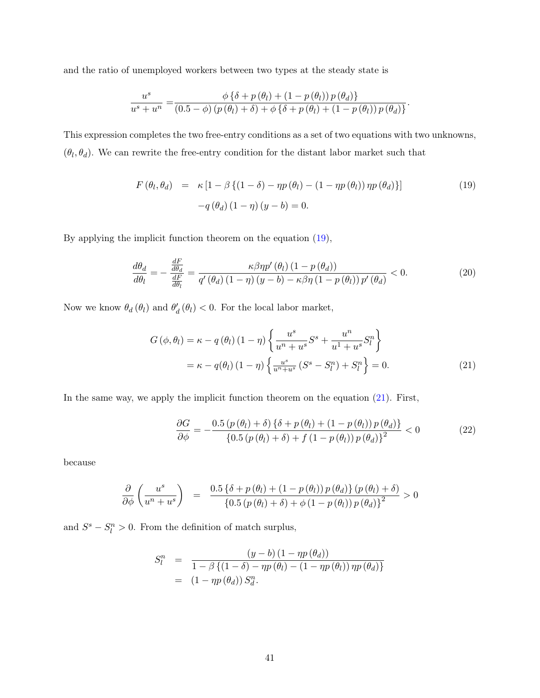and the ratio of unemployed workers between two types at the steady state is

$$
\frac{u^s}{u^s + u^n} = \frac{\phi \left\{ \delta + p(\theta_l) + (1 - p(\theta_l)) p(\theta_d) \right\}}{(0.5 - \phi) (p(\theta_l) + \delta) + \phi \left\{ \delta + p(\theta_l) + (1 - p(\theta_l)) p(\theta_d) \right\}}.
$$

This expression completes the two free-entry conditions as a set of two equations with two unknowns,  $(\theta_l, \theta_d)$ . We can rewrite the free-entry condition for the distant labor market such that

<span id="page-41-0"></span>
$$
F(\theta_l, \theta_d) = \kappa \left[ 1 - \beta \left\{ (1 - \delta) - \eta p(\theta_l) - (1 - \eta p(\theta_l)) \eta p(\theta_d) \right\} \right]
$$
  
-
$$
q(\theta_d) (1 - \eta) (y - b) = 0.
$$
 (19)

By applying the implicit function theorem on the equation [\(19\)](#page-41-0),

$$
\frac{d\theta_d}{d\theta_l} = -\frac{\frac{dF}{d\theta_d}}{\frac{dF}{d\theta_l}} = \frac{\kappa \beta \eta p'(\theta_l) (1 - p(\theta_d))}{q'(\theta_d) (1 - \eta) (y - b) - \kappa \beta \eta (1 - p(\theta_l)) p'(\theta_d)} < 0.
$$
\n(20)

Now we know  $\theta_d(\theta_l)$  and  $\theta'_d(\theta_l) < 0$ . For the local labor market,

<span id="page-41-2"></span>
$$
G(\phi, \theta_l) = \kappa - q(\theta_l) (1 - \eta) \left\{ \frac{u^s}{u^n + u^s} S^s + \frac{u^n}{u^1 + u^s} S^n_l \right\}
$$

$$
= \kappa - q(\theta_l) (1 - \eta) \left\{ \frac{u^s}{u^n + u^s} (S^s - S^m_l) + S^n_l \right\} = 0.
$$
 (21)

In the same way, we apply the implicit function theorem on the equation [\(21\)](#page-41-1). First,

<span id="page-41-1"></span>
$$
\frac{\partial G}{\partial \phi} = -\frac{0.5 \left( p \left( \theta_l \right) + \delta \right) \left\{ \delta + p \left( \theta_l \right) + \left( 1 - p \left( \theta_l \right) \right) p \left( \theta_d \right) \right\}}{\left\{ 0.5 \left( p \left( \theta_l \right) + \delta \right) + f \left( 1 - p \left( \theta_l \right) \right) p \left( \theta_d \right) \right\}^2} < 0 \tag{22}
$$

because

$$
\frac{\partial}{\partial \phi} \left( \frac{u^s}{u^n + u^s} \right) = \frac{0.5 \left\{ \delta + p(\theta_l) + (1 - p(\theta_l)) p(\theta_d) \right\} (p(\theta_l) + \delta)}{\left\{ 0.5 \left( p(\theta_l) + \delta \right) + \phi \left( 1 - p(\theta_l) \right) p(\theta_d) \right\}^2} > 0
$$

and  $S^s - S_l^n > 0$ . From the definition of match surplus,

$$
S_l^n = \frac{(y-b) (1 - \eta p(\theta_d))}{1 - \beta \{(1-\delta) - \eta p(\theta_l) - (1 - \eta p(\theta_l)) \eta p(\theta_d)\}}
$$
  
= 
$$
(1 - \eta p(\theta_d)) S_d^n.
$$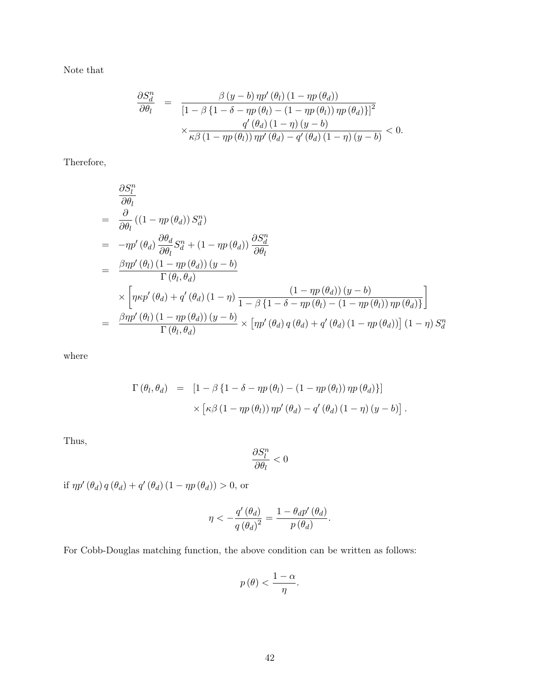Note that

$$
\frac{\partial S_d^n}{\partial \theta_l} = \frac{\beta (y - b) \eta p'(\theta_l) (1 - \eta p(\theta_d))}{\left[1 - \beta \{1 - \delta - \eta p(\theta_l) - (1 - \eta p(\theta_l)) \eta p(\theta_d)\}\right]^2} \times \frac{q'(\theta_d) (1 - \eta) (y - b)}{\kappa \beta (1 - \eta p(\theta_l)) \eta p'(\theta_d) - q'(\theta_d) (1 - \eta) (y - b)} < 0.
$$

Therefore,

$$
\frac{\partial S_l^n}{\partial \theta_l}
$$
\n
$$
= \frac{\partial}{\partial \theta_l} ((1 - \eta p(\theta_d)) S_d^n)
$$
\n
$$
= -\eta p'(\theta_d) \frac{\partial \theta_d}{\partial \theta_l} S_d^n + (1 - \eta p(\theta_d)) \frac{\partial S_d^n}{\partial \theta_l}
$$
\n
$$
= \frac{\beta \eta p'(\theta_l) (1 - \eta p(\theta_d)) (y - b)}{\Gamma(\theta_l, \theta_d)}
$$
\n
$$
\times \left[ \eta \kappa p'(\theta_d) + q'(\theta_d) (1 - \eta) \frac{(1 - \eta p(\theta_d)) (y - b)}{1 - \beta \{1 - \delta - \eta p(\theta_l) - (1 - \eta p(\theta_l)) \eta p(\theta_d) \}} \right]
$$
\n
$$
= \frac{\beta \eta p'(\theta_l) (1 - \eta p(\theta_d)) (y - b)}{\Gamma(\theta_l, \theta_d)} \times \left[ \eta p'(\theta_d) q(\theta_d) + q'(\theta_d) (1 - \eta p(\theta_d)) \right] (1 - \eta) S_d^n
$$

where

$$
\Gamma(\theta_l, \theta_d) = [1 - \beta \{1 - \delta - \eta p(\theta_l) - (1 - \eta p(\theta_l)) \eta p(\theta_d)\}] \times [\kappa \beta (1 - \eta p(\theta_l)) \eta p'(\theta_d) - q'(\theta_d) (1 - \eta) (y - b)].
$$

Thus,

$$
\frac{\partial S_l^n}{\partial \theta_l} < 0
$$

if  $\eta p'(\theta_d) q(\theta_d) + q'(\theta_d) (1 - \eta p(\theta_d)) > 0$ , or

$$
\eta<-\frac{q^{\prime}\left(\theta_{d}\right)}{q\left(\theta_{d}\right)^{2}}=\frac{1-\theta_{d}p^{\prime}\left(\theta_{d}\right)}{p\left(\theta_{d}\right)}.
$$

For Cobb-Douglas matching function, the above condition can be written as follows:

$$
p(\theta) < \frac{1-\alpha}{\eta}.
$$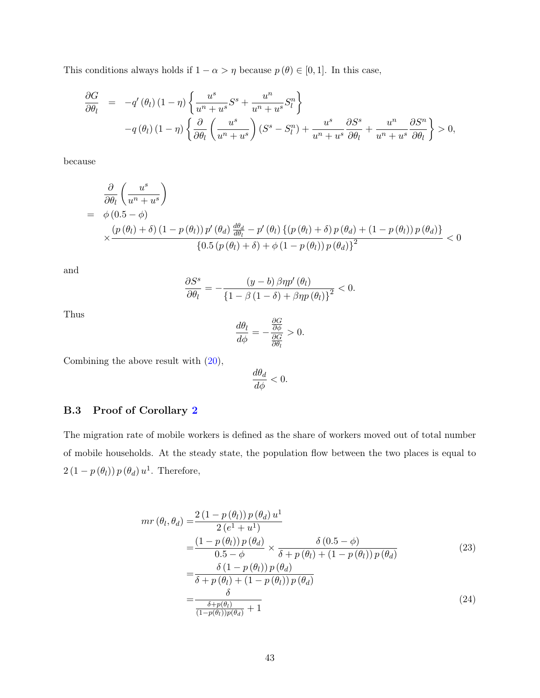This conditions always holds if  $1 - \alpha > \eta$  because  $p(\theta) \in [0, 1]$ . In this case,

$$
\frac{\partial G}{\partial \theta_l} = -q'(\theta_l)(1-\eta) \left\{ \frac{u^s}{u^n + u^s} S^s + \frac{u^n}{u^n + u^s} S_l^n \right\} \n-q(\theta_l)(1-\eta) \left\{ \frac{\partial}{\partial \theta_l} \left( \frac{u^s}{u^n + u^s} \right) (S^s - S_l^n) + \frac{u^s}{u^n + u^s} \frac{\partial S^s}{\partial \theta_l} + \frac{u^n}{u^n + u^s} \frac{\partial S^n}{\partial \theta_l} \right\} > 0,
$$

because

$$
\frac{\partial}{\partial \theta_l} \left( \frac{u^s}{u^n + u^s} \right)
$$
\n
$$
= \phi \left( 0.5 - \phi \right)
$$
\n
$$
\times \frac{\left( p \left( \theta_l \right) + \delta \right) \left( 1 - p \left( \theta_l \right) \right) p' \left( \theta_d \right) \frac{d\theta_d}{d\theta_l} - p' \left( \theta_l \right) \left\{ \left( p \left( \theta_l \right) + \delta \right) p \left( \theta_d \right) + \left( 1 - p \left( \theta_l \right) \right) p \left( \theta_d \right) \right\}}{\left\{ 0.5 \left( p \left( \theta_l \right) + \delta \right) + \phi \left( 1 - p \left( \theta_l \right) \right) p \left( \theta_d \right) \right\}^2} < 0
$$

and

$$
\frac{\partial S^s}{\partial \theta_l} = -\frac{(y-b)\,\beta\eta p'\,(\theta_l)}{\left\{1 - \beta\,(1-\delta) + \beta\eta p\,(\theta_l)\right\}^2} < 0.
$$

Thus

$$
\frac{d\theta_l}{d\phi} = -\frac{\frac{\partial G}{\partial \phi}}{\frac{\partial G}{\partial \theta_l}} > 0.
$$

Combining the above result with [\(20\)](#page-41-2),

<span id="page-43-0"></span>
$$
\frac{d\theta_d}{d\phi} < 0.
$$

#### B.3 Proof of Corollary [2](#page-13-0)

The migration rate of mobile workers is defined as the share of workers moved out of total number of mobile households. At the steady state, the population flow between the two places is equal to  $2(1-p(\theta_l))p(\theta_d)u^1$ . Therefore,

$$
mr(\theta_l, \theta_d) = \frac{2(1 - p(\theta_l))p(\theta_d)u^1}{2(e^1 + u^1)}
$$
  
\n
$$
= \frac{(1 - p(\theta_l))p(\theta_d)}{0.5 - \phi} \times \frac{\delta(0.5 - \phi)}{\delta + p(\theta_l) + (1 - p(\theta_l))p(\theta_d)}
$$
  
\n
$$
= \frac{\delta(1 - p(\theta_l))p(\theta_d)}{\delta + p(\theta_l) + (1 - p(\theta_l))p(\theta_d)}
$$
  
\n
$$
= \frac{\delta}{\frac{\delta + p(\theta_l)}{(1 - p(\theta_l))p(\theta_d)} + 1}
$$
\n(24)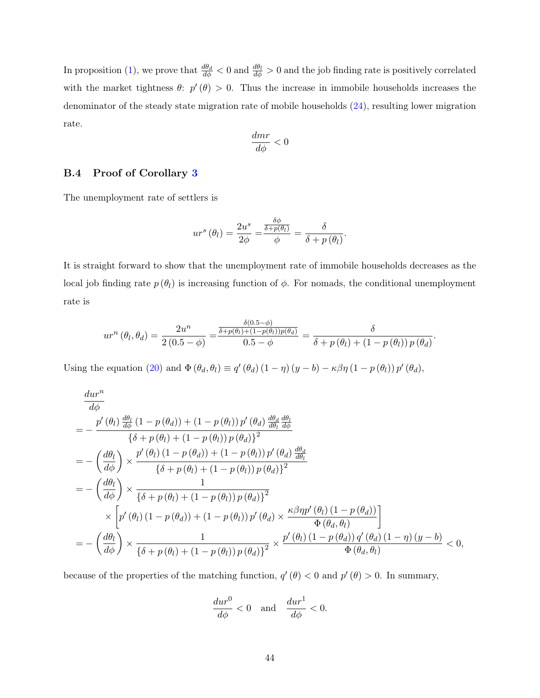In proposition [\(1\)](#page-12-1), we prove that  $\frac{d\theta_d}{d\phi} < 0$  and  $\frac{d\theta_l}{d\phi} > 0$  and the job finding rate is positively correlated with the market tightness  $\theta$ :  $p'(\theta) > 0$ . Thus the increase in immobile households increases the denominator of the steady state migration rate of mobile households [\(24\)](#page-43-0), resulting lower migration rate.

$$
\frac{dmr}{d\phi}<0
$$

#### B.4 Proof of Corollary [3](#page-13-1)

The unemployment rate of settlers is

$$
ur^{s}(\theta_{l}) = \frac{2u^{s}}{2\phi} = \frac{\frac{\delta\phi}{\delta + p(\theta_{l})}}{\phi} = \frac{\delta}{\delta + p(\theta_{l})}
$$

.

It is straight forward to show that the unemployment rate of immobile households decreases as the local job finding rate  $p(\theta_l)$  is increasing function of  $\phi$ . For nomads, the conditional unemployment rate is

$$
ur^{n}(\theta_{l},\theta_{d})=\frac{2u^{n}}{2(0.5-\phi)}=\frac{\frac{\delta(0.5-\phi)}{\delta+p(\theta_{l})+(1-p(\theta_{l}))p(\theta_{d})}}{0.5-\phi}=\frac{\delta}{\delta+p(\theta_{l})+(1-p(\theta_{l}))p(\theta_{d})}.
$$

Using the equation [\(20\)](#page-41-2) and  $\Phi(\theta_d, \theta_l) \equiv q'(\theta_d) (1 - \eta) (y - b) - \kappa \beta \eta (1 - p(\theta_l)) p'(\theta_d)$ ,

$$
\frac{dur^n}{d\phi}
$$
\n
$$
= -\frac{p'(\theta_l) \frac{d\theta_l}{d\phi} (1 - p(\theta_d)) + (1 - p(\theta_l)) p'(\theta_d) \frac{d\theta_d}{d\theta_l} \frac{d\theta_l}{d\phi}}{\{\delta + p(\theta_l) + (1 - p(\theta_l)) p(\theta_d)\}^2}
$$
\n
$$
= -\left(\frac{d\theta_l}{d\phi}\right) \times \frac{p'(\theta_l) (1 - p(\theta_d)) + (1 - p(\theta_l)) p'(\theta_d) \frac{d\theta_d}{d\theta_l}}{\{\delta + p(\theta_l) + (1 - p(\theta_l)) p(\theta_d)\}^2}
$$
\n
$$
= -\left(\frac{d\theta_l}{d\phi}\right) \times \frac{1}{\{\delta + p(\theta_l) + (1 - p(\theta_l)) p(\theta_d)\}^2}
$$
\n
$$
\times \left[p'(\theta_l) (1 - p(\theta_d)) + (1 - p(\theta_l)) p'(\theta_d) \times \frac{\kappa \beta \eta p'(\theta_l) (1 - p(\theta_d))}{\Phi(\theta_d, \theta_l)}\right]
$$
\n
$$
= -\left(\frac{d\theta_l}{d\phi}\right) \times \frac{1}{\{\delta + p(\theta_l) + (1 - p(\theta_l)) p(\theta_d)\}^2} \times \frac{p'(\theta_l) (1 - p(\theta_d)) q'(\theta_d) (1 - \eta) (y - b)}{\Phi(\theta_d, \theta_l)} < 0,
$$

because of the properties of the matching function,  $q'(\theta) < 0$  and  $p'(\theta) > 0$ . In summary,

$$
\frac{dur^0}{d\phi} < 0 \quad \text{and} \quad \frac{dur^1}{d\phi} < 0.
$$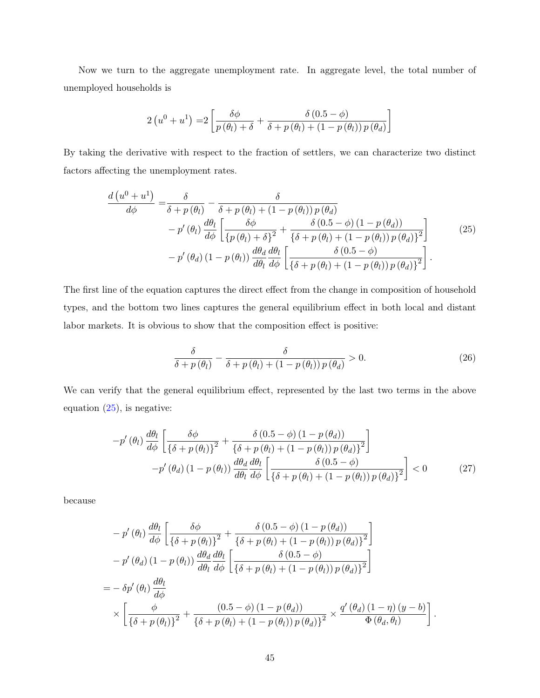Now we turn to the aggregate unemployment rate. In aggregate level, the total number of unemployed households is

$$
2\left(u^{0}+u^{1}\right)=2\left[\frac{\delta\phi}{p\left(\theta_{l}\right)+\delta}+\frac{\delta\left(0.5-\phi\right)}{\delta+p\left(\theta_{l}\right)+\left(1-p\left(\theta_{l}\right)\right)p\left(\theta_{d}\right)}\right]
$$

By taking the derivative with respect to the fraction of settlers, we can characterize two distinct factors affecting the unemployment rates.

$$
\frac{d\left(u^{0} + u^{1}\right)}{d\phi} = \frac{\delta}{\delta + p\left(\theta_{l}\right)} - \frac{\delta}{\delta + p\left(\theta_{l}\right) + \left(1 - p\left(\theta_{l}\right)\right)p\left(\theta_{d}\right)} - p'\left(\theta_{l}\right)\frac{d\theta_{l}}{d\phi}\left[\frac{\delta\phi}{\left\{p\left(\theta_{l}\right) + \delta\right\}^{2}} + \frac{\delta\left(0.5 - \phi\right)\left(1 - p\left(\theta_{d}\right)\right)}{\left\{\delta + p\left(\theta_{l}\right) + \left(1 - p\left(\theta_{l}\right)\right)p\left(\theta_{d}\right)\right\}^{2}}\right] - p'\left(\theta_{d}\right)\left(1 - p\left(\theta_{l}\right)\right)\frac{d\theta_{d}}{d\theta_{l}}\frac{d\theta_{l}}{d\phi}\left[\frac{\delta\left(0.5 - \phi\right)}{\left\{\delta + p\left(\theta_{l}\right) + \left(1 - p\left(\theta_{l}\right)\right)p\left(\theta_{d}\right)\right\}^{2}}\right].
$$
\n(25)

The first line of the equation captures the direct effect from the change in composition of household types, and the bottom two lines captures the general equilibrium effect in both local and distant labor markets. It is obvious to show that the composition effect is positive:

<span id="page-45-0"></span>
$$
\frac{\delta}{\delta + p(\theta_l)} - \frac{\delta}{\delta + p(\theta_l) + (1 - p(\theta_l))p(\theta_d)} > 0.
$$
\n(26)

We can verify that the general equilibrium effect, represented by the last two terms in the above equation  $(25)$ , is negative:

$$
-p'(\theta_l) \frac{d\theta_l}{d\phi} \left[ \frac{\delta\phi}{\{\delta + p(\theta_l)\}^2} + \frac{\delta(0.5 - \phi)(1 - p(\theta_d))}{\{\delta + p(\theta_l) + (1 - p(\theta_l))p(\theta_d)\}^2} \right] -p'(\theta_d)(1 - p(\theta_l)) \frac{d\theta_d}{d\theta_l} \frac{d\theta_l}{d\phi} \left[ \frac{\delta(0.5 - \phi)}{\{\delta + p(\theta_l) + (1 - p(\theta_l))p(\theta_d)\}^2} \right] < 0 \tag{27}
$$

because

$$
- p'(\theta_l) \frac{d\theta_l}{d\phi} \left[ \frac{\delta\phi}{\{\delta + p(\theta_l)\}^2} + \frac{\delta(0.5 - \phi)(1 - p(\theta_d))}{\{\delta + p(\theta_l) + (1 - p(\theta_l))p(\theta_d)\}^2} \right] - p'(\theta_d) (1 - p(\theta_l)) \frac{d\theta_d}{d\theta_l} \frac{d\theta_l}{d\phi} \left[ \frac{\delta(0.5 - \phi)}{\{\delta + p(\theta_l) + (1 - p(\theta_l))p(\theta_d)\}^2} \right] = - \delta p'(\theta_l) \frac{d\theta_l}{d\phi} \times \left[ \frac{\phi}{\{\delta + p(\theta_l)\}^2} + \frac{(0.5 - \phi)(1 - p(\theta_d))}{\{\delta + p(\theta_l) + (1 - p(\theta_l))p(\theta_d)\}^2} \times \frac{q'(\theta_d)(1 - \eta)(y - b)}{\Phi(\theta_d, \theta_l)} \right].
$$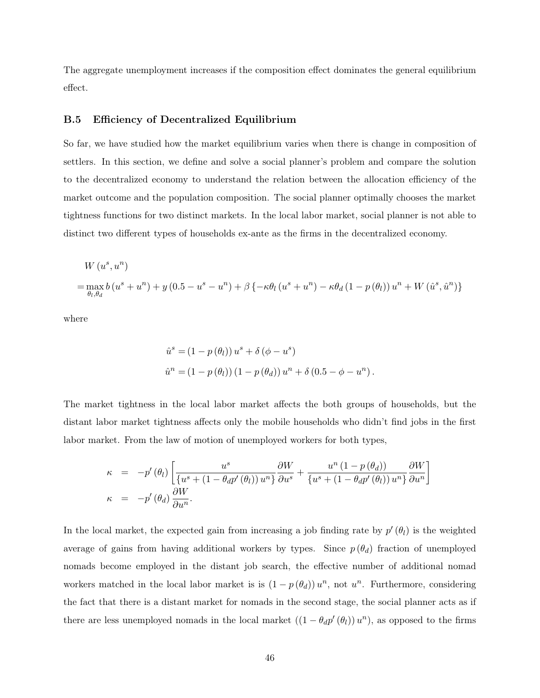The aggregate unemployment increases if the composition effect dominates the general equilibrium effect.

#### B.5 Efficiency of Decentralized Equilibrium

So far, we have studied how the market equilibrium varies when there is change in composition of settlers. In this section, we define and solve a social planner's problem and compare the solution to the decentralized economy to understand the relation between the allocation efficiency of the market outcome and the population composition. The social planner optimally chooses the market tightness functions for two distinct markets. In the local labor market, social planner is not able to distinct two different types of households ex-ante as the firms in the decentralized economy.

$$
W(u^{s}, u^{n})
$$
  
=  $\max_{\theta_{l}, \theta_{d}} b(u^{s} + u^{n}) + y(0.5 - u^{s} - u^{n}) + \beta \{-\kappa \theta_{l}(u^{s} + u^{n}) - \kappa \theta_{d}(1 - p(\theta_{l}))u^{n} + W(\hat{u}^{s}, \hat{u}^{n})\}$ 

where

$$
\hat{u}^{s} = (1 - p(\theta_{l})) u^{s} + \delta (\phi - u^{s})
$$
  

$$
\hat{u}^{n} = (1 - p(\theta_{l})) (1 - p(\theta_{d})) u^{n} + \delta (0.5 - \phi - u^{n}).
$$

The market tightness in the local labor market affects the both groups of households, but the distant labor market tightness affects only the mobile households who didn't find jobs in the first labor market. From the law of motion of unemployed workers for both types,

$$
\kappa = -p'(\theta_l) \left[ \frac{u^s}{\{u^s + (1 - \theta_d p'(\theta_l)) u^n\}} \frac{\partial W}{\partial u^s} + \frac{u^n (1 - p(\theta_d))}{\{u^s + (1 - \theta_d p'(\theta_l)) u^n\}} \frac{\partial W}{\partial u^n} \right]
$$
  

$$
\kappa = -p'(\theta_d) \frac{\partial W}{\partial u^n}.
$$

In the local market, the expected gain from increasing a job finding rate by  $p'(\theta_l)$  is the weighted average of gains from having additional workers by types. Since  $p(\theta_d)$  fraction of unemployed nomads become employed in the distant job search, the effective number of additional nomad workers matched in the local labor market is is  $(1 - p(\theta_d)) u^n$ , not  $u^n$ . Furthermore, considering the fact that there is a distant market for nomads in the second stage, the social planner acts as if there are less unemployed nomads in the local market  $((1 - \theta_d p'(\theta_l))u^n)$ , as opposed to the firms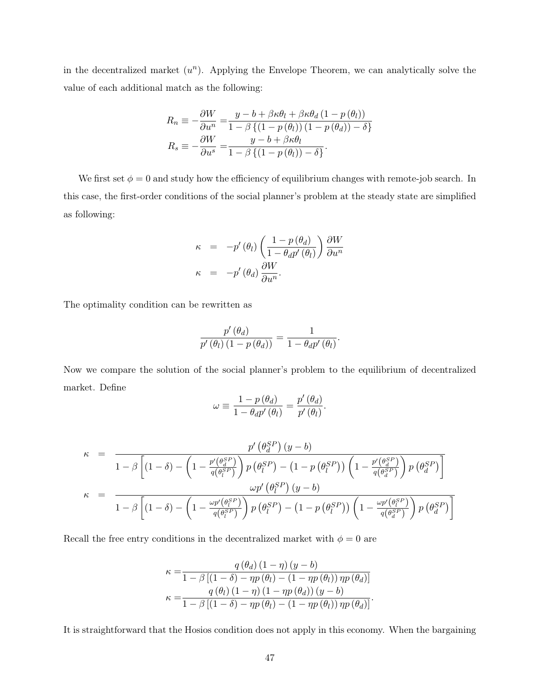in the decentralized market  $(u^n)$ . Applying the Envelope Theorem, we can analytically solve the value of each additional match as the following:

$$
R_n \equiv -\frac{\partial W}{\partial u^n} = \frac{y - b + \beta \kappa \theta_l + \beta \kappa \theta_d (1 - p(\theta_l))}{1 - \beta \{ (1 - p(\theta_l)) (1 - p(\theta_d)) - \delta \}}
$$
  

$$
R_s \equiv -\frac{\partial W}{\partial u^s} = \frac{y - b + \beta \kappa \theta_l}{1 - \beta \{ (1 - p(\theta_l)) - \delta \}}.
$$

We first set  $\phi = 0$  and study how the efficiency of equilibrium changes with remote-job search. In this case, the first-order conditions of the social planner's problem at the steady state are simplified as following:

$$
\kappa = -p'(\theta_l) \left( \frac{1 - p(\theta_d)}{1 - \theta_d p'(\theta_l)} \right) \frac{\partial W}{\partial u^n}
$$

$$
\kappa = -p'(\theta_d) \frac{\partial W}{\partial u^n}.
$$

The optimality condition can be rewritten as

$$
\frac{p'(\theta_d)}{p'(\theta_l)(1-p(\theta_d))} = \frac{1}{1-\theta_d p'(\theta_l)}.
$$

Now we compare the solution of the social planner's problem to the equilibrium of decentralized market. Define

$$
\omega \equiv \frac{1-p\left(\theta_{d}\right)}{1-\theta_{d}p'\left(\theta_{l}\right)}=\frac{p'\left(\theta_{d}\right)}{p'\left(\theta_{l}\right)}.
$$

$$
\kappa = \frac{p' \left(\theta_d^{SP}\right) (y - b)}{1 - \beta \left[ \left(1 - \delta\right) - \left(1 - \frac{p' \left(\theta_d^{SP}\right)}{q \left(\theta_l^{SP}\right)}\right) p \left(\theta_l^{SP}\right) - \left(1 - p \left(\theta_l^{SP}\right)\right) \left(1 - \frac{p' \left(\theta_d^{SP}\right)}{q \left(\theta_d^{SP}\right)}\right) p \left(\theta_d^{SP}\right) \right] \right]}
$$
\n
$$
\kappa = \frac{\omega p' \left(\theta_l^{SP}\right) (y - b)}{1 - \beta \left[ \left(1 - \delta\right) - \left(1 - \frac{\omega p' \left(\theta_l^{SP}\right)}{q \left(\theta_l^{SP}\right)}\right) p \left(\theta_l^{SP}\right) - \left(1 - p \left(\theta_l^{SP}\right)\right) \left(1 - \frac{\omega p' \left(\theta_l^{SP}\right)}{q \left(\theta_d^{SP}\right)}\right) p \left(\theta_d^{SP}\right) \right] }
$$

Recall the free entry conditions in the decentralized market with  $\phi = 0$  are

$$
\kappa = \frac{q(\theta_d) (1 - \eta) (y - b)}{1 - \beta [(1 - \delta) - \eta p(\theta_l) - (1 - \eta p(\theta_l)) \eta p(\theta_d)]}
$$

$$
\kappa = \frac{q(\theta_l) (1 - \eta) (1 - \eta p(\theta_d)) (y - b)}{1 - \beta [(1 - \delta) - \eta p(\theta_l) - (1 - \eta p(\theta_l)) \eta p(\theta_d)]}.
$$

It is straightforward that the Hosios condition does not apply in this economy. When the bargaining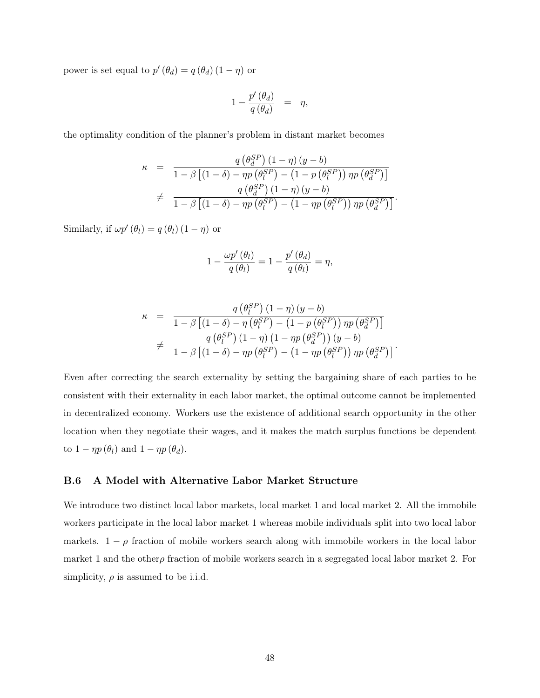power is set equal to  $p'(\theta_d) = q(\theta_d) (1 - \eta)$  or

$$
1 - \frac{p'(\theta_d)}{q(\theta_d)} = \eta,
$$

the optimality condition of the planner's problem in distant market becomes

$$
\kappa = \frac{q(\theta_d^{SP})(1-\eta)(y-b)}{1-\beta[(1-\delta)-\eta p(\theta_l^{SP})-(1-p(\theta_l^{SP}))\eta p(\theta_d^{SP})]}
$$
  

$$
\neq \frac{q(\theta_d^{SP})(1-\eta)(y-b)}{1-\beta[(1-\delta)-\eta p(\theta_l^{SP})-(1-\eta p(\theta_l^{SP}))\eta p(\theta_d^{SP})]}.
$$

Similarly, if  $\omega p'(\theta_l) = q(\theta_l) (1 - \eta)$  or

$$
1 - \frac{\omega p'(\theta_l)}{q(\theta_l)} = 1 - \frac{p'(\theta_d)}{q(\theta_l)} = \eta,
$$

$$
\kappa = \frac{q(\theta_l^{SP})(1-\eta)(y-b)}{1-\beta[(1-\delta)-\eta(\theta_l^{SP})-(1-p(\theta_l^{SP}))\eta p(\theta_d^{SP})]}
$$
  

$$
\neq \frac{q(\theta_l^{SP})(1-\eta)(1-\eta p(\theta_d^{SP})) (y-b)}{1-\beta[(1-\delta)-\eta p(\theta_l^{SP})-(1-\eta p(\theta_l^{SP}))\eta p(\theta_d^{SP})]}.
$$

Even after correcting the search externality by setting the bargaining share of each parties to be consistent with their externality in each labor market, the optimal outcome cannot be implemented in decentralized economy. Workers use the existence of additional search opportunity in the other location when they negotiate their wages, and it makes the match surplus functions be dependent to  $1 - \eta p(\theta_l)$  and  $1 - \eta p(\theta_d)$ .

#### <span id="page-48-0"></span>B.6 A Model with Alternative Labor Market Structure

We introduce two distinct local labor markets, local market 1 and local market 2. All the immobile workers participate in the local labor market 1 whereas mobile individuals split into two local labor markets.  $1 - \rho$  fraction of mobile workers search along with immobile workers in the local labor market 1 and the other fraction of mobile workers search in a segregated local labor market 2. For simplicity,  $\rho$  is assumed to be i.i.d.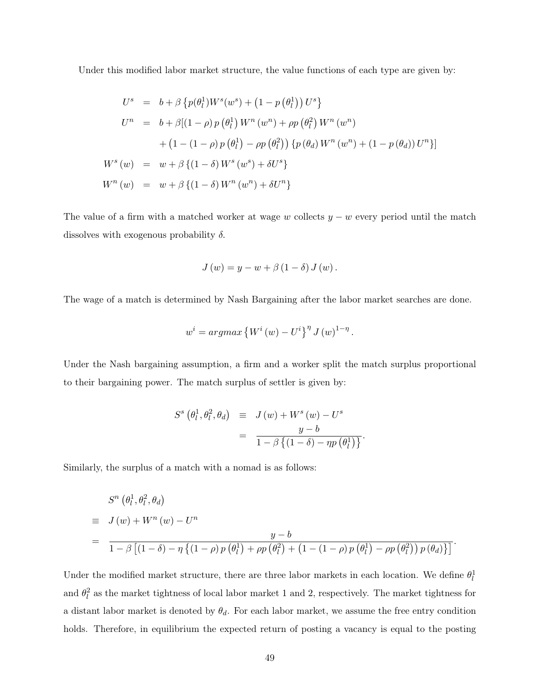Under this modified labor market structure, the value functions of each type are given by:

$$
U^{s} = b + \beta \{p(\theta_{l}^{1})W^{s}(w^{s}) + (1 - p(\theta_{l}^{1}))U^{s}\}
$$
  
\n
$$
U^{n} = b + \beta[(1 - \rho) p(\theta_{l}^{1}) W^{n}(w^{n}) + \rho p(\theta_{l}^{2}) W^{n}(w^{n})
$$
  
\n
$$
+ (1 - (1 - \rho) p(\theta_{l}^{1}) - \rho p(\theta_{l}^{2})) \{p(\theta_{d}) W^{n}(w^{n}) + (1 - p(\theta_{d}))U^{n}\}]
$$
  
\n
$$
W^{s}(w) = w + \beta \{(1 - \delta) W^{s}(w^{s}) + \delta U^{s}\}
$$
  
\n
$$
W^{n}(w) = w + \beta \{(1 - \delta) W^{n}(w^{n}) + \delta U^{n}\}
$$

The value of a firm with a matched worker at wage w collects  $y - w$  every period until the match dissolves with exogenous probability  $\delta$ .

$$
J(w) = y - w + \beta (1 - \delta) J(w).
$$

The wage of a match is determined by Nash Bargaining after the labor market searches are done.

$$
w^{i} = argmax \left\{ W^{i}(w) - U^{i} \right\}^{n} J(w)^{1-\eta}.
$$

Under the Nash bargaining assumption, a firm and a worker split the match surplus proportional to their bargaining power. The match surplus of settler is given by:

$$
S^{s}(\theta_{l}^{1}, \theta_{l}^{2}, \theta_{d}) \equiv J(w) + W^{s}(w) - U^{s}
$$

$$
= \frac{y - b}{1 - \beta \left\{ (1 - \delta) - \eta p(\theta_{l}^{1}) \right\}}.
$$

Similarly, the surplus of a match with a nomad is as follows:

$$
S^{n}(\theta_{l}^{1},\theta_{l}^{2},\theta_{d})
$$
  
\n
$$
= J(w) + W^{n}(w) - U^{n}
$$
  
\n
$$
= \frac{y-b}{1-\beta [(1-\delta)-\eta \{(1-\rho)p(\theta_{l}^{1}) + \rho p(\theta_{l}^{2}) + (1-(1-\rho)p(\theta_{l}^{1}) - \rho p(\theta_{l}^{2})) p(\theta_{d}) \}]}.
$$

Under the modified market structure, there are three labor markets in each location. We define  $\theta_l^1$ and  $\theta_l^2$  as the market tightness of local labor market 1 and 2, respectively. The market tightness for a distant labor market is denoted by  $\theta_d$ . For each labor market, we assume the free entry condition holds. Therefore, in equilibrium the expected return of posting a vacancy is equal to the posting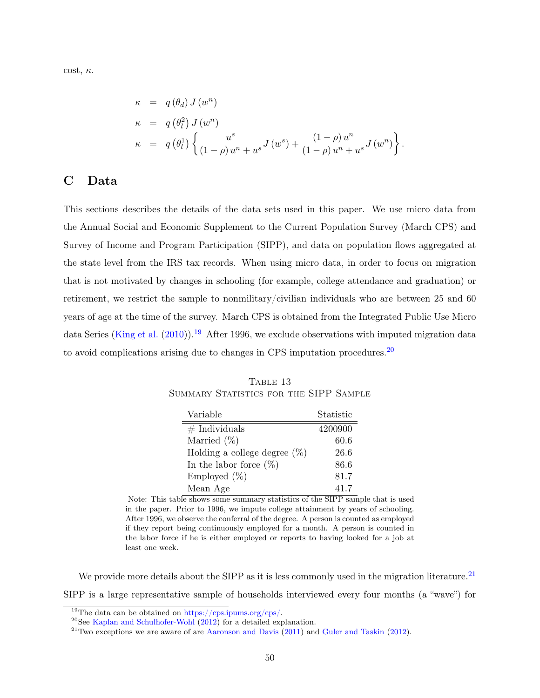cost,  $\kappa$ .

$$
\kappa = q(\theta_d) J(w^n)
$$
  
\n
$$
\kappa = q(\theta_l^2) J(w^n)
$$
  
\n
$$
\kappa = q(\theta_l^1) \left\{ \frac{u^s}{(1-\rho) u^n + u^s} J(w^s) + \frac{(1-\rho) u^n}{(1-\rho) u^n + u^s} J(w^n) \right\}
$$

.

# <span id="page-50-0"></span>C Data

This sections describes the details of the data sets used in this paper. We use micro data from the Annual Social and Economic Supplement to the Current Population Survey (March CPS) and Survey of Income and Program Participation (SIPP), and data on population flows aggregated at the state level from the IRS tax records. When using micro data, in order to focus on migration that is not motivated by changes in schooling (for example, college attendance and graduation) or retirement, we restrict the sample to nonmilitary/civilian individuals who are between 25 and 60 years of age at the time of the survey. March CPS is obtained from the Integrated Public Use Micro data Series [\(King et al.](#page-33-11) [\(2010\)](#page-33-11)).<sup>[19](#page-50-1)</sup> After 1996, we exclude observations with imputed migration data to avoid complications arising due to changes in CPS imputation procedures.<sup>[20](#page-50-2)</sup>

TABLE 13 SUMMARY STATISTICS FOR THE SIPP SAMPLE

| Variable                        | Statistic |
|---------------------------------|-----------|
| $#$ Individuals                 | 4200900   |
| Married $(\%)$                  | 60.6      |
| Holding a college degree $(\%)$ | 26.6      |
| In the labor force $(\%)$       | 86.6      |
| Employed $(\%)$                 | 81.7      |
| Mean Age                        | 41.7      |

Note: This table shows some summary statistics of the SIPP sample that is used in the paper. Prior to 1996, we impute college attainment by years of schooling. After 1996, we observe the conferral of the degree. A person is counted as employed if they report being continuously employed for a month. A person is counted in the labor force if he is either employed or reports to having looked for a job at least one week.

We provide more details about the SIPP as it is less commonly used in the migration literature.<sup>[21](#page-50-3)</sup> SIPP is a large representative sample of households interviewed every four months (a "wave") for

<span id="page-50-1"></span><sup>&</sup>lt;sup>19</sup>The data can be obtained on [https://cps.ipums.org/cps/.](https://cps.ipums.org/cps/)

<span id="page-50-2"></span> $20$ See [Kaplan and Schulhofer-Wohl](#page-32-11) [\(2012\)](#page-32-11) for a detailed explanation.

<span id="page-50-3"></span> $21$ Two exceptions we are aware of are [Aaronson and Davis](#page-32-6) [\(2011\)](#page-32-6) and [Guler and Taskin](#page-32-12) [\(2012\)](#page-32-12).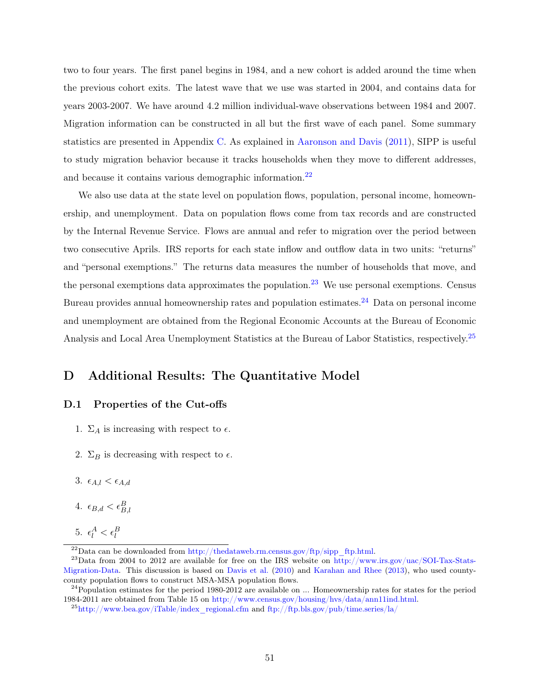two to four years. The first panel begins in 1984, and a new cohort is added around the time when the previous cohort exits. The latest wave that we use was started in 2004, and contains data for years 2003-2007. We have around 4.2 million individual-wave observations between 1984 and 2007. Migration information can be constructed in all but the first wave of each panel. Some summary statistics are presented in Appendix [C.](#page-50-0) As explained in [Aaronson and Davis](#page-32-6) [\(2011\)](#page-32-6), SIPP is useful to study migration behavior because it tracks households when they move to different addresses, and because it contains various demographic information.<sup>[22](#page-51-1)</sup>

We also use data at the state level on population flows, population, personal income, homeownership, and unemployment. Data on population flows come from tax records and are constructed by the Internal Revenue Service. Flows are annual and refer to migration over the period between two consecutive Aprils. IRS reports for each state inflow and outflow data in two units: "returns" and "personal exemptions." The returns data measures the number of households that move, and the personal exemptions data approximates the population.<sup>[23](#page-51-2)</sup> We use personal exemptions. Census Bureau provides annual homeownership rates and population estimates.<sup>[24](#page-51-3)</sup> Data on personal income and unemployment are obtained from the Regional Economic Accounts at the Bureau of Economic Analysis and Local Area Unemployment Statistics at the Bureau of Labor Statistics, respectively.[25](#page-51-4)

# <span id="page-51-0"></span>D Additional Results: The Quantitative Model

#### D.1 Properties of the Cut-offs

- 1.  $\Sigma_A$  is increasing with respect to  $\epsilon$ .
- 2.  $\Sigma_B$  is decreasing with respect to  $\epsilon$ .
- 3.  $\epsilon_{A,l} < \epsilon_{A,d}$
- 4.  $\epsilon_{B,d} < \epsilon_{B,l}^B$
- 5.  $\epsilon_l^A < \epsilon_l^B$

<span id="page-51-2"></span><span id="page-51-1"></span><sup>&</sup>lt;sup>22</sup>Data can be downloaded from [http://thedataweb.rm.census.gov/ftp/sipp\\_ftp.html.](http://thedataweb.rm.census.gov/ftp/sipp_ftp.html)

<sup>&</sup>lt;sup>23</sup>Data from 2004 to 2012 are available for free on the IRS website on [http://www.irs.gov/uac/SOI-Tax-Stats-](http://www.irs.gov/uac/SOI-Tax-Stats-Migration-Data)[Migration-Data.](http://www.irs.gov/uac/SOI-Tax-Stats-Migration-Data) This discussion is based on [Davis et al.](#page-32-8) [\(2010\)](#page-32-8) and [Karahan and Rhee](#page-33-7) [\(2013\)](#page-33-7), who used countycounty population flows to construct MSA-MSA population flows.

<span id="page-51-3"></span> $^{24}$ Population estimates for the period 1980-2012 are available on  $\dots$  Homeownership rates for states for the period 1984-2011 are obtained from Table 15 on [http://www.census.gov/housing/hvs/data/ann11ind.html.](http://www.census.gov/housing/hvs/data/ann11ind.html)

<span id="page-51-4"></span> $^{25}$ [http://www.bea.gov/iTable/index\\_regional.cfm](http://www.bea.gov/iTable/index_regional.cfm) and <ftp://ftp.bls.gov/pub/time.series/la/>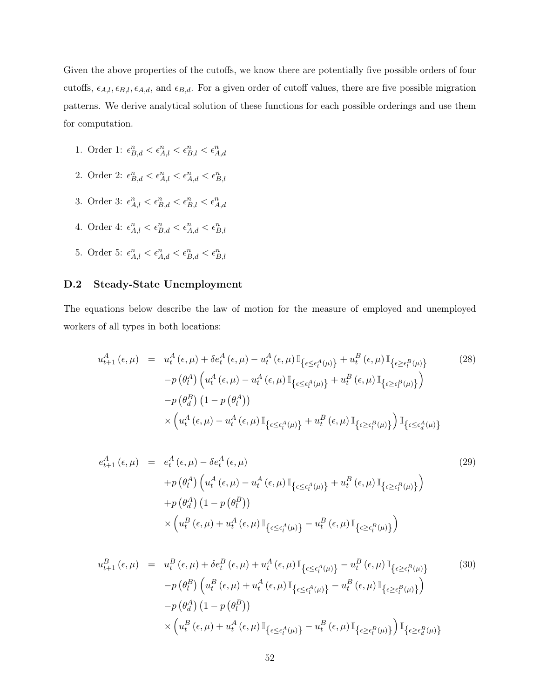Given the above properties of the cutoffs, we know there are potentially five possible orders of four cutoffs,  $\epsilon_{A,l}, \epsilon_{B,l}, \epsilon_{A,d}$ , and  $\epsilon_{B,d}$ . For a given order of cutoff values, there are five possible migration patterns. We derive analytical solution of these functions for each possible orderings and use them for computation.

- 1. Order 1:  $\epsilon_{B,d}^n < \epsilon_{A,l}^n < \epsilon_{B,l}^n < \epsilon_{A,d}^n$
- 2. Order 2:  $\epsilon_{B,d}^n < \epsilon_{A,l}^n < \epsilon_{A,d}^n < \epsilon_{B,l}^n$
- 3. Order 3:  $\epsilon_{A,l}^n < \epsilon_{B,d}^n < \epsilon_{B,l}^n < \epsilon_{A,d}^n$
- 4. Order 4:  $\epsilon_{A,l}^n < \epsilon_{B,d}^n < \epsilon_{A,d}^n < \epsilon_{B,l}^n$
- 5. Order 5:  $\epsilon_{A,l}^n < \epsilon_{A,d}^n < \epsilon_{B,d}^n < \epsilon_{B,l}^n$

### <span id="page-52-0"></span>D.2 Steady-State Unemployment

The equations below describe the law of motion for the measure of employed and unemployed workers of all types in both locations:

$$
u_{t+1}^{A}(\epsilon, \mu) = u_{t}^{A}(\epsilon, \mu) + \delta e_{t}^{A}(\epsilon, \mu) - u_{t}^{A}(\epsilon, \mu) \mathbb{I}_{\{\epsilon \leq \epsilon_{t}^{A}(\mu)\}} + u_{t}^{B}(\epsilon, \mu) \mathbb{I}_{\{\epsilon \geq \epsilon_{t}^{B}(\mu)\}} \tag{28}
$$

$$
-p(\theta_{t}^{A}) \left( u_{t}^{A}(\epsilon, \mu) - u_{t}^{A}(\epsilon, \mu) \mathbb{I}_{\{\epsilon \leq \epsilon_{t}^{A}(\mu)\}} + u_{t}^{B}(\epsilon, \mu) \mathbb{I}_{\{\epsilon \geq \epsilon_{t}^{B}(\mu)\}} \right)
$$

$$
-p(\theta_{d}^{B}) \left( 1 - p(\theta_{t}^{A}) \right)
$$

$$
\times \left( u_{t}^{A}(\epsilon, \mu) - u_{t}^{A}(\epsilon, \mu) \mathbb{I}_{\{\epsilon \leq \epsilon_{t}^{A}(\mu)\}} + u_{t}^{B}(\epsilon, \mu) \mathbb{I}_{\{\epsilon \geq \epsilon_{t}^{B}(\mu)\}} \right) \mathbb{I}_{\{\epsilon \leq \epsilon_{d}^{A}(\mu)\}}
$$

$$
e_{t+1}^{A}(\epsilon,\mu) = e_{t}^{A}(\epsilon,\mu) - \delta e_{t}^{A}(\epsilon,\mu)
$$
\n
$$
+ p(\theta_{t}^{A}) \left( u_{t}^{A}(\epsilon,\mu) - u_{t}^{A}(\epsilon,\mu) \mathbb{I}_{\{\epsilon \leq \epsilon_{t}^{A}(\mu)\}} + u_{t}^{B}(\epsilon,\mu) \mathbb{I}_{\{\epsilon \geq \epsilon_{t}^{B}(\mu)\}} \right)
$$
\n
$$
+ p(\theta_{d}^{A}) \left( 1 - p(\theta_{t}^{B}) \right)
$$
\n
$$
\times \left( u_{t}^{B}(\epsilon,\mu) + u_{t}^{A}(\epsilon,\mu) \mathbb{I}_{\{\epsilon \leq \epsilon_{t}^{A}(\mu)\}} - u_{t}^{B}(\epsilon,\mu) \mathbb{I}_{\{\epsilon \geq \epsilon_{t}^{B}(\mu)\}} \right)
$$
\n
$$
(29)
$$

$$
u_{t+1}^{B}(\epsilon,\mu) = u_{t}^{B}(\epsilon,\mu) + \delta e_{t}^{B}(\epsilon,\mu) + u_{t}^{A}(\epsilon,\mu) \mathbb{I}_{\{\epsilon \leq \epsilon_{l}^{A}(\mu)\}} - u_{t}^{B}(\epsilon,\mu) \mathbb{I}_{\{\epsilon \geq \epsilon_{l}^{B}(\mu)\}}
$$
(30)  

$$
-p(\theta_{l}^{B}) \left( u_{t}^{B}(\epsilon,\mu) + u_{t}^{A}(\epsilon,\mu) \mathbb{I}_{\{\epsilon \leq \epsilon_{l}^{A}(\mu)\}} - u_{t}^{B}(\epsilon,\mu) \mathbb{I}_{\{\epsilon \geq \epsilon_{l}^{B}(\mu)\}} \right)
$$

$$
-p(\theta_{d}^{A}) (1 - p(\theta_{l}^{B}))
$$

$$
\times \left( u_{t}^{B}(\epsilon,\mu) + u_{t}^{A}(\epsilon,\mu) \mathbb{I}_{\{\epsilon \leq \epsilon_{l}^{A}(\mu)\}} - u_{t}^{B}(\epsilon,\mu) \mathbb{I}_{\{\epsilon \geq \epsilon_{l}^{B}(\mu)\}} \right) \mathbb{I}_{\{\epsilon \geq \epsilon_{d}^{B}(\mu)\}}
$$
(30)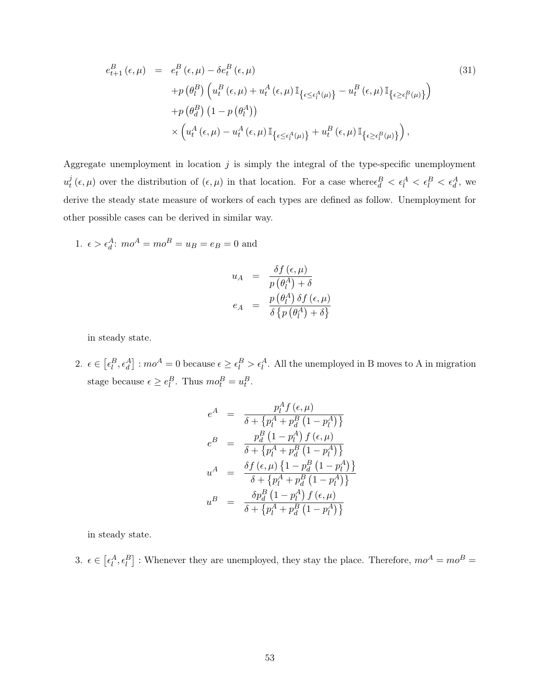$$
e_{t+1}^{B}(\epsilon,\mu) = e_{t}^{B}(\epsilon,\mu) - \delta e_{t}^{B}(\epsilon,\mu)
$$
\n
$$
+ p(\theta_{l}^{B}) \left( u_{t}^{B}(\epsilon,\mu) + u_{t}^{A}(\epsilon,\mu) \mathbb{I}_{\{\epsilon \leq \epsilon_{l}^{A}(\mu)\}} - u_{t}^{B}(\epsilon,\mu) \mathbb{I}_{\{\epsilon \geq \epsilon_{l}^{B}(\mu)\}} \right)
$$
\n
$$
+ p(\theta_{d}^{B}) \left( 1 - p(\theta_{l}^{A}) \right)
$$
\n
$$
\times \left( u_{t}^{A}(\epsilon,\mu) - u_{t}^{A}(\epsilon,\mu) \mathbb{I}_{\{\epsilon \leq \epsilon_{l}^{A}(\mu)\}} + u_{t}^{B}(\epsilon,\mu) \mathbb{I}_{\{\epsilon \geq \epsilon_{l}^{B}(\mu)\}} \right),
$$
\n(31)

Aggregate unemployment in location  $j$  is simply the integral of the type-specific unemployment  $u^j_t$  $\frac{d}{dt}(\epsilon,\mu)$  over the distribution of  $(\epsilon,\mu)$  in that location. For a case where  $\epsilon_d^B < \epsilon_l^A < \epsilon_l^B < \epsilon_d^A$ , we derive the steady state measure of workers of each types are defined as follow. Unemployment for other possible cases can be derived in similar way.

1.  $\epsilon > \epsilon_d^A$ :  $mo^A = mo^B = u_B = e_B = 0$  and

$$
u_A = \frac{\delta f(\epsilon, \mu)}{p(\theta_i^A) + \delta}
$$
  

$$
e_A = \frac{p(\theta_i^A) \delta f(\epsilon, \mu)}{\delta \{p(\theta_i^A) + \delta\}}
$$

in steady state.

2.  $\epsilon \in [\epsilon_l^B, \epsilon_d^A]: mo^A = 0$  because  $\epsilon \geq \epsilon_l^B > \epsilon_l^A$ . All the unemployed in B moves to A in migration stage because  $\epsilon \ge e_l^B$ . Thus  $mo_t^B = u_t^B$ .

$$
e^{A} = \frac{p_{l}^{A} f(\epsilon, \mu)}{\delta + \{p_{l}^{A} + p_{d}^{B} (1 - p_{l}^{A})\}}
$$
  
\n
$$
e^{B} = \frac{p_{d}^{B} (1 - p_{l}^{A}) f(\epsilon, \mu)}{\delta + \{p_{l}^{A} + p_{d}^{B} (1 - p_{l}^{A})\}}
$$
  
\n
$$
u^{A} = \frac{\delta f(\epsilon, \mu) \{1 - p_{d}^{B} (1 - p_{l}^{A})\}}{\delta + \{p_{l}^{A} + p_{d}^{B} (1 - p_{l}^{A})\}}
$$
  
\n
$$
u^{B} = \frac{\delta p_{d}^{B} (1 - p_{l}^{A}) f(\epsilon, \mu)}{\delta + \{p_{l}^{A} + p_{d}^{B} (1 - p_{l}^{A})\}}
$$

in steady state.

3.  $\epsilon \in [\epsilon_l^A, \epsilon_l^B]$ : Whenever they are unemployed, they stay the place. Therefore,  $mo^A = mo^B =$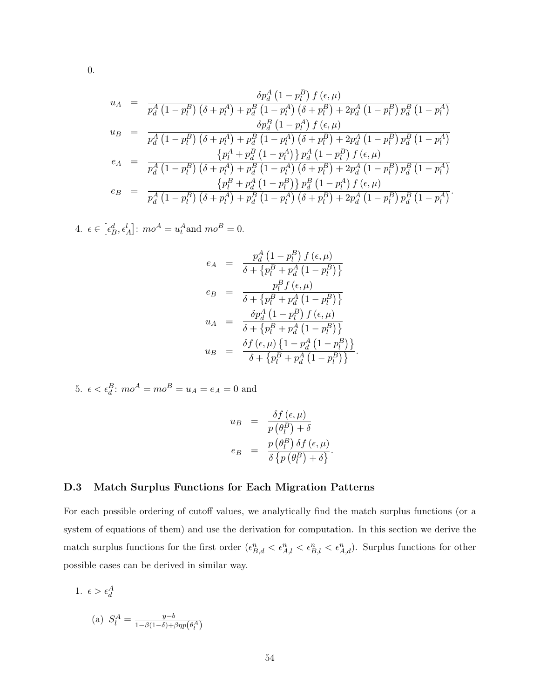$$
u_{A} = \frac{\delta p_{d}^{A} (1 - p_{l}^{B}) f (\epsilon, \mu)}{p_{d}^{A} (1 - p_{l}^{B}) (\delta + p_{l}^{A}) + p_{d}^{B} (1 - p_{l}^{A}) (\delta + p_{l}^{B}) + 2p_{d}^{A} (1 - p_{l}^{B}) p_{d}^{B} (1 - p_{l}^{A})}
$$
  
\n
$$
u_{B} = \frac{\delta p_{d}^{B} (1 - p_{l}^{A}) f (\epsilon, \mu)}{p_{d}^{A} (1 - p_{l}^{B}) (\delta + p_{l}^{A}) + p_{d}^{B} (1 - p_{l}^{A}) (\delta + p_{l}^{B}) + 2p_{d}^{A} (1 - p_{l}^{B}) p_{d}^{B} (1 - p_{l}^{A})}
$$
  
\n
$$
e_{A} = \frac{\{p_{l}^{A} + p_{d}^{B} (1 - p_{l}^{A})\} p_{d}^{A} (1 - p_{l}^{B}) f (\epsilon, \mu)}{\{p_{d}^{A} (1 - p_{l}^{B}) (\delta + p_{l}^{A}) + p_{d}^{B} (1 - p_{l}^{A}) (\delta + p_{l}^{B}) + 2p_{d}^{A} (1 - p_{l}^{B}) p_{d}^{B} (1 - p_{l}^{A})}
$$
  
\n
$$
e_{B} = \frac{\{p_{l}^{B} + p_{d}^{A} (1 - p_{l}^{B})\} p_{d}^{B} (1 - p_{l}^{A}) f (\epsilon, \mu)}{p_{d}^{A} (1 - p_{l}^{B}) (\delta + p_{l}^{A}) + p_{d}^{B} (1 - p_{l}^{A}) (\delta + p_{l}^{B}) + 2p_{d}^{A} (1 - p_{l}^{B}) p_{d}^{B} (1 - p_{l}^{A})}.
$$

4.  $\epsilon \in [\epsilon_B^d, \epsilon_A^l]$ :  $mo^A = u_t^A$  and  $mo^B = 0$ .

$$
e_A = \frac{p_d^A (1 - p_l^B) f (\epsilon, \mu)}{\delta + \{p_l^B + p_d^A (1 - p_l^B)\}}
$$
  
\n
$$
e_B = \frac{p_l^B f (\epsilon, \mu)}{\delta + \{p_l^B + p_d^A (1 - p_l^B)\}}
$$
  
\n
$$
u_A = \frac{\delta p_d^A (1 - p_l^B) f (\epsilon, \mu)}{\delta + \{p_l^B + p_d^A (1 - p_l^B)\}}
$$
  
\n
$$
u_B = \frac{\delta f (\epsilon, \mu) \{1 - p_d^A (1 - p_l^B)\}}{\delta + \{p_l^B + p_d^A (1 - p_l^B)\}}
$$

5. 
$$
\epsilon < \epsilon_d^B
$$
:  $mo^A = mo^B = u_A = e_A = 0$  and

$$
u_B = \frac{\delta f(\epsilon, \mu)}{p(\theta_l^B) + \delta}
$$
  
\n
$$
e_B = \frac{p(\theta_l^B) \delta f(\epsilon, \mu)}{\delta \{p(\theta_l^B) + \delta\}}.
$$

#### <span id="page-54-0"></span>D.3 Match Surplus Functions for Each Migration Patterns

For each possible ordering of cutoff values, we analytically find the match surplus functions (or a system of equations of them) and use the derivation for computation. In this section we derive the match surplus functions for the first order  $(\epsilon_{B,d}^n < \epsilon_{A,l}^n < \epsilon_{B,l}^n < \epsilon_{A,d}^n)$ . Surplus functions for other possible cases can be derived in similar way.

1. 
$$
\epsilon > \epsilon_d^A
$$

(a) 
$$
S_l^A = \frac{y-b}{1-\beta(1-\delta) + \beta \eta p(\theta_l^A)}
$$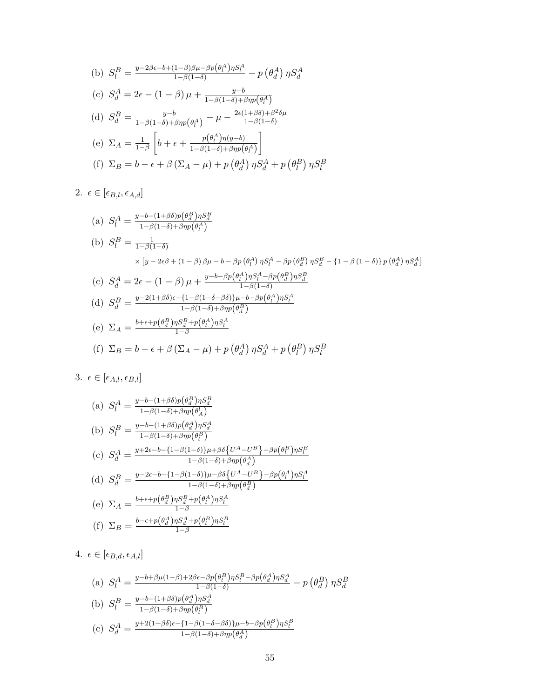(b) 
$$
S_l^B = \frac{y - 2\beta \epsilon - b + (1 - \beta)\beta \mu - \beta p(\theta_l^A) \eta S_l^A}{1 - \beta(1 - \delta)} - p(\theta_d^A) \eta S_d^A
$$
  
\n(c)  $S_d^A = 2\epsilon - (1 - \beta)\mu + \frac{y - b}{1 - \beta(1 - \delta) + \beta \eta p(\theta_l^A)}$   
\n(d)  $S_d^B = \frac{y - b}{1 - \beta(1 - \delta) + \beta \eta p(\theta_l^A)} - \mu - \frac{2\epsilon(1 + \beta\delta) + \beta^2 \delta \mu}{1 - \beta(1 - \delta)}$   
\n(e)  $\Sigma_A = \frac{1}{1 - \beta} \left[ b + \epsilon + \frac{p(\theta_l^A) \eta(y - b)}{1 - \beta(1 - \delta) + \beta \eta p(\theta_l^A)} \right]$   
\n(f)  $\Sigma_B = b - \epsilon + \beta (\Sigma_A - \mu) + p(\theta_d^A) \eta S_d^A + p(\theta_l^B) \eta S_l^B$ 

2.  $\epsilon \in [\epsilon_{B,l}, \epsilon_{A,d}]$ 

(a) 
$$
S_l^A = \frac{y - b - (1 + \beta \delta)p(\theta_d^B) \eta S_d^B}{1 - \beta(1 - \delta) + \beta \eta p(\theta_l^A)}
$$
  
\n(b)  $S_l^B = \frac{1}{1 - \beta(1 - \delta)}$   
\n $\times [y - 2\epsilon \beta + (1 - \beta) \beta \mu - b - \beta p(\theta_l^A) \eta S_l^A - \beta p(\theta_d^B) \eta S_d^B - \{1 - \beta(1 - \delta)\} p(\theta_d^A) \eta S_d^A]$   
\n(c)  $S_d^A = 2\epsilon - (1 - \beta) \mu + \frac{y - b - \beta p(\theta_l^A) \eta S_l^A - \beta p(\theta_d^B) \eta S_d^B}{1 - \beta(1 - \delta)}$   
\n(d)  $S_d^B = \frac{y - 2(1 + \beta \delta)\epsilon - \{1 - \beta(1 - \delta - \beta \delta)\} \mu - b - \beta p(\theta_l^A) \eta S_l^A}{1 - \beta(1 - \delta) + \beta \eta p(\theta_d^B)}$   
\n(e)  $\Sigma_A = \frac{b + \epsilon + p(\theta_d^B) \eta S_a^B + p(\theta_l^A) \eta S_l^A}{1 - \beta}$   
\n(f)  $\Sigma_B = b - \epsilon + \beta (\Sigma_A - \mu) + p(\theta_d^A) \eta S_d^A + p(\theta_l^B) \eta S_l^B$ 

3. 
$$
\epsilon \in [\epsilon_{A,l}, \epsilon_{B,l}]
$$

(a) 
$$
S_l^A = \frac{y - b - (1 + \beta \delta)p(\theta_d^B) \eta S_d^B}{1 - \beta(1 - \delta) + \beta \eta p(\theta_A^I)}
$$
  
\n(b) 
$$
S_l^B = \frac{y - b - (1 + \beta \delta)p(\theta_d^A) \eta S_d^A}{1 - \beta(1 - \delta) + \beta \eta p(\theta_l^B)}
$$
  
\n(c) 
$$
S_d^A = \frac{y + 2\epsilon - b - \{1 - \beta(1 - \delta)\}\mu + \beta \delta \{U^A - U^B\} - \beta p(\theta_l^B) \eta S_l^B}{1 - \beta(1 - \delta) + \beta \eta p(\theta_d^A)}
$$
  
\n(d) 
$$
S_d^B = \frac{y - 2\epsilon - b - \{1 - \beta(1 - \delta)\}\mu - \beta \delta \{U^A - U^B\} - \beta p(\theta_l^A) \eta S_l^A}{1 - \beta(1 - \delta) + \beta \eta p(\theta_d^B)}
$$
  
\n(e) 
$$
\Sigma_A = \frac{b + \epsilon + p(\theta_d^B) \eta S_d^B + p(\theta_l^A) \eta S_l^A}{1 - \beta}
$$
  
\n(f) 
$$
\Sigma_B = \frac{b - \epsilon + p(\theta_d^A) \eta S_d^A + p(\theta_l^B) \eta S_l^B}{1 - \beta}
$$

4.  $\epsilon \in [\epsilon_{B,d}, \epsilon_{A,l}]$ 

(a) 
$$
S_l^A = \frac{y - b + \beta \mu (1 - \beta) + 2\beta \epsilon - \beta p (\theta_l^B) \eta S_l^B - \beta p (\theta_d^A) \eta S_d^A}{1 - \beta (1 - \delta)} - p (\theta_d^B) \eta S_d^B
$$
  
\n(b) 
$$
S_l^B = \frac{y - b - (1 + \beta \delta) p (\theta_d^A) \eta S_d^A}{1 - \beta (1 - \delta) + \beta \eta p (\theta_l^B)}
$$
  
\n(c) 
$$
S_d^A = \frac{y + 2(1 + \beta \delta) \epsilon - \{1 - \beta (1 - \delta - \beta \delta)\} \mu - b - \beta p (\theta_l^B) \eta S_l^B}{1 - \beta (1 - \delta) + \beta \eta p (\theta_d^A)}
$$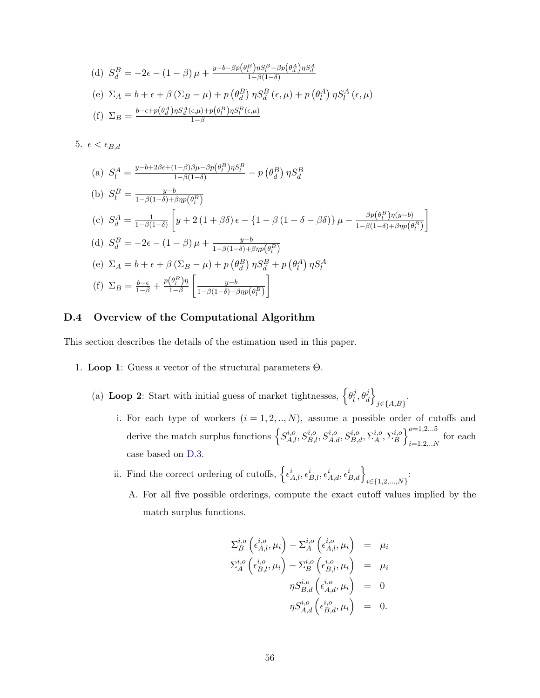(d) 
$$
S_d^B = -2\epsilon - (1 - \beta)\mu + \frac{y - b - \beta p(\theta_l^B) \eta S_l^B - \beta p(\theta_d^A) \eta S_d^A}{1 - \beta(1 - \delta)}
$$
  
(e) 
$$
\Sigma_A = b + \epsilon + \beta(\Sigma_B - \mu) + p(\theta_d^B) \eta S_d^B(\epsilon, \mu) + p(\theta_l^A) \eta S_l^A(\epsilon, \mu)
$$
  
(f) 
$$
\Sigma_B = \frac{b - \epsilon + p(\theta_d^A) \eta S_d^A(\epsilon, \mu) + p(\theta_l^B) \eta S_l^B(\epsilon, \mu)}{1 - \beta}
$$

5.  $\epsilon < \epsilon_{B,d}$ 

(a) 
$$
S_l^A = \frac{y - b + 2\beta \epsilon + (1 - \beta)\beta \mu - \beta p(\theta_l^B) \eta S_l^B}{1 - \beta(1 - \delta)} - p(\theta_d^B) \eta S_d^B
$$
  
\n(b)  $S_l^B = \frac{y - b}{1 - \beta(1 - \delta) + \beta \eta p(\theta_l^B)}$   
\n(c)  $S_d^A = \frac{1}{1 - \beta(1 - \delta)} \left[ y + 2(1 + \beta \delta) \epsilon - \{1 - \beta(1 - \delta - \beta \delta) \} \mu - \frac{\beta p(\theta_l^B) \eta(y - b)}{1 - \beta(1 - \delta) + \beta \eta p(\theta_l^B)} \right]$   
\n(d)  $S_d^B = -2\epsilon - (1 - \beta) \mu + \frac{y - b}{1 - \beta(1 - \delta) + \beta \eta p(\theta_l^B)}$   
\n(e)  $\Sigma_A = b + \epsilon + \beta (\Sigma_B - \mu) + p(\theta_d^B) \eta S_d^B + p(\theta_l^A) \eta S_l^A$   
\n(f)  $\Sigma_B = \frac{b - \epsilon}{1 - \beta} + \frac{p(\theta_l^B) \eta}{1 - \beta} \left[ \frac{y - b}{1 - \beta(1 - \delta) + \beta \eta p(\theta_l^B)} \right]$ 

### <span id="page-56-0"></span>D.4 Overview of the Computational Algorithm

This section describes the details of the estimation used in this paper.

- 1. **Loop 1**: Guess a vector of the structural parameters  $Θ$ .
	- (a) Loop 2: Start with initial guess of market tightnesses,  $\{\theta_i^j\}$  $\left\{ \stackrel{j}{\sigma }_{\!\! \! \!d}\right\}$  $j \in \{A, B\}$ .
		- i. For each type of workers  $(i = 1, 2, ..., N)$ , assume a possible order of cutoffs and derive the match surplus functions  $\left\{S_{A,l}^{i,o}, S_{B,l}^{i,o}, S_{A,d}^{i,o}, S_{B,d}^{i,o}, \Sigma_A^{i,o}\right\}$  $_{A}^{i,o},\Sigma_{B}^{i,o}$  $\left\{ \substack{i, o \\ B} \right\}_{i=1, 2, \ldots, n}^{o=1, 2, \ldots 5}$  $\sum_{i=1,2,..N}$  for each case based on [D.3.](#page-54-0)
		- ii. Find the correct ordering of cutoffs,  $\left\{\epsilon_{A,l}^{i}, \epsilon_{B,l}^{i}, \epsilon_{A,d}^{i}, \epsilon_{B,d}^{i}\right\}_{i \in \{1,2,\ldots,N\}}$ :
			- A. For all five possible orderings, compute the exact cutoff values implied by the match surplus functions.

$$
\Sigma_B^{i,o} \left( \epsilon_{A,l}^{i,o}, \mu_i \right) - \Sigma_A^{i,o} \left( \epsilon_{A,l}^{i,o}, \mu_i \right) = \mu_i
$$
  

$$
\Sigma_A^{i,o} \left( \epsilon_{B,l}^{i,o}, \mu_i \right) - \Sigma_B^{i,o} \left( \epsilon_{B,l}^{i,o}, \mu_i \right) = \mu_i
$$
  

$$
\eta S_{B,d}^{i,o} \left( \epsilon_{A,d}^{i,o}, \mu_i \right) = 0
$$
  

$$
\eta S_{A,d}^{i,o} \left( \epsilon_{B,d}^{i,o}, \mu_i \right) = 0.
$$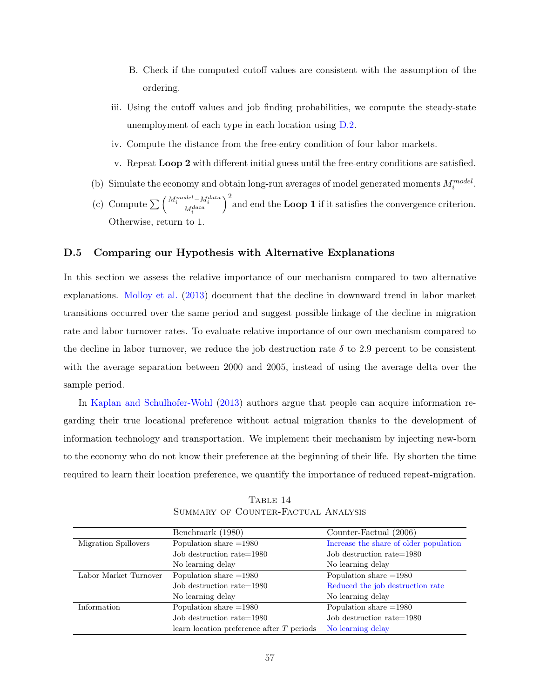- B. Check if the computed cutoff values are consistent with the assumption of the ordering.
- iii. Using the cutoff values and job finding probabilities, we compute the steady-state unemployment of each type in each location using [D.2.](#page-52-0)
- iv. Compute the distance from the free-entry condition of four labor markets.
- v. Repeat Loop 2 with different initial guess until the free-entry conditions are satisfied.
- (b) Simulate the economy and obtain long-run averages of model generated moments  $M_i^{model}$ .
- (c) Compute  $\sum \left( \frac{M_i^{model} M_i^{data}}{M_i^{data}} \right)$  $\int_{0}^{2}$  and end the **Loop 1** if it satisfies the convergence criterion. Otherwise, return to 1.

#### D.5 Comparing our Hypothesis with Alternative Explanations

In this section we assess the relative importance of our mechanism compared to two alternative explanations. [Molloy et al.](#page-33-0) [\(2013\)](#page-33-0) document that the decline in downward trend in labor market transitions occurred over the same period and suggest possible linkage of the decline in migration rate and labor turnover rates. To evaluate relative importance of our own mechanism compared to the decline in labor turnover, we reduce the job destruction rate  $\delta$  to 2.9 percent to be consistent with the average separation between 2000 and 2005, instead of using the average delta over the sample period.

In [Kaplan and Schulhofer-Wohl](#page-32-0) [\(2013\)](#page-32-0) authors argue that people can acquire information regarding their true locational preference without actual migration thanks to the development of information technology and transportation. We implement their mechanism by injecting new-born to the economy who do not know their preference at the beginning of their life. By shorten the time required to learn their location preference, we quantify the importance of reduced repeat-migration.

<span id="page-57-0"></span>

|                       | Benchmark (1980)                            | Counter-Factual (2006)                 |  |  |
|-----------------------|---------------------------------------------|----------------------------------------|--|--|
| Migration Spillovers  | Population share $=1980$                    | Increase the share of older population |  |  |
|                       | Job destruction rate=1980                   | Job destruction rate=1980              |  |  |
|                       | No learning delay                           | No learning delay                      |  |  |
| Labor Market Turnover | Population share $=1980$                    | Population share $=1980$               |  |  |
|                       | Job destruction rate=1980                   | Reduced the job destruction rate       |  |  |
|                       | No learning delay                           | No learning delay                      |  |  |
| Information           | Population share $=1980$                    | Population share $=1980$               |  |  |
|                       | Job destruction rate=1980                   | Job destruction rate=1980              |  |  |
|                       | learn location preference after $T$ periods | No learning delay                      |  |  |

TABLE 14 Summary of Counter-Factual Analysis